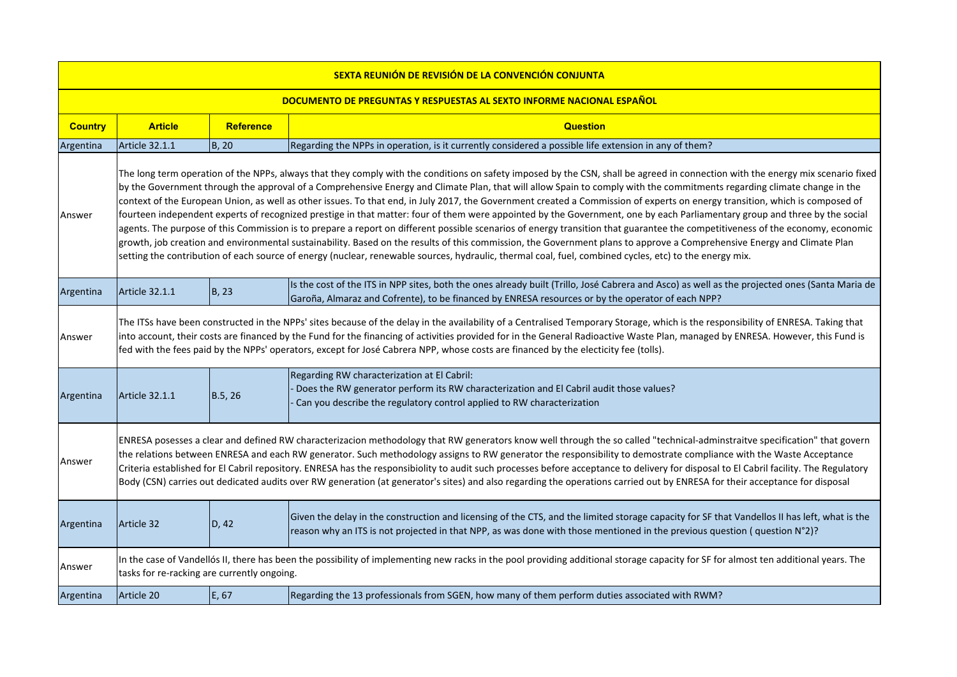|                | SEXTA REUNIÓN DE REVISIÓN DE LA CONVENCIÓN CONJUNTA                                                                                                                                                                                                                                                                                                                                                                                                                                                                                                                                                                                                                                                                                                                                                                                                                                                                                                                                                                                                                                                                                                                                                                                             |               |                                                                                                                                                                                                                                                                            |  |  |
|----------------|-------------------------------------------------------------------------------------------------------------------------------------------------------------------------------------------------------------------------------------------------------------------------------------------------------------------------------------------------------------------------------------------------------------------------------------------------------------------------------------------------------------------------------------------------------------------------------------------------------------------------------------------------------------------------------------------------------------------------------------------------------------------------------------------------------------------------------------------------------------------------------------------------------------------------------------------------------------------------------------------------------------------------------------------------------------------------------------------------------------------------------------------------------------------------------------------------------------------------------------------------|---------------|----------------------------------------------------------------------------------------------------------------------------------------------------------------------------------------------------------------------------------------------------------------------------|--|--|
|                | DOCUMENTO DE PREGUNTAS Y RESPUESTAS AL SEXTO INFORME NACIONAL ESPAÑOL                                                                                                                                                                                                                                                                                                                                                                                                                                                                                                                                                                                                                                                                                                                                                                                                                                                                                                                                                                                                                                                                                                                                                                           |               |                                                                                                                                                                                                                                                                            |  |  |
| <b>Country</b> | <b>Article</b>                                                                                                                                                                                                                                                                                                                                                                                                                                                                                                                                                                                                                                                                                                                                                                                                                                                                                                                                                                                                                                                                                                                                                                                                                                  | Reference     | <b>Question</b>                                                                                                                                                                                                                                                            |  |  |
| Argentina      | <b>Article 32.1.1</b>                                                                                                                                                                                                                                                                                                                                                                                                                                                                                                                                                                                                                                                                                                                                                                                                                                                                                                                                                                                                                                                                                                                                                                                                                           | <b>B</b> , 20 | Regarding the NPPs in operation, is it currently considered a possible life extension in any of them?                                                                                                                                                                      |  |  |
| Answer         | The long term operation of the NPPs, always that they comply with the conditions on safety imposed by the CSN, shall be agreed in connection with the energy mix scenario fixed<br>by the Government through the approval of a Comprehensive Energy and Climate Plan, that will allow Spain to comply with the commitments regarding climate change in the<br>context of the European Union, as well as other issues. To that end, in July 2017, the Government created a Commission of experts on energy transition, which is composed of<br>fourteen independent experts of recognized prestige in that matter: four of them were appointed by the Government, one by each Parliamentary group and three by the social<br>agents. The purpose of this Commission is to prepare a report on different possible scenarios of energy transition that guarantee the competitiveness of the economy, economic<br>growth, job creation and environmental sustainability. Based on the results of this commission, the Government plans to approve a Comprehensive Energy and Climate Plan<br>setting the contribution of each source of energy (nuclear, renewable sources, hydraulic, thermal coal, fuel, combined cycles, etc) to the energy mix. |               |                                                                                                                                                                                                                                                                            |  |  |
| Argentina      | <b>Article 32.1.1</b>                                                                                                                                                                                                                                                                                                                                                                                                                                                                                                                                                                                                                                                                                                                                                                                                                                                                                                                                                                                                                                                                                                                                                                                                                           | B, 23         | Is the cost of the ITS in NPP sites, both the ones already built (Trillo, José Cabrera and Asco) as well as the projected ones (Santa Maria de<br>Garoña, Almaraz and Cofrente), to be financed by ENRESA resources or by the operator of each NPP?                        |  |  |
| Answer         | The ITSs have been constructed in the NPPs' sites because of the delay in the availability of a Centralised Temporary Storage, which is the responsibility of ENRESA. Taking that<br>into account, their costs are financed by the Fund for the financing of activities provided for in the General Radioactive Waste Plan, managed by ENRESA. However, this Fund is<br>fed with the fees paid by the NPPs' operators, except for José Cabrera NPP, whose costs are financed by the electicity fee (tolls).                                                                                                                                                                                                                                                                                                                                                                                                                                                                                                                                                                                                                                                                                                                                     |               |                                                                                                                                                                                                                                                                            |  |  |
| Argentina      | <b>Article 32.1.1</b>                                                                                                                                                                                                                                                                                                                                                                                                                                                                                                                                                                                                                                                                                                                                                                                                                                                                                                                                                                                                                                                                                                                                                                                                                           | B.5, 26       | Regarding RW characterization at El Cabril:<br>Does the RW generator perform its RW characterization and El Cabril audit those values?<br>Can you describe the regulatory control applied to RW characterization                                                           |  |  |
| Answer         | ENRESA posesses a clear and defined RW characterizacion methodology that RW generators know well through the so called "technical-adminstraitve specification" that govern<br>the relations between ENRESA and each RW generator. Such methodology assigns to RW generator the responsibility to demostrate compliance with the Waste Acceptance<br>Criteria established for El Cabril repository. ENRESA has the responsibiolity to audit such processes before acceptance to delivery for disposal to El Cabril facility. The Regulatory<br>Body (CSN) carries out dedicated audits over RW generation (at generator's sites) and also regarding the operations carried out by ENRESA for their acceptance for disposal                                                                                                                                                                                                                                                                                                                                                                                                                                                                                                                       |               |                                                                                                                                                                                                                                                                            |  |  |
| Argentina      | Article 32                                                                                                                                                                                                                                                                                                                                                                                                                                                                                                                                                                                                                                                                                                                                                                                                                                                                                                                                                                                                                                                                                                                                                                                                                                      | D, 42         | Given the delay in the construction and licensing of the CTS, and the limited storage capacity for SF that Vandellos II has left, what is the<br>reason why an ITS is not projected in that NPP, as was done with those mentioned in the previous question (question N°2)? |  |  |
| Answer         | tasks for re-racking are currently ongoing.                                                                                                                                                                                                                                                                                                                                                                                                                                                                                                                                                                                                                                                                                                                                                                                                                                                                                                                                                                                                                                                                                                                                                                                                     |               | In the case of Vandellós II, there has been the possibility of implementing new racks in the pool providing additional storage capacity for SF for almost ten additional years. The                                                                                        |  |  |
| Argentina      | Article 20                                                                                                                                                                                                                                                                                                                                                                                                                                                                                                                                                                                                                                                                                                                                                                                                                                                                                                                                                                                                                                                                                                                                                                                                                                      | E, 67         | Regarding the 13 professionals from SGEN, how many of them perform duties associated with RWM?                                                                                                                                                                             |  |  |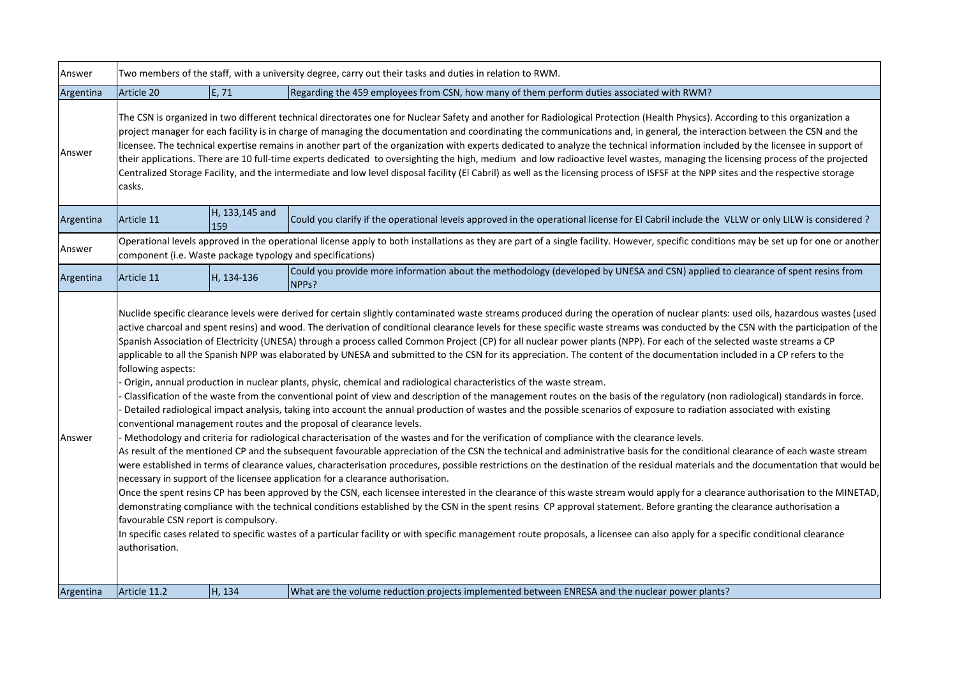| Answer              | Two members of the staff, with a university degree, carry out their tasks and duties in relation to RWM.                                                                                                                                                                                                                                                                                                                                                                                                                                                                                                                                                                                                                                                                                                                                                                                                                             |                       |                                                                                                                                                                                                                                                                                                                                                                                                                                                                                                                                                                                                                                                                                                                                                                                                                                                                                                                                                                                                                                                                                                                                                                                                                                                                                                                                                                                                                                                                                                                                                                                                                                                                                                                                                                                                                                                                                                                                                                                                                                                                                                                                                                                                                                                                                                                                                                                                                                                                                                                                                           |  |
|---------------------|--------------------------------------------------------------------------------------------------------------------------------------------------------------------------------------------------------------------------------------------------------------------------------------------------------------------------------------------------------------------------------------------------------------------------------------------------------------------------------------------------------------------------------------------------------------------------------------------------------------------------------------------------------------------------------------------------------------------------------------------------------------------------------------------------------------------------------------------------------------------------------------------------------------------------------------|-----------------------|-----------------------------------------------------------------------------------------------------------------------------------------------------------------------------------------------------------------------------------------------------------------------------------------------------------------------------------------------------------------------------------------------------------------------------------------------------------------------------------------------------------------------------------------------------------------------------------------------------------------------------------------------------------------------------------------------------------------------------------------------------------------------------------------------------------------------------------------------------------------------------------------------------------------------------------------------------------------------------------------------------------------------------------------------------------------------------------------------------------------------------------------------------------------------------------------------------------------------------------------------------------------------------------------------------------------------------------------------------------------------------------------------------------------------------------------------------------------------------------------------------------------------------------------------------------------------------------------------------------------------------------------------------------------------------------------------------------------------------------------------------------------------------------------------------------------------------------------------------------------------------------------------------------------------------------------------------------------------------------------------------------------------------------------------------------------------------------------------------------------------------------------------------------------------------------------------------------------------------------------------------------------------------------------------------------------------------------------------------------------------------------------------------------------------------------------------------------------------------------------------------------------------------------------------------------|--|
| Argentina           | Article 20                                                                                                                                                                                                                                                                                                                                                                                                                                                                                                                                                                                                                                                                                                                                                                                                                                                                                                                           | E, 71                 | Regarding the 459 employees from CSN, how many of them perform duties associated with RWM?                                                                                                                                                                                                                                                                                                                                                                                                                                                                                                                                                                                                                                                                                                                                                                                                                                                                                                                                                                                                                                                                                                                                                                                                                                                                                                                                                                                                                                                                                                                                                                                                                                                                                                                                                                                                                                                                                                                                                                                                                                                                                                                                                                                                                                                                                                                                                                                                                                                                |  |
| Answer              | The CSN is organized in two different technical directorates one for Nuclear Safety and another for Radiological Protection (Health Physics). According to this organization a<br>project manager for each facility is in charge of managing the documentation and coordinating the communications and, in general, the interaction between the CSN and the<br>licensee. The technical expertise remains in another part of the organization with experts dedicated to analyze the technical information included by the licensee in support of<br>their applications. There are 10 full-time experts dedicated to oversighting the high, medium and low radioactive level wastes, managing the licensing process of the projected<br>Centralized Storage Facility, and the intermediate and low level disposal facility (El Cabril) as well as the licensing process of ISFSF at the NPP sites and the respective storage<br>casks. |                       |                                                                                                                                                                                                                                                                                                                                                                                                                                                                                                                                                                                                                                                                                                                                                                                                                                                                                                                                                                                                                                                                                                                                                                                                                                                                                                                                                                                                                                                                                                                                                                                                                                                                                                                                                                                                                                                                                                                                                                                                                                                                                                                                                                                                                                                                                                                                                                                                                                                                                                                                                           |  |
| Argentina           | Article 11                                                                                                                                                                                                                                                                                                                                                                                                                                                                                                                                                                                                                                                                                                                                                                                                                                                                                                                           | H, 133,145 and<br>159 | Could you clarify if the operational levels approved in the operational license for El Cabril include the VLLW or only LILW is considered?                                                                                                                                                                                                                                                                                                                                                                                                                                                                                                                                                                                                                                                                                                                                                                                                                                                                                                                                                                                                                                                                                                                                                                                                                                                                                                                                                                                                                                                                                                                                                                                                                                                                                                                                                                                                                                                                                                                                                                                                                                                                                                                                                                                                                                                                                                                                                                                                                |  |
| Answer              |                                                                                                                                                                                                                                                                                                                                                                                                                                                                                                                                                                                                                                                                                                                                                                                                                                                                                                                                      |                       | Operational levels approved in the operational license apply to both installations as they are part of a single facility. However, specific conditions may be set up for one or another<br>component (i.e. Waste package typology and specifications)                                                                                                                                                                                                                                                                                                                                                                                                                                                                                                                                                                                                                                                                                                                                                                                                                                                                                                                                                                                                                                                                                                                                                                                                                                                                                                                                                                                                                                                                                                                                                                                                                                                                                                                                                                                                                                                                                                                                                                                                                                                                                                                                                                                                                                                                                                     |  |
| Argentina           | Article 11                                                                                                                                                                                                                                                                                                                                                                                                                                                                                                                                                                                                                                                                                                                                                                                                                                                                                                                           | H, 134-136            | Could you provide more information about the methodology (developed by UNESA and CSN) applied to clearance of spent resins from<br>NPP <sub>s</sub> ?                                                                                                                                                                                                                                                                                                                                                                                                                                                                                                                                                                                                                                                                                                                                                                                                                                                                                                                                                                                                                                                                                                                                                                                                                                                                                                                                                                                                                                                                                                                                                                                                                                                                                                                                                                                                                                                                                                                                                                                                                                                                                                                                                                                                                                                                                                                                                                                                     |  |
| Answer<br>Argentina | following aspects:<br>favourable CSN report is compulsory.<br>authorisation.<br>Article 11.2                                                                                                                                                                                                                                                                                                                                                                                                                                                                                                                                                                                                                                                                                                                                                                                                                                         | H, 134                | Nuclide specific clearance levels were derived for certain slightly contaminated waste streams produced during the operation of nuclear plants: used oils, hazardous wastes (used<br>active charcoal and spent resins) and wood. The derivation of conditional clearance levels for these specific waste streams was conducted by the CSN with the participation of the<br>Spanish Association of Electricity (UNESA) through a process called Common Project (CP) for all nuclear power plants (NPP). For each of the selected waste streams a CP<br>applicable to all the Spanish NPP was elaborated by UNESA and submitted to the CSN for its appreciation. The content of the documentation included in a CP refers to the<br>Origin, annual production in nuclear plants, physic, chemical and radiological characteristics of the waste stream.<br>Classification of the waste from the conventional point of view and description of the management routes on the basis of the regulatory (non radiological) standards in force.<br>Detailed radiological impact analysis, taking into account the annual production of wastes and the possible scenarios of exposure to radiation associated with existing<br>conventional management routes and the proposal of clearance levels.<br>- Methodology and criteria for radiological characterisation of the wastes and for the verification of compliance with the clearance levels.<br>As result of the mentioned CP and the subsequent favourable appreciation of the CSN the technical and administrative basis for the conditional clearance of each waste stream<br>were established in terms of clearance values, characterisation procedures, possible restrictions on the destination of the residual materials and the documentation that would be<br>necessary in support of the licensee application for a clearance authorisation.<br>Once the spent resins CP has been approved by the CSN, each licensee interested in the clearance of this waste stream would apply for a clearance authorisation to the MINETAD,<br>demonstrating compliance with the technical conditions established by the CSN in the spent resins CP approval statement. Before granting the clearance authorisation a<br>In specific cases related to specific wastes of a particular facility or with specific management route proposals, a licensee can also apply for a specific conditional clearance<br>What are the volume reduction projects implemented between ENRESA and the nuclear power plants? |  |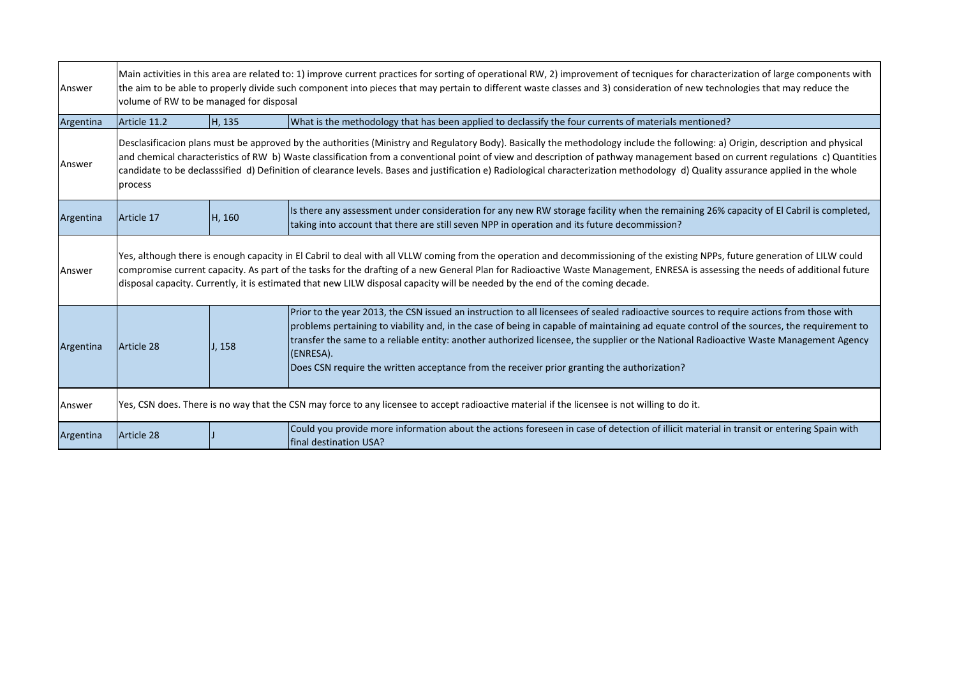| Answer    |                                                                                                                                                                                                                                                                                                                                                                                                                                                                                                                                                                | Main activities in this area are related to: 1) improve current practices for sorting of operational RW, 2) improvement of tecniques for characterization of large components with<br>the aim to be able to properly divide such component into pieces that may pertain to different waste classes and 3) consideration of new technologies that may reduce the<br>volume of RW to be managed for disposal |                                                                                                                                                                                                                                                                                                                                                                                                                                                                                                                                           |  |
|-----------|----------------------------------------------------------------------------------------------------------------------------------------------------------------------------------------------------------------------------------------------------------------------------------------------------------------------------------------------------------------------------------------------------------------------------------------------------------------------------------------------------------------------------------------------------------------|------------------------------------------------------------------------------------------------------------------------------------------------------------------------------------------------------------------------------------------------------------------------------------------------------------------------------------------------------------------------------------------------------------|-------------------------------------------------------------------------------------------------------------------------------------------------------------------------------------------------------------------------------------------------------------------------------------------------------------------------------------------------------------------------------------------------------------------------------------------------------------------------------------------------------------------------------------------|--|
| Argentina | Article 11.2                                                                                                                                                                                                                                                                                                                                                                                                                                                                                                                                                   | H, 135                                                                                                                                                                                                                                                                                                                                                                                                     | What is the methodology that has been applied to declassify the four currents of materials mentioned?                                                                                                                                                                                                                                                                                                                                                                                                                                     |  |
| Answer    | Desclasificacion plans must be approved by the authorities (Ministry and Regulatory Body). Basically the methodology include the following: a) Origin, description and physical<br>and chemical characteristics of RW b) Waste classification from a conventional point of view and description of pathway management based on current regulations c) Quantities<br>candidate to be declasssified d) Definition of clearance levels. Bases and justification e) Radiological characterization methodology d) Quality assurance applied in the whole<br>process |                                                                                                                                                                                                                                                                                                                                                                                                            |                                                                                                                                                                                                                                                                                                                                                                                                                                                                                                                                           |  |
| Argentina | Article 17                                                                                                                                                                                                                                                                                                                                                                                                                                                                                                                                                     | H, 160                                                                                                                                                                                                                                                                                                                                                                                                     | Is there any assessment under consideration for any new RW storage facility when the remaining 26% capacity of El Cabril is completed,<br>taking into account that there are still seven NPP in operation and its future decommission?                                                                                                                                                                                                                                                                                                    |  |
| Answer    | Yes, although there is enough capacity in El Cabril to deal with all VLLW coming from the operation and decommissioning of the existing NPPs, future generation of LILW could<br>compromise current capacity. As part of the tasks for the drafting of a new General Plan for Radioactive Waste Management, ENRESA is assessing the needs of additional future<br>disposal capacity. Currently, it is estimated that new LILW disposal capacity will be needed by the end of the coming decade.                                                                |                                                                                                                                                                                                                                                                                                                                                                                                            |                                                                                                                                                                                                                                                                                                                                                                                                                                                                                                                                           |  |
| Argentina | Article 28                                                                                                                                                                                                                                                                                                                                                                                                                                                                                                                                                     | J, 158                                                                                                                                                                                                                                                                                                                                                                                                     | Prior to the year 2013, the CSN issued an instruction to all licensees of sealed radioactive sources to require actions from those with<br>problems pertaining to viability and, in the case of being in capable of maintaining ad equate control of the sources, the requirement to<br>transfer the same to a reliable entity: another authorized licensee, the supplier or the National Radioactive Waste Management Agency<br>(ENRESA).<br>Does CSN require the written acceptance from the receiver prior granting the authorization? |  |
| Answer    |                                                                                                                                                                                                                                                                                                                                                                                                                                                                                                                                                                |                                                                                                                                                                                                                                                                                                                                                                                                            | Yes, CSN does. There is no way that the CSN may force to any licensee to accept radioactive material if the licensee is not willing to do it.                                                                                                                                                                                                                                                                                                                                                                                             |  |
| Argentina | Article 28                                                                                                                                                                                                                                                                                                                                                                                                                                                                                                                                                     |                                                                                                                                                                                                                                                                                                                                                                                                            | Could you provide more information about the actions foreseen in case of detection of illicit material in transit or entering Spain with<br><b>final destination USA?</b>                                                                                                                                                                                                                                                                                                                                                                 |  |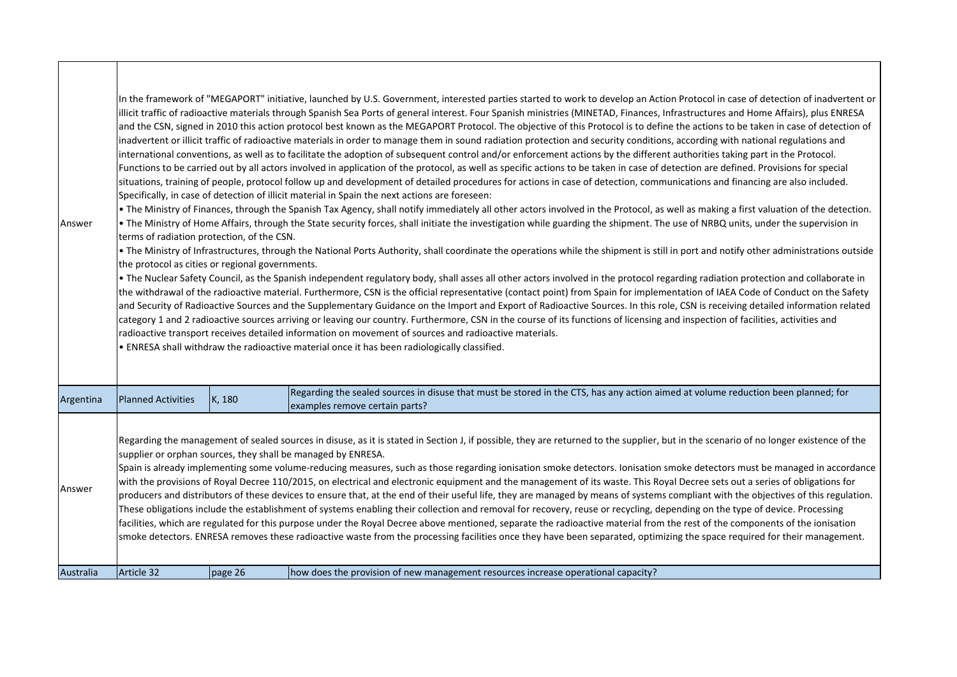| Answer              | In the framework of "MEGAPORT" initiative, launched by U.S. Government, interested parties started to work to develop an Action Protocol in case of detection of inadvertent or<br>illicit traffic of radioactive materials through Spanish Sea Ports of general interest. Four Spanish ministries (MINETAD, Finances, Infrastructures and Home Affairs), plus ENRESA<br>and the CSN, signed in 2010 this action protocol best known as the MEGAPORT Protocol. The objective of this Protocol is to define the actions to be taken in case of detection of<br>inadvertent or illicit traffic of radioactive materials in order to manage them in sound radiation protection and security conditions, according with national regulations and<br>international conventions, as well as to facilitate the adoption of subsequent control and/or enforcement actions by the different authorities taking part in the Protocol.<br>Functions to be carried out by all actors involved in application of the protocol, as well as specific actions to be taken in case of detection are defined. Provisions for special<br>situations, training of people, protocol follow up and development of detailed procedures for actions in case of detection, communications and financing are also included.<br>Specifically, in case of detection of illicit material in Spain the next actions are foreseen:<br>. The Ministry of Finances, through the Spanish Tax Agency, shall notify immediately all other actors involved in the Protocol, as well as making a first valuation of the detection.<br>. The Ministry of Home Affairs, through the State security forces, shall initiate the investigation while guarding the shipment. The use of NRBQ units, under the supervision in<br>terms of radiation protection, of the CSN.<br>. The Ministry of Infrastructures, through the National Ports Authority, shall coordinate the operations while the shipment is still in port and notify other administrations outside<br>the protocol as cities or regional governments.<br>. The Nuclear Safety Council, as the Spanish independent regulatory body, shall asses all other actors involved in the protocol regarding radiation protection and collaborate in<br>the withdrawal of the radioactive material. Furthermore, CSN is the official representative (contact point) from Spain for implementation of IAEA Code of Conduct on the Safety<br>and Security of Radioactive Sources and the Supplementary Guidance on the Import and Export of Radioactive Sources. In this role, CSN is receiving detailed information related<br>category 1 and 2 radioactive sources arriving or leaving our country. Furthermore, CSN in the course of its functions of licensing and inspection of facilities, activities and<br>radioactive transport receives detailed information on movement of sources and radioactive materials.<br>. ENRESA shall withdraw the radioactive material once it has been radiologically classified. |        |                                                                                                                                                                     |  |
|---------------------|-----------------------------------------------------------------------------------------------------------------------------------------------------------------------------------------------------------------------------------------------------------------------------------------------------------------------------------------------------------------------------------------------------------------------------------------------------------------------------------------------------------------------------------------------------------------------------------------------------------------------------------------------------------------------------------------------------------------------------------------------------------------------------------------------------------------------------------------------------------------------------------------------------------------------------------------------------------------------------------------------------------------------------------------------------------------------------------------------------------------------------------------------------------------------------------------------------------------------------------------------------------------------------------------------------------------------------------------------------------------------------------------------------------------------------------------------------------------------------------------------------------------------------------------------------------------------------------------------------------------------------------------------------------------------------------------------------------------------------------------------------------------------------------------------------------------------------------------------------------------------------------------------------------------------------------------------------------------------------------------------------------------------------------------------------------------------------------------------------------------------------------------------------------------------------------------------------------------------------------------------------------------------------------------------------------------------------------------------------------------------------------------------------------------------------------------------------------------------------------------------------------------------------------------------------------------------------------------------------------------------------------------------------------------------------------------------------------------------------------------------------------------------------------------------------------------------------------------------------------------------------------------------------------------------------------------------------------------------------------------------------------------------------------|--------|---------------------------------------------------------------------------------------------------------------------------------------------------------------------|--|
| Argentina           | <b>Planned Activities</b>                                                                                                                                                                                                                                                                                                                                                                                                                                                                                                                                                                                                                                                                                                                                                                                                                                                                                                                                                                                                                                                                                                                                                                                                                                                                                                                                                                                                                                                                                                                                                                                                                                                                                                                                                                                                                                                                                                                                                                                                                                                                                                                                                                                                                                                                                                                                                                                                                                                                                                                                                                                                                                                                                                                                                                                                                                                                                                                                                                                                         | K, 180 | Regarding the sealed sources in disuse that must be stored in the CTS, has any action aimed at volume reduction been planned; for<br>examples remove certain parts? |  |
| Answer<br>Australia | Regarding the management of sealed sources in disuse, as it is stated in Section J, if possible, they are returned to the supplier, but in the scenario of no longer existence of the<br>supplier or orphan sources, they shall be managed by ENRESA.<br>Spain is already implementing some volume-reducing measures, such as those regarding ionisation smoke detectors. Ionisation smoke detectors must be managed in accordance<br>with the provisions of Royal Decree 110/2015, on electrical and electronic equipment and the management of its waste. This Royal Decree sets out a series of obligations for<br>producers and distributors of these devices to ensure that, at the end of their useful life, they are managed by means of systems compliant with the objectives of this regulation.<br>These obligations include the establishment of systems enabling their collection and removal for recovery, reuse or recycling, depending on the type of device. Processing<br>facilities, which are regulated for this purpose under the Royal Decree above mentioned, separate the radioactive material from the rest of the components of the ionisation<br>smoke detectors. ENRESA removes these radioactive waste from the processing facilities once they have been separated, optimizing the space required for their management.<br>Article 32<br>page 26<br>how does the provision of new management resources increase operational capacity?                                                                                                                                                                                                                                                                                                                                                                                                                                                                                                                                                                                                                                                                                                                                                                                                                                                                                                                                                                                                                                                                                                                                                                                                                                                                                                                                                                                                                                                                                                                                                                |        |                                                                                                                                                                     |  |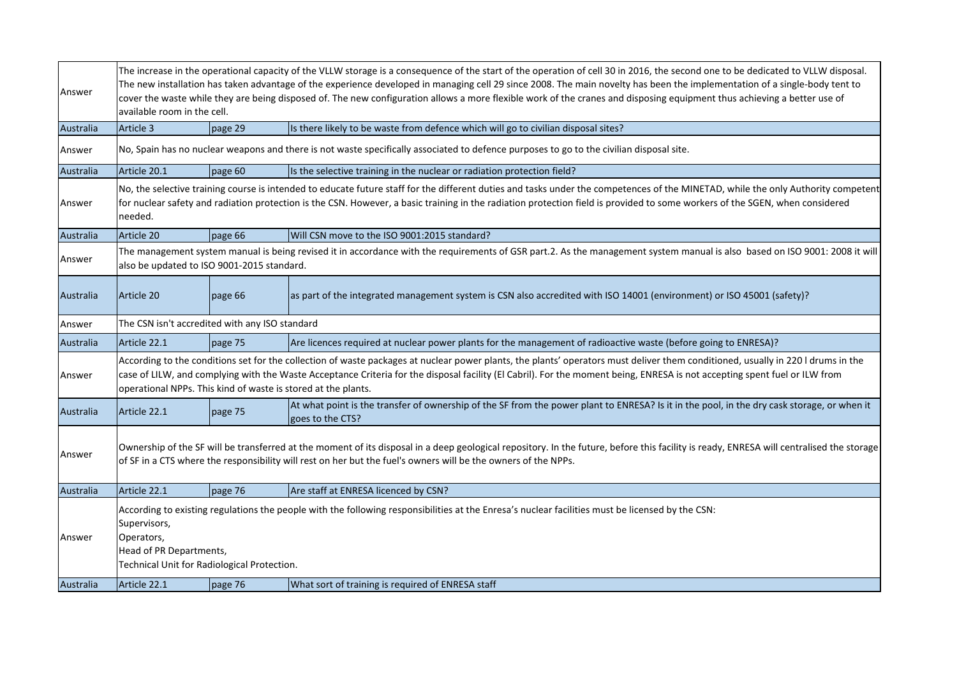| Answer              |                                                                                                                                                                                                                                                                                                                                                                                                                                 | The increase in the operational capacity of the VLLW storage is a consequence of the start of the operation of cell 30 in 2016, the second one to be dedicated to VLLW disposal.<br>The new installation has taken advantage of the experience developed in managing cell 29 since 2008. The main novelty has been the implementation of a single-body tent to<br>cover the waste while they are being disposed of. The new configuration allows a more flexible work of the cranes and disposing equipment thus achieving a better use of<br>available room in the cell. |                                                                                                                                                                 |  |  |
|---------------------|---------------------------------------------------------------------------------------------------------------------------------------------------------------------------------------------------------------------------------------------------------------------------------------------------------------------------------------------------------------------------------------------------------------------------------|---------------------------------------------------------------------------------------------------------------------------------------------------------------------------------------------------------------------------------------------------------------------------------------------------------------------------------------------------------------------------------------------------------------------------------------------------------------------------------------------------------------------------------------------------------------------------|-----------------------------------------------------------------------------------------------------------------------------------------------------------------|--|--|
| Australia           | Article 3                                                                                                                                                                                                                                                                                                                                                                                                                       | page 29                                                                                                                                                                                                                                                                                                                                                                                                                                                                                                                                                                   | Is there likely to be waste from defence which will go to civilian disposal sites?                                                                              |  |  |
| Answer              |                                                                                                                                                                                                                                                                                                                                                                                                                                 |                                                                                                                                                                                                                                                                                                                                                                                                                                                                                                                                                                           | No, Spain has no nuclear weapons and there is not waste specifically associated to defence purposes to go to the civilian disposal site.                        |  |  |
| Australia           | Article 20.1                                                                                                                                                                                                                                                                                                                                                                                                                    | page 60                                                                                                                                                                                                                                                                                                                                                                                                                                                                                                                                                                   | Is the selective training in the nuclear or radiation protection field?                                                                                         |  |  |
| Answer              | No, the selective training course is intended to educate future staff for the different duties and tasks under the competences of the MINETAD, while the only Authority competent<br>for nuclear safety and radiation protection is the CSN. However, a basic training in the radiation protection field is provided to some workers of the SGEN, when considered<br>needed.                                                    |                                                                                                                                                                                                                                                                                                                                                                                                                                                                                                                                                                           |                                                                                                                                                                 |  |  |
| Australia           | Article 20                                                                                                                                                                                                                                                                                                                                                                                                                      | page 66                                                                                                                                                                                                                                                                                                                                                                                                                                                                                                                                                                   | Will CSN move to the ISO 9001:2015 standard?                                                                                                                    |  |  |
| Answer              | The management system manual is being revised it in accordance with the requirements of GSR part.2. As the management system manual is also based on ISO 9001: 2008 it will<br>also be updated to ISO 9001-2015 standard.                                                                                                                                                                                                       |                                                                                                                                                                                                                                                                                                                                                                                                                                                                                                                                                                           |                                                                                                                                                                 |  |  |
| Australia           | Article 20                                                                                                                                                                                                                                                                                                                                                                                                                      | page 66                                                                                                                                                                                                                                                                                                                                                                                                                                                                                                                                                                   | as part of the integrated management system is CSN also accredited with ISO 14001 (environment) or ISO 45001 (safety)?                                          |  |  |
| Answer              | The CSN isn't accredited with any ISO standard                                                                                                                                                                                                                                                                                                                                                                                  |                                                                                                                                                                                                                                                                                                                                                                                                                                                                                                                                                                           |                                                                                                                                                                 |  |  |
| Australia           | Article 22.1                                                                                                                                                                                                                                                                                                                                                                                                                    | page 75                                                                                                                                                                                                                                                                                                                                                                                                                                                                                                                                                                   | Are licences required at nuclear power plants for the management of radioactive waste (before going to ENRESA)?                                                 |  |  |
| Answer              | According to the conditions set for the collection of waste packages at nuclear power plants, the plants' operators must deliver them conditioned, usually in 220 I drums in the<br>case of LILW, and complying with the Waste Acceptance Criteria for the disposal facility (El Cabril). For the moment being, ENRESA is not accepting spent fuel or ILW from<br>operational NPPs. This kind of waste is stored at the plants. |                                                                                                                                                                                                                                                                                                                                                                                                                                                                                                                                                                           |                                                                                                                                                                 |  |  |
| Australia           | Article 22.1                                                                                                                                                                                                                                                                                                                                                                                                                    | page 75                                                                                                                                                                                                                                                                                                                                                                                                                                                                                                                                                                   | At what point is the transfer of ownership of the SF from the power plant to ENRESA? Is it in the pool, in the dry cask storage, or when it<br>goes to the CTS? |  |  |
| Answer              | Ownership of the SF will be transferred at the moment of its disposal in a deep geological repository. In the future, before this facility is ready, ENRESA will centralised the storage<br>of SF in a CTS where the responsibility will rest on her but the fuel's owners will be the owners of the NPPs.                                                                                                                      |                                                                                                                                                                                                                                                                                                                                                                                                                                                                                                                                                                           |                                                                                                                                                                 |  |  |
| Australia           | Article 22.1                                                                                                                                                                                                                                                                                                                                                                                                                    | page 76                                                                                                                                                                                                                                                                                                                                                                                                                                                                                                                                                                   | Are staff at ENRESA licenced by CSN?                                                                                                                            |  |  |
| Answer<br>Australia | According to existing regulations the people with the following responsibilities at the Enresa's nuclear facilities must be licensed by the CSN:<br>Supervisors,<br>Operators,<br>Head of PR Departments,<br>Technical Unit for Radiological Protection.<br>Article 22.1<br>What sort of training is required of ENRESA staff                                                                                                   |                                                                                                                                                                                                                                                                                                                                                                                                                                                                                                                                                                           |                                                                                                                                                                 |  |  |
|                     |                                                                                                                                                                                                                                                                                                                                                                                                                                 | page 76                                                                                                                                                                                                                                                                                                                                                                                                                                                                                                                                                                   |                                                                                                                                                                 |  |  |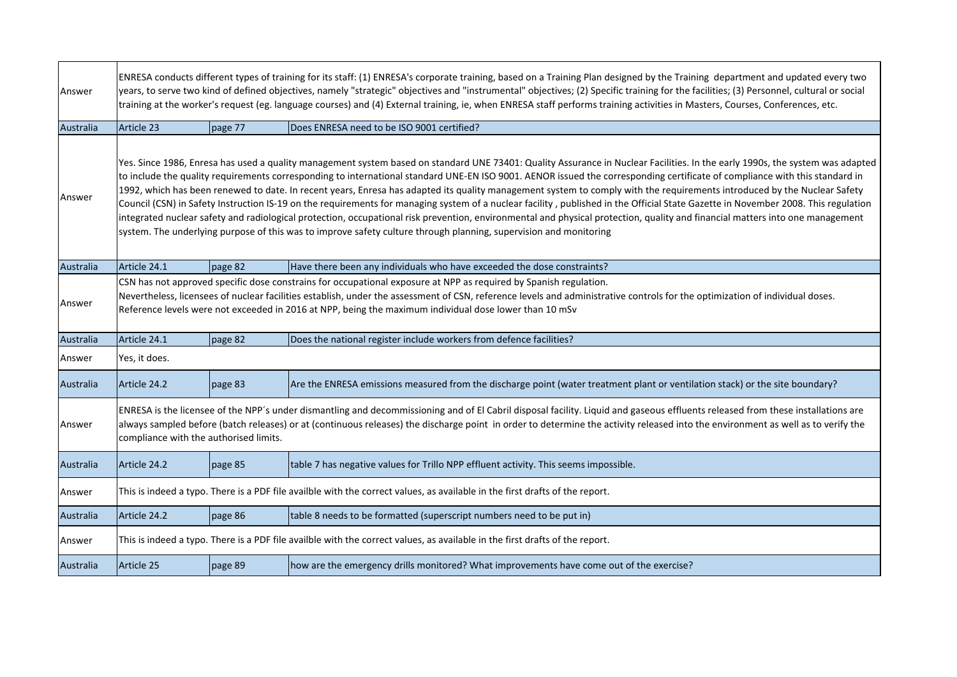| Answer    |                                                                                                                                                                                                                                                                                                                                                                                                                                                                                                                                                                                                                                                                                                                                                                                                                                                                                                                                                                                                                                      | ENRESA conducts different types of training for its staff: (1) ENRESA's corporate training, based on a Training Plan designed by the Training department and updated every two<br>years, to serve two kind of defined objectives, namely "strategic" objectives and "instrumental" objectives; (2) Specific training for the facilities; (3) Personnel, cultural or social<br>training at the worker's request (eg. language courses) and (4) External training, ie, when ENRESA staff performs training activities in Masters, Courses, Conferences, etc. |                                                                                                                               |  |  |
|-----------|--------------------------------------------------------------------------------------------------------------------------------------------------------------------------------------------------------------------------------------------------------------------------------------------------------------------------------------------------------------------------------------------------------------------------------------------------------------------------------------------------------------------------------------------------------------------------------------------------------------------------------------------------------------------------------------------------------------------------------------------------------------------------------------------------------------------------------------------------------------------------------------------------------------------------------------------------------------------------------------------------------------------------------------|------------------------------------------------------------------------------------------------------------------------------------------------------------------------------------------------------------------------------------------------------------------------------------------------------------------------------------------------------------------------------------------------------------------------------------------------------------------------------------------------------------------------------------------------------------|-------------------------------------------------------------------------------------------------------------------------------|--|--|
| Australia | Article 23                                                                                                                                                                                                                                                                                                                                                                                                                                                                                                                                                                                                                                                                                                                                                                                                                                                                                                                                                                                                                           | page 77                                                                                                                                                                                                                                                                                                                                                                                                                                                                                                                                                    | Does ENRESA need to be ISO 9001 certified?                                                                                    |  |  |
| Answer    | Yes. Since 1986, Enresa has used a quality management system based on standard UNE 73401: Quality Assurance in Nuclear Facilities. In the early 1990s, the system was adapted<br>to include the quality requirements corresponding to international standard UNE-EN ISO 9001. AENOR issued the corresponding certificate of compliance with this standard in<br>1992, which has been renewed to date. In recent years, Enresa has adapted its quality management system to comply with the requirements introduced by the Nuclear Safety<br>Council (CSN) in Safety Instruction IS-19 on the requirements for managing system of a nuclear facility, published in the Official State Gazette in November 2008. This regulation<br>integrated nuclear safety and radiological protection, occupational risk prevention, environmental and physical protection, quality and financial matters into one management<br>system. The underlying purpose of this was to improve safety culture through planning, supervision and monitoring |                                                                                                                                                                                                                                                                                                                                                                                                                                                                                                                                                            |                                                                                                                               |  |  |
| Australia | Article 24.1                                                                                                                                                                                                                                                                                                                                                                                                                                                                                                                                                                                                                                                                                                                                                                                                                                                                                                                                                                                                                         | page 82                                                                                                                                                                                                                                                                                                                                                                                                                                                                                                                                                    | Have there been any individuals who have exceeded the dose constraints?                                                       |  |  |
| Answer    | CSN has not approved specific dose constrains for occupational exposure at NPP as required by Spanish regulation.<br>Nevertheless, licensees of nuclear facilities establish, under the assessment of CSN, reference levels and administrative controls for the optimization of individual doses.<br>Reference levels were not exceeded in 2016 at NPP, being the maximum individual dose lower than 10 mSv                                                                                                                                                                                                                                                                                                                                                                                                                                                                                                                                                                                                                          |                                                                                                                                                                                                                                                                                                                                                                                                                                                                                                                                                            |                                                                                                                               |  |  |
| Australia | Article 24.1                                                                                                                                                                                                                                                                                                                                                                                                                                                                                                                                                                                                                                                                                                                                                                                                                                                                                                                                                                                                                         | page 82                                                                                                                                                                                                                                                                                                                                                                                                                                                                                                                                                    | Does the national register include workers from defence facilities?                                                           |  |  |
| Answer    | Yes, it does.                                                                                                                                                                                                                                                                                                                                                                                                                                                                                                                                                                                                                                                                                                                                                                                                                                                                                                                                                                                                                        |                                                                                                                                                                                                                                                                                                                                                                                                                                                                                                                                                            |                                                                                                                               |  |  |
| Australia | Article 24.2                                                                                                                                                                                                                                                                                                                                                                                                                                                                                                                                                                                                                                                                                                                                                                                                                                                                                                                                                                                                                         | page 83                                                                                                                                                                                                                                                                                                                                                                                                                                                                                                                                                    | Are the ENRESA emissions measured from the discharge point (water treatment plant or ventilation stack) or the site boundary? |  |  |
| Answer    | ENRESA is the licensee of the NPP's under dismantling and decommissioning and of El Cabril disposal facility. Liquid and gaseous effluents released from these installations are<br>always sampled before (batch releases) or at (continuous releases) the discharge point in order to determine the activity released into the environment as well as to verify the<br>compliance with the authorised limits.                                                                                                                                                                                                                                                                                                                                                                                                                                                                                                                                                                                                                       |                                                                                                                                                                                                                                                                                                                                                                                                                                                                                                                                                            |                                                                                                                               |  |  |
| Australia | Article 24.2                                                                                                                                                                                                                                                                                                                                                                                                                                                                                                                                                                                                                                                                                                                                                                                                                                                                                                                                                                                                                         | page 85                                                                                                                                                                                                                                                                                                                                                                                                                                                                                                                                                    | table 7 has negative values for Trillo NPP effluent activity. This seems impossible.                                          |  |  |
| Answer    |                                                                                                                                                                                                                                                                                                                                                                                                                                                                                                                                                                                                                                                                                                                                                                                                                                                                                                                                                                                                                                      |                                                                                                                                                                                                                                                                                                                                                                                                                                                                                                                                                            | This is indeed a typo. There is a PDF file availble with the correct values, as available in the first drafts of the report.  |  |  |
| Australia | Article 24.2                                                                                                                                                                                                                                                                                                                                                                                                                                                                                                                                                                                                                                                                                                                                                                                                                                                                                                                                                                                                                         | page 86                                                                                                                                                                                                                                                                                                                                                                                                                                                                                                                                                    | table 8 needs to be formatted (superscript numbers need to be put in)                                                         |  |  |
| Answer    |                                                                                                                                                                                                                                                                                                                                                                                                                                                                                                                                                                                                                                                                                                                                                                                                                                                                                                                                                                                                                                      |                                                                                                                                                                                                                                                                                                                                                                                                                                                                                                                                                            | This is indeed a typo. There is a PDF file availble with the correct values, as available in the first drafts of the report.  |  |  |
| Australia | Article 25                                                                                                                                                                                                                                                                                                                                                                                                                                                                                                                                                                                                                                                                                                                                                                                                                                                                                                                                                                                                                           | page 89                                                                                                                                                                                                                                                                                                                                                                                                                                                                                                                                                    | how are the emergency drills monitored? What improvements have come out of the exercise?                                      |  |  |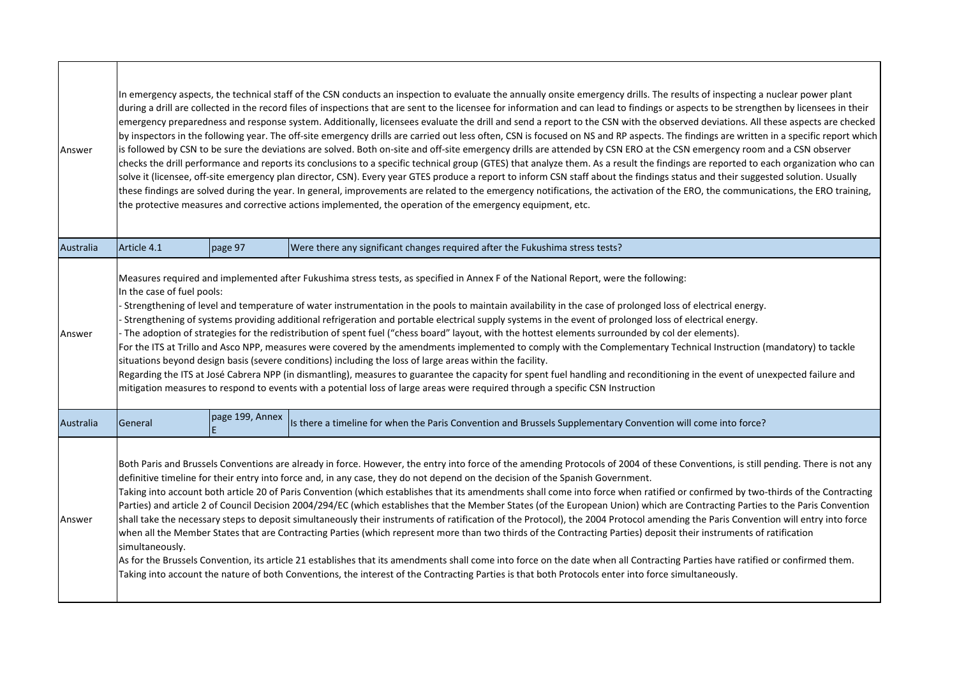| Answer           | In emergency aspects, the technical staff of the CSN conducts an inspection to evaluate the annually onsite emergency drills. The results of inspecting a nuclear power plant<br>during a drill are collected in the record files of inspections that are sent to the licensee for information and can lead to findings or aspects to be strengthen by licensees in their<br>emergency preparedness and response system. Additionally, licensees evaluate the drill and send a report to the CSN with the observed deviations. All these aspects are checked<br>by inspectors in the following year. The off-site emergency drills are carried out less often, CSN is focused on NS and RP aspects. The findings are written in a specific report which<br>is followed by CSN to be sure the deviations are solved. Both on-site and off-site emergency drills are attended by CSN ERO at the CSN emergency room and a CSN observer<br>checks the drill performance and reports its conclusions to a specific technical group (GTES) that analyze them. As a result the findings are reported to each organization who can<br>solve it (licensee, off-site emergency plan director, CSN). Every year GTES produce a report to inform CSN staff about the findings status and their suggested solution. Usually<br>these findings are solved during the year. In general, improvements are related to the emergency notifications, the activation of the ERO, the communications, the ERO training,<br>the protective measures and corrective actions implemented, the operation of the emergency equipment, etc. |                 |                                                                                                                                                                                                                                                                                                                                                                                                                                                                                                                                                                                                                                                                                                                                                                                                                                                                                                                                                                                                                                                                                                                                                                                                                                                                                                                                                                                                  |  |  |
|------------------|------------------------------------------------------------------------------------------------------------------------------------------------------------------------------------------------------------------------------------------------------------------------------------------------------------------------------------------------------------------------------------------------------------------------------------------------------------------------------------------------------------------------------------------------------------------------------------------------------------------------------------------------------------------------------------------------------------------------------------------------------------------------------------------------------------------------------------------------------------------------------------------------------------------------------------------------------------------------------------------------------------------------------------------------------------------------------------------------------------------------------------------------------------------------------------------------------------------------------------------------------------------------------------------------------------------------------------------------------------------------------------------------------------------------------------------------------------------------------------------------------------------------------------------------------------------------------------------------------------------|-----------------|--------------------------------------------------------------------------------------------------------------------------------------------------------------------------------------------------------------------------------------------------------------------------------------------------------------------------------------------------------------------------------------------------------------------------------------------------------------------------------------------------------------------------------------------------------------------------------------------------------------------------------------------------------------------------------------------------------------------------------------------------------------------------------------------------------------------------------------------------------------------------------------------------------------------------------------------------------------------------------------------------------------------------------------------------------------------------------------------------------------------------------------------------------------------------------------------------------------------------------------------------------------------------------------------------------------------------------------------------------------------------------------------------|--|--|
| Australia        | Article 4.1                                                                                                                                                                                                                                                                                                                                                                                                                                                                                                                                                                                                                                                                                                                                                                                                                                                                                                                                                                                                                                                                                                                                                                                                                                                                                                                                                                                                                                                                                                                                                                                                      | page 97         | Were there any significant changes required after the Fukushima stress tests?                                                                                                                                                                                                                                                                                                                                                                                                                                                                                                                                                                                                                                                                                                                                                                                                                                                                                                                                                                                                                                                                                                                                                                                                                                                                                                                    |  |  |
| Answer           | In the case of fuel pools:                                                                                                                                                                                                                                                                                                                                                                                                                                                                                                                                                                                                                                                                                                                                                                                                                                                                                                                                                                                                                                                                                                                                                                                                                                                                                                                                                                                                                                                                                                                                                                                       |                 | Measures required and implemented after Fukushima stress tests, as specified in Annex F of the National Report, were the following:<br>- Strengthening of level and temperature of water instrumentation in the pools to maintain availability in the case of prolonged loss of electrical energy.<br>- Strengthening of systems providing additional refrigeration and portable electrical supply systems in the event of prolonged loss of electrical energy.<br>- The adoption of strategies for the redistribution of spent fuel ("chess board" layout, with the hottest elements surrounded by col der elements).<br>For the ITS at Trillo and Asco NPP, measures were covered by the amendments implemented to comply with the Complementary Technical Instruction (mandatory) to tackle<br>situations beyond design basis (severe conditions) including the loss of large areas within the facility.<br>Regarding the ITS at José Cabrera NPP (in dismantling), measures to guarantee the capacity for spent fuel handling and reconditioning in the event of unexpected failure and<br>mitigation measures to respond to events with a potential loss of large areas were required through a specific CSN Instruction                                                                                                                                                                    |  |  |
| <b>Australia</b> | General                                                                                                                                                                                                                                                                                                                                                                                                                                                                                                                                                                                                                                                                                                                                                                                                                                                                                                                                                                                                                                                                                                                                                                                                                                                                                                                                                                                                                                                                                                                                                                                                          | page 199, Annex | Is there a timeline for when the Paris Convention and Brussels Supplementary Convention will come into force?                                                                                                                                                                                                                                                                                                                                                                                                                                                                                                                                                                                                                                                                                                                                                                                                                                                                                                                                                                                                                                                                                                                                                                                                                                                                                    |  |  |
| Answer           | simultaneously.                                                                                                                                                                                                                                                                                                                                                                                                                                                                                                                                                                                                                                                                                                                                                                                                                                                                                                                                                                                                                                                                                                                                                                                                                                                                                                                                                                                                                                                                                                                                                                                                  |                 | Both Paris and Brussels Conventions are already in force. However, the entry into force of the amending Protocols of 2004 of these Conventions, is still pending. There is not any<br>definitive timeline for their entry into force and, in any case, they do not depend on the decision of the Spanish Government.<br>Taking into account both article 20 of Paris Convention (which establishes that its amendments shall come into force when ratified or confirmed by two-thirds of the Contracting<br>Parties) and article 2 of Council Decision 2004/294/EC (which establishes that the Member States (of the European Union) which are Contracting Parties to the Paris Convention<br>shall take the necessary steps to deposit simultaneously their instruments of ratification of the Protocol), the 2004 Protocol amending the Paris Convention will entry into force<br>when all the Member States that are Contracting Parties (which represent more than two thirds of the Contracting Parties) deposit their instruments of ratification<br>As for the Brussels Convention, its article 21 establishes that its amendments shall come into force on the date when all Contracting Parties have ratified or confirmed them.<br>Taking into account the nature of both Conventions, the interest of the Contracting Parties is that both Protocols enter into force simultaneously. |  |  |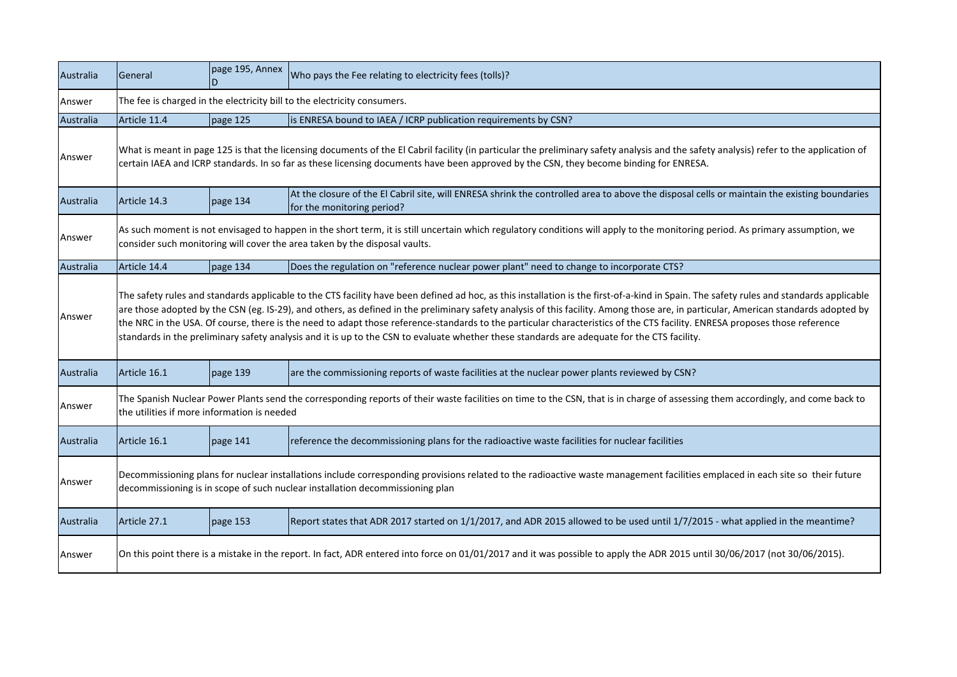| Australia | General                                                                                                                                                                                                                                                                                                                                                                                                                                                                                                                                                                                                                                                                                                     | page 195, Annex                                                                                                                                                            | Who pays the Fee relating to electricity fees (tolls)?                                                                                                                                                                                                                                                                            |  |  |
|-----------|-------------------------------------------------------------------------------------------------------------------------------------------------------------------------------------------------------------------------------------------------------------------------------------------------------------------------------------------------------------------------------------------------------------------------------------------------------------------------------------------------------------------------------------------------------------------------------------------------------------------------------------------------------------------------------------------------------------|----------------------------------------------------------------------------------------------------------------------------------------------------------------------------|-----------------------------------------------------------------------------------------------------------------------------------------------------------------------------------------------------------------------------------------------------------------------------------------------------------------------------------|--|--|
| Answer    |                                                                                                                                                                                                                                                                                                                                                                                                                                                                                                                                                                                                                                                                                                             | The fee is charged in the electricity bill to the electricity consumers.                                                                                                   |                                                                                                                                                                                                                                                                                                                                   |  |  |
| Australia | Article 11.4                                                                                                                                                                                                                                                                                                                                                                                                                                                                                                                                                                                                                                                                                                | page 125                                                                                                                                                                   | is ENRESA bound to IAEA / ICRP publication requirements by CSN?                                                                                                                                                                                                                                                                   |  |  |
| Answer    |                                                                                                                                                                                                                                                                                                                                                                                                                                                                                                                                                                                                                                                                                                             |                                                                                                                                                                            | What is meant in page 125 is that the licensing documents of the El Cabril facility (in particular the preliminary safety analysis and the safety analysis) refer to the application of<br>certain IAEA and ICRP standards. In so far as these licensing documents have been approved by the CSN, they become binding for ENRESA. |  |  |
| Australia | Article 14.3                                                                                                                                                                                                                                                                                                                                                                                                                                                                                                                                                                                                                                                                                                | page 134                                                                                                                                                                   | At the closure of the El Cabril site, will ENRESA shrink the controlled area to above the disposal cells or maintain the existing boundaries<br>for the monitoring period?                                                                                                                                                        |  |  |
| Answer    | As such moment is not envisaged to happen in the short term, it is still uncertain which regulatory conditions will apply to the monitoring period. As primary assumption, we<br>consider such monitoring will cover the area taken by the disposal vaults.                                                                                                                                                                                                                                                                                                                                                                                                                                                 |                                                                                                                                                                            |                                                                                                                                                                                                                                                                                                                                   |  |  |
| Australia | Article 14.4                                                                                                                                                                                                                                                                                                                                                                                                                                                                                                                                                                                                                                                                                                | page 134                                                                                                                                                                   | Does the regulation on "reference nuclear power plant" need to change to incorporate CTS?                                                                                                                                                                                                                                         |  |  |
| Answer    | The safety rules and standards applicable to the CTS facility have been defined ad hoc, as this installation is the first-of-a-kind in Spain. The safety rules and standards applicable<br>are those adopted by the CSN (eg. IS-29), and others, as defined in the preliminary safety analysis of this facility. Among those are, in particular, American standards adopted by<br>the NRC in the USA. Of course, there is the need to adapt those reference-standards to the particular characteristics of the CTS facility. ENRESA proposes those reference<br>standards in the preliminary safety analysis and it is up to the CSN to evaluate whether these standards are adequate for the CTS facility. |                                                                                                                                                                            |                                                                                                                                                                                                                                                                                                                                   |  |  |
| Australia | Article 16.1                                                                                                                                                                                                                                                                                                                                                                                                                                                                                                                                                                                                                                                                                                | page 139                                                                                                                                                                   | are the commissioning reports of waste facilities at the nuclear power plants reviewed by CSN?                                                                                                                                                                                                                                    |  |  |
| Answer    | The Spanish Nuclear Power Plants send the corresponding reports of their waste facilities on time to the CSN, that is in charge of assessing them accordingly, and come back to<br>the utilities if more information is needed                                                                                                                                                                                                                                                                                                                                                                                                                                                                              |                                                                                                                                                                            |                                                                                                                                                                                                                                                                                                                                   |  |  |
| Australia | Article 16.1                                                                                                                                                                                                                                                                                                                                                                                                                                                                                                                                                                                                                                                                                                | page 141                                                                                                                                                                   | reference the decommissioning plans for the radioactive waste facilities for nuclear facilities                                                                                                                                                                                                                                   |  |  |
| Answer    | Decommissioning plans for nuclear installations include corresponding provisions related to the radioactive waste management facilities emplaced in each site so their future<br>decommissioning is in scope of such nuclear installation decommissioning plan                                                                                                                                                                                                                                                                                                                                                                                                                                              |                                                                                                                                                                            |                                                                                                                                                                                                                                                                                                                                   |  |  |
| Australia | Article 27.1                                                                                                                                                                                                                                                                                                                                                                                                                                                                                                                                                                                                                                                                                                | page 153                                                                                                                                                                   | Report states that ADR 2017 started on 1/1/2017, and ADR 2015 allowed to be used until 1/7/2015 - what applied in the meantime?                                                                                                                                                                                                   |  |  |
| Answer    |                                                                                                                                                                                                                                                                                                                                                                                                                                                                                                                                                                                                                                                                                                             | On this point there is a mistake in the report. In fact, ADR entered into force on 01/01/2017 and it was possible to apply the ADR 2015 until 30/06/2017 (not 30/06/2015). |                                                                                                                                                                                                                                                                                                                                   |  |  |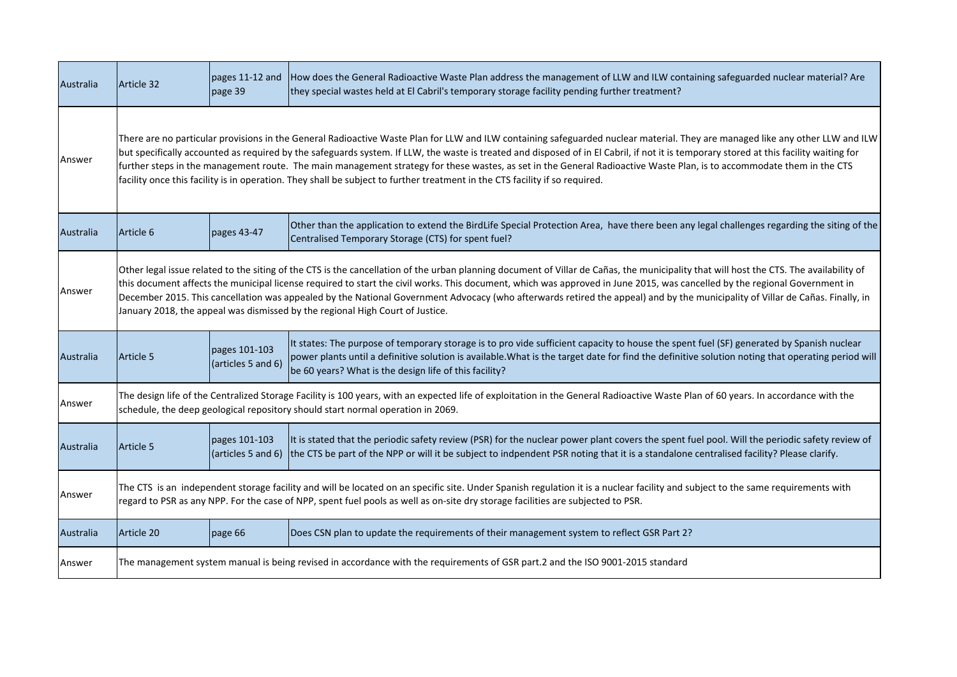| Australia | Article 32                                                                                                                                                                                                                                                                                                                                                                                                                                                                                                                                                                                                                                                                      | pages 11-12 and<br>page 39          | How does the General Radioactive Waste Plan address the management of LLW and ILW containing safeguarded nuclear material? Are<br>they special wastes held at El Cabril's temporary storage facility pending further treatment?                                                                                                                         |  |
|-----------|---------------------------------------------------------------------------------------------------------------------------------------------------------------------------------------------------------------------------------------------------------------------------------------------------------------------------------------------------------------------------------------------------------------------------------------------------------------------------------------------------------------------------------------------------------------------------------------------------------------------------------------------------------------------------------|-------------------------------------|---------------------------------------------------------------------------------------------------------------------------------------------------------------------------------------------------------------------------------------------------------------------------------------------------------------------------------------------------------|--|
| Answer    | There are no particular provisions in the General Radioactive Waste Plan for LLW and ILW containing safeguarded nuclear material. They are managed like any other LLW and ILW<br>but specifically accounted as required by the safeguards system. If LLW, the waste is treated and disposed of in El Cabril, if not it is temporary stored at this facility waiting for<br>further steps in the management route. The main management strategy for these wastes, as set in the General Radioactive Waste Plan, is to accommodate them in the CTS<br>facility once this facility is in operation. They shall be subject to further treatment in the CTS facility if so required. |                                     |                                                                                                                                                                                                                                                                                                                                                         |  |
| Australia | Article 6                                                                                                                                                                                                                                                                                                                                                                                                                                                                                                                                                                                                                                                                       | pages 43-47                         | Other than the application to extend the BirdLife Special Protection Area, have there been any legal challenges regarding the siting of the<br>Centralised Temporary Storage (CTS) for spent fuel?                                                                                                                                                      |  |
| Answer    | Other legal issue related to the siting of the CTS is the cancellation of the urban planning document of Villar de Cañas, the municipality that will host the CTS. The availability of<br>this document affects the municipal license required to start the civil works. This document, which was approved in June 2015, was cancelled by the regional Government in<br>December 2015. This cancellation was appealed by the National Government Advocacy (who afterwards retired the appeal) and by the municipality of Villar de Cañas. Finally, in<br>January 2018, the appeal was dismissed by the regional High Court of Justice.                                          |                                     |                                                                                                                                                                                                                                                                                                                                                         |  |
| Australia | Article 5                                                                                                                                                                                                                                                                                                                                                                                                                                                                                                                                                                                                                                                                       | pages 101-103<br>(articles 5 and 6) | It states: The purpose of temporary storage is to pro vide sufficient capacity to house the spent fuel (SF) generated by Spanish nuclear<br>power plants until a definitive solution is available. What is the target date for find the definitive solution noting that operating period will<br>be 60 years? What is the design life of this facility? |  |
| Answer    | The design life of the Centralized Storage Facility is 100 years, with an expected life of exploitation in the General Radioactive Waste Plan of 60 years. In accordance with the<br>schedule, the deep geological repository should start normal operation in 2069.                                                                                                                                                                                                                                                                                                                                                                                                            |                                     |                                                                                                                                                                                                                                                                                                                                                         |  |
| Australia | Article 5                                                                                                                                                                                                                                                                                                                                                                                                                                                                                                                                                                                                                                                                       | pages 101-103<br>(articles 5 and 6) | It is stated that the periodic safety review (PSR) for the nuclear power plant covers the spent fuel pool. Will the periodic safety review of<br>the CTS be part of the NPP or will it be subject to indpendent PSR noting that it is a standalone centralised facility? Please clarify.                                                                |  |
| Answer    | The CTS is an independent storage facility and will be located on an specific site. Under Spanish regulation it is a nuclear facility and subject to the same requirements with<br>regard to PSR as any NPP. For the case of NPP, spent fuel pools as well as on-site dry storage facilities are subjected to PSR.                                                                                                                                                                                                                                                                                                                                                              |                                     |                                                                                                                                                                                                                                                                                                                                                         |  |
| Australia | Article 20                                                                                                                                                                                                                                                                                                                                                                                                                                                                                                                                                                                                                                                                      | page 66                             | Does CSN plan to update the requirements of their management system to reflect GSR Part 2?                                                                                                                                                                                                                                                              |  |
| Answer    | The management system manual is being revised in accordance with the requirements of GSR part.2 and the ISO 9001-2015 standard                                                                                                                                                                                                                                                                                                                                                                                                                                                                                                                                                  |                                     |                                                                                                                                                                                                                                                                                                                                                         |  |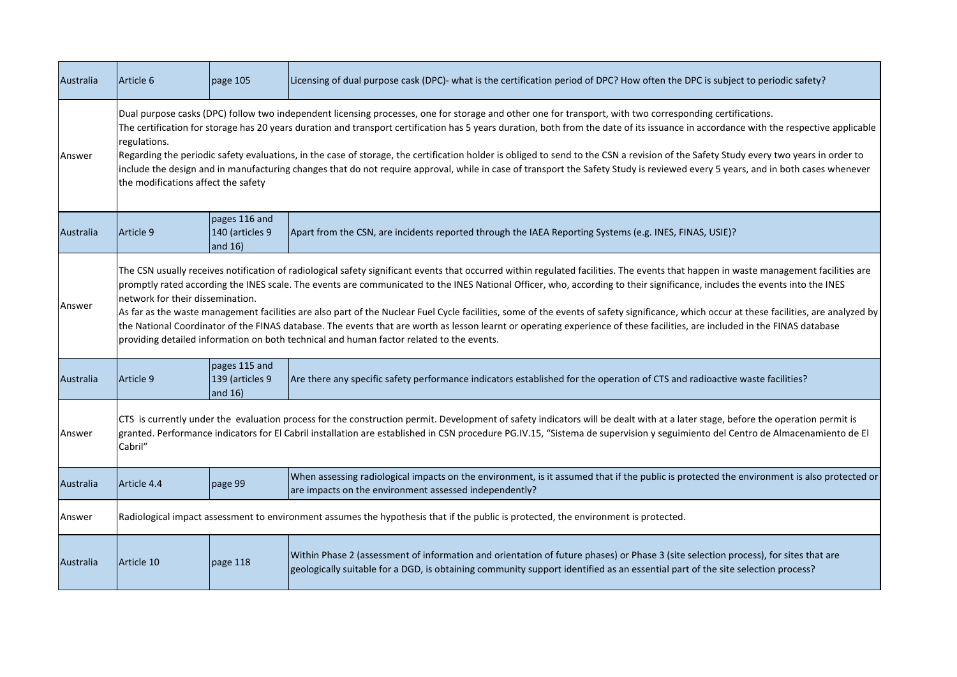| Australia | Article 6                                                                                                                                                                                                                                                                                                                                                                                                                                                                                                                                                                                                                                                                                                                                                                                                                                                                     | page 105                                       | Licensing of dual purpose cask (DPC)- what is the certification period of DPC? How often the DPC is subject to periodic safety?                                                                                                                                       |  |
|-----------|-------------------------------------------------------------------------------------------------------------------------------------------------------------------------------------------------------------------------------------------------------------------------------------------------------------------------------------------------------------------------------------------------------------------------------------------------------------------------------------------------------------------------------------------------------------------------------------------------------------------------------------------------------------------------------------------------------------------------------------------------------------------------------------------------------------------------------------------------------------------------------|------------------------------------------------|-----------------------------------------------------------------------------------------------------------------------------------------------------------------------------------------------------------------------------------------------------------------------|--|
| Answer    | Dual purpose casks (DPC) follow two independent licensing processes, one for storage and other one for transport, with two corresponding certifications.<br>The certification for storage has 20 years duration and transport certification has 5 years duration, both from the date of its issuance in accordance with the respective applicable<br>regulations.<br>Regarding the periodic safety evaluations, in the case of storage, the certification holder is obliged to send to the CSN a revision of the Safety Study every two years in order to<br>include the design and in manufacturing changes that do not require approval, while in case of transport the Safety Study is reviewed every 5 years, and in both cases whenever<br>the modifications affect the safety                                                                                           |                                                |                                                                                                                                                                                                                                                                       |  |
| Australia | Article 9                                                                                                                                                                                                                                                                                                                                                                                                                                                                                                                                                                                                                                                                                                                                                                                                                                                                     | pages 116 and<br>140 (articles 9<br>and $16)$  | Apart from the CSN, are incidents reported through the IAEA Reporting Systems (e.g. INES, FINAS, USIE)?                                                                                                                                                               |  |
| Answer    | The CSN usually receives notification of radiological safety significant events that occurred within regulated facilities. The events that happen in waste management facilities are<br>promptly rated according the INES scale. The events are communicated to the INES National Officer, who, according to their significance, includes the events into the INES<br>network for their dissemination.<br>As far as the waste management facilities are also part of the Nuclear Fuel Cycle facilities, some of the events of safety significance, which occur at these facilities, are analyzed by<br>the National Coordinator of the FINAS database. The events that are worth as lesson learnt or operating experience of these facilities, are included in the FINAS database<br>providing detailed information on both technical and human factor related to the events. |                                                |                                                                                                                                                                                                                                                                       |  |
| Australia | Article 9                                                                                                                                                                                                                                                                                                                                                                                                                                                                                                                                                                                                                                                                                                                                                                                                                                                                     | pages 115 and<br>139 (articles 9<br>and $16$ ) | Are there any specific safety performance indicators established for the operation of CTS and radioactive waste facilities?                                                                                                                                           |  |
| Answer    | CTS is currently under the evaluation process for the construction permit. Development of safety indicators will be dealt with at a later stage, before the operation permit is<br>granted. Performance indicators for El Cabril installation are established in CSN procedure PG.IV.15, "Sistema de supervision y seguimiento del Centro de Almacenamiento de El<br>Cabril"                                                                                                                                                                                                                                                                                                                                                                                                                                                                                                  |                                                |                                                                                                                                                                                                                                                                       |  |
| Australia | Article 4.4                                                                                                                                                                                                                                                                                                                                                                                                                                                                                                                                                                                                                                                                                                                                                                                                                                                                   | page 99                                        | When assessing radiological impacts on the environment, is it assumed that if the public is protected the environment is also protected or<br>are impacts on the environment assessed independently?                                                                  |  |
| Answer    |                                                                                                                                                                                                                                                                                                                                                                                                                                                                                                                                                                                                                                                                                                                                                                                                                                                                               |                                                | Radiological impact assessment to environment assumes the hypothesis that if the public is protected, the environment is protected.                                                                                                                                   |  |
| Australia | Article 10                                                                                                                                                                                                                                                                                                                                                                                                                                                                                                                                                                                                                                                                                                                                                                                                                                                                    | page 118                                       | Within Phase 2 (assessment of information and orientation of future phases) or Phase 3 (site selection process), for sites that are<br>geologically suitable for a DGD, is obtaining community support identified as an essential part of the site selection process? |  |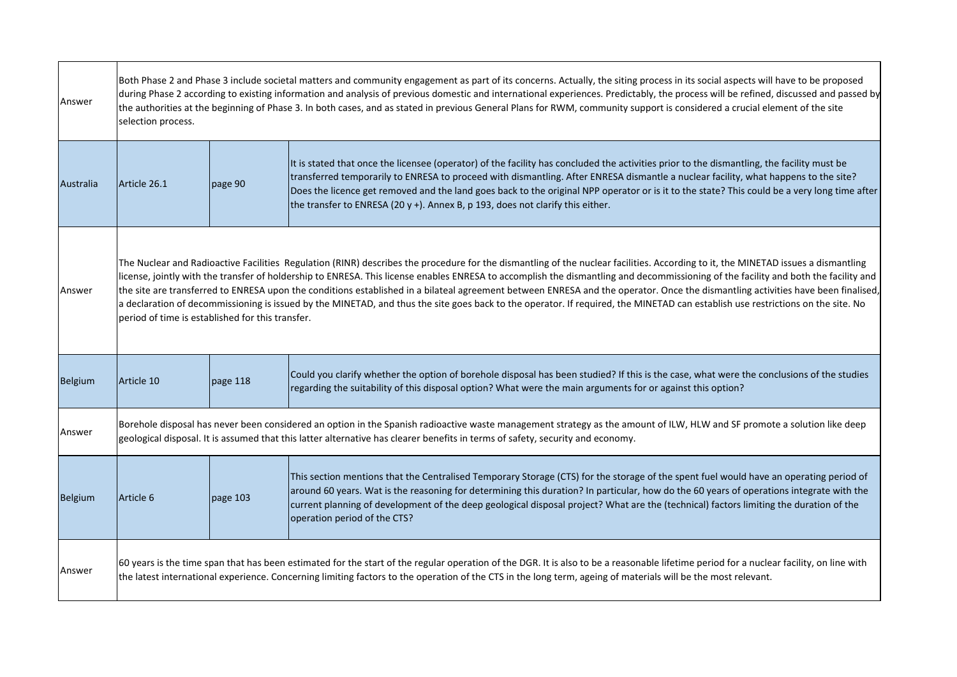| Answer         | selection process.                                                                                                                                                                                                                                                                                                                                       | Both Phase 2 and Phase 3 include societal matters and community engagement as part of its concerns. Actually, the siting process in its social aspects will have to be proposed<br>during Phase 2 according to existing information and analysis of previous domestic and international experiences. Predictably, the process will be refined, discussed and passed by<br>the authorities at the beginning of Phase 3. In both cases, and as stated in previous General Plans for RWM, community support is considered a crucial element of the site                                                                                                                                                                                                                                                |                                                                                                                                                                                                                                                                                                                                                                                                                                                                                                                       |  |  |
|----------------|----------------------------------------------------------------------------------------------------------------------------------------------------------------------------------------------------------------------------------------------------------------------------------------------------------------------------------------------------------|-----------------------------------------------------------------------------------------------------------------------------------------------------------------------------------------------------------------------------------------------------------------------------------------------------------------------------------------------------------------------------------------------------------------------------------------------------------------------------------------------------------------------------------------------------------------------------------------------------------------------------------------------------------------------------------------------------------------------------------------------------------------------------------------------------|-----------------------------------------------------------------------------------------------------------------------------------------------------------------------------------------------------------------------------------------------------------------------------------------------------------------------------------------------------------------------------------------------------------------------------------------------------------------------------------------------------------------------|--|--|
| Australia      | Article 26.1                                                                                                                                                                                                                                                                                                                                             | page 90                                                                                                                                                                                                                                                                                                                                                                                                                                                                                                                                                                                                                                                                                                                                                                                             | It is stated that once the licensee (operator) of the facility has concluded the activities prior to the dismantling, the facility must be<br>transferred temporarily to ENRESA to proceed with dismantling. After ENRESA dismantle a nuclear facility, what happens to the site?<br>Does the licence get removed and the land goes back to the original NPP operator or is it to the state? This could be a very long time after<br>the transfer to ENRESA (20 $y$ +). Annex B, p 193, does not clarify this either. |  |  |
| Answer         |                                                                                                                                                                                                                                                                                                                                                          | The Nuclear and Radioactive Facilities Regulation (RINR) describes the procedure for the dismantling of the nuclear facilities. According to it, the MINETAD issues a dismantling<br>license, jointly with the transfer of holdership to ENRESA. This license enables ENRESA to accomplish the dismantling and decommissioning of the facility and both the facility and<br>the site are transferred to ENRESA upon the conditions established in a bilateal agreement between ENRESA and the operator. Once the dismantling activities have been finalised,<br>a declaration of decommissioning is issued by the MINETAD, and thus the site goes back to the operator. If required, the MINETAD can establish use restrictions on the site. No<br>period of time is established for this transfer. |                                                                                                                                                                                                                                                                                                                                                                                                                                                                                                                       |  |  |
| Belgium        | Article 10                                                                                                                                                                                                                                                                                                                                               | page 118                                                                                                                                                                                                                                                                                                                                                                                                                                                                                                                                                                                                                                                                                                                                                                                            | Could you clarify whether the option of borehole disposal has been studied? If this is the case, what were the conclusions of the studies<br>regarding the suitability of this disposal option? What were the main arguments for or against this option?                                                                                                                                                                                                                                                              |  |  |
| Answer         | Borehole disposal has never been considered an option in the Spanish radioactive waste management strategy as the amount of ILW, HLW and SF promote a solution like deep<br>geological disposal. It is assumed that this latter alternative has clearer benefits in terms of safety, security and economy.                                               |                                                                                                                                                                                                                                                                                                                                                                                                                                                                                                                                                                                                                                                                                                                                                                                                     |                                                                                                                                                                                                                                                                                                                                                                                                                                                                                                                       |  |  |
| <b>Belgium</b> | Article 6                                                                                                                                                                                                                                                                                                                                                | page 103                                                                                                                                                                                                                                                                                                                                                                                                                                                                                                                                                                                                                                                                                                                                                                                            | This section mentions that the Centralised Temporary Storage (CTS) for the storage of the spent fuel would have an operating period of<br>around 60 years. Wat is the reasoning for determining this duration? In particular, how do the 60 years of operations integrate with the<br>current planning of development of the deep geological disposal project? What are the (technical) factors limiting the duration of the<br>operation period of the CTS?                                                          |  |  |
| Answer         | 60 years is the time span that has been estimated for the start of the regular operation of the DGR. It is also to be a reasonable lifetime period for a nuclear facility, on line with<br>the latest international experience. Concerning limiting factors to the operation of the CTS in the long term, ageing of materials will be the most relevant. |                                                                                                                                                                                                                                                                                                                                                                                                                                                                                                                                                                                                                                                                                                                                                                                                     |                                                                                                                                                                                                                                                                                                                                                                                                                                                                                                                       |  |  |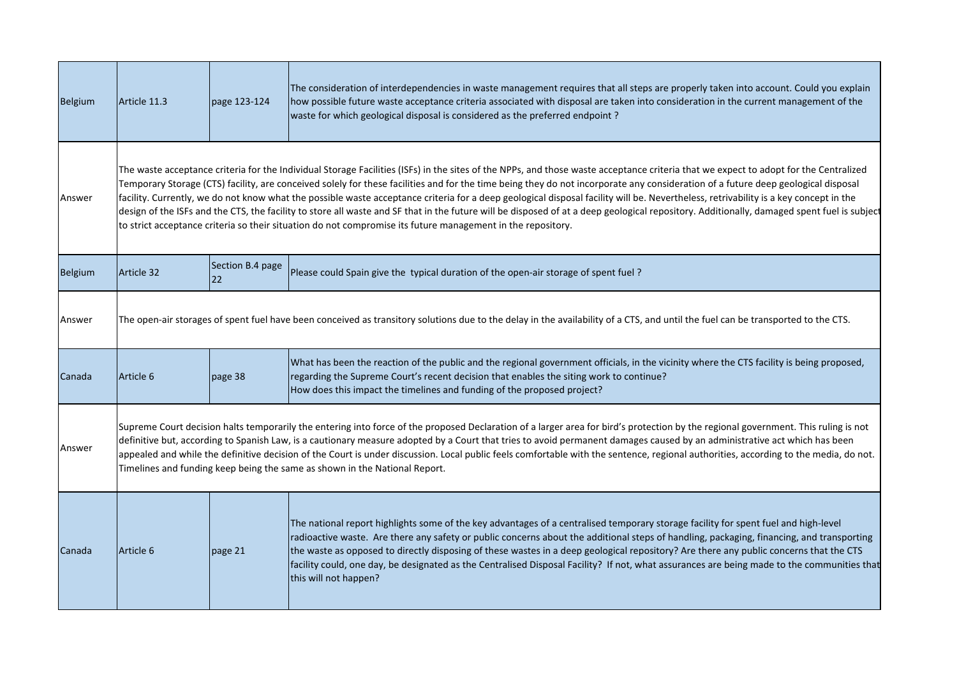| <b>Belgium</b> | Article 11.3                                                                                                                                                                                                                                                                                                                                                                                                                                                                                                                                                                                                                          | page 123-124                                                                                                                                                                                                                                                                                                                                                                                                                                                                                                                                                                                                                                                                                                                                                                                                                                                                   | The consideration of interdependencies in waste management requires that all steps are properly taken into account. Could you explain<br>how possible future waste acceptance criteria associated with disposal are taken into consideration in the current management of the<br>waste for which geological disposal is considered as the preferred endpoint?                                                                                                                                                                                                                                      |  |  |  |
|----------------|---------------------------------------------------------------------------------------------------------------------------------------------------------------------------------------------------------------------------------------------------------------------------------------------------------------------------------------------------------------------------------------------------------------------------------------------------------------------------------------------------------------------------------------------------------------------------------------------------------------------------------------|--------------------------------------------------------------------------------------------------------------------------------------------------------------------------------------------------------------------------------------------------------------------------------------------------------------------------------------------------------------------------------------------------------------------------------------------------------------------------------------------------------------------------------------------------------------------------------------------------------------------------------------------------------------------------------------------------------------------------------------------------------------------------------------------------------------------------------------------------------------------------------|----------------------------------------------------------------------------------------------------------------------------------------------------------------------------------------------------------------------------------------------------------------------------------------------------------------------------------------------------------------------------------------------------------------------------------------------------------------------------------------------------------------------------------------------------------------------------------------------------|--|--|--|
| Answer         |                                                                                                                                                                                                                                                                                                                                                                                                                                                                                                                                                                                                                                       | The waste acceptance criteria for the Individual Storage Facilities (ISFs) in the sites of the NPPs, and those waste acceptance criteria that we expect to adopt for the Centralized<br>Temporary Storage (CTS) facility, are conceived solely for these facilities and for the time being they do not incorporate any consideration of a future deep geological disposal<br>facility. Currently, we do not know what the possible waste acceptance criteria for a deep geological disposal facility will be. Nevertheless, retrivability is a key concept in the<br>design of the ISFs and the CTS, the facility to store all waste and SF that in the future will be disposed of at a deep geological repository. Additionally, damaged spent fuel is subject<br>to strict acceptance criteria so their situation do not compromise its future management in the repository. |                                                                                                                                                                                                                                                                                                                                                                                                                                                                                                                                                                                                    |  |  |  |
| <b>Belgium</b> | Article 32                                                                                                                                                                                                                                                                                                                                                                                                                                                                                                                                                                                                                            | Section B.4 page<br>22                                                                                                                                                                                                                                                                                                                                                                                                                                                                                                                                                                                                                                                                                                                                                                                                                                                         | Please could Spain give the typical duration of the open-air storage of spent fuel?                                                                                                                                                                                                                                                                                                                                                                                                                                                                                                                |  |  |  |
| Answer         | The open-air storages of spent fuel have been conceived as transitory solutions due to the delay in the availability of a CTS, and until the fuel can be transported to the CTS.                                                                                                                                                                                                                                                                                                                                                                                                                                                      |                                                                                                                                                                                                                                                                                                                                                                                                                                                                                                                                                                                                                                                                                                                                                                                                                                                                                |                                                                                                                                                                                                                                                                                                                                                                                                                                                                                                                                                                                                    |  |  |  |
| Canada         | Article 6                                                                                                                                                                                                                                                                                                                                                                                                                                                                                                                                                                                                                             | page 38                                                                                                                                                                                                                                                                                                                                                                                                                                                                                                                                                                                                                                                                                                                                                                                                                                                                        | What has been the reaction of the public and the regional government officials, in the vicinity where the CTS facility is being proposed,<br>regarding the Supreme Court's recent decision that enables the siting work to continue?<br>How does this impact the timelines and funding of the proposed project?                                                                                                                                                                                                                                                                                    |  |  |  |
| Answer         | Supreme Court decision halts temporarily the entering into force of the proposed Declaration of a larger area for bird's protection by the regional government. This ruling is not<br>definitive but, according to Spanish Law, is a cautionary measure adopted by a Court that tries to avoid permanent damages caused by an administrative act which has been<br>appealed and while the definitive decision of the Court is under discussion. Local public feels comfortable with the sentence, regional authorities, according to the media, do not.<br>Timelines and funding keep being the same as shown in the National Report. |                                                                                                                                                                                                                                                                                                                                                                                                                                                                                                                                                                                                                                                                                                                                                                                                                                                                                |                                                                                                                                                                                                                                                                                                                                                                                                                                                                                                                                                                                                    |  |  |  |
| Canada         | Article 6                                                                                                                                                                                                                                                                                                                                                                                                                                                                                                                                                                                                                             | page 21                                                                                                                                                                                                                                                                                                                                                                                                                                                                                                                                                                                                                                                                                                                                                                                                                                                                        | The national report highlights some of the key advantages of a centralised temporary storage facility for spent fuel and high-level<br>radioactive waste. Are there any safety or public concerns about the additional steps of handling, packaging, financing, and transporting<br>the waste as opposed to directly disposing of these wastes in a deep geological repository? Are there any public concerns that the CTS<br>facility could, one day, be designated as the Centralised Disposal Facility? If not, what assurances are being made to the communities that<br>this will not happen? |  |  |  |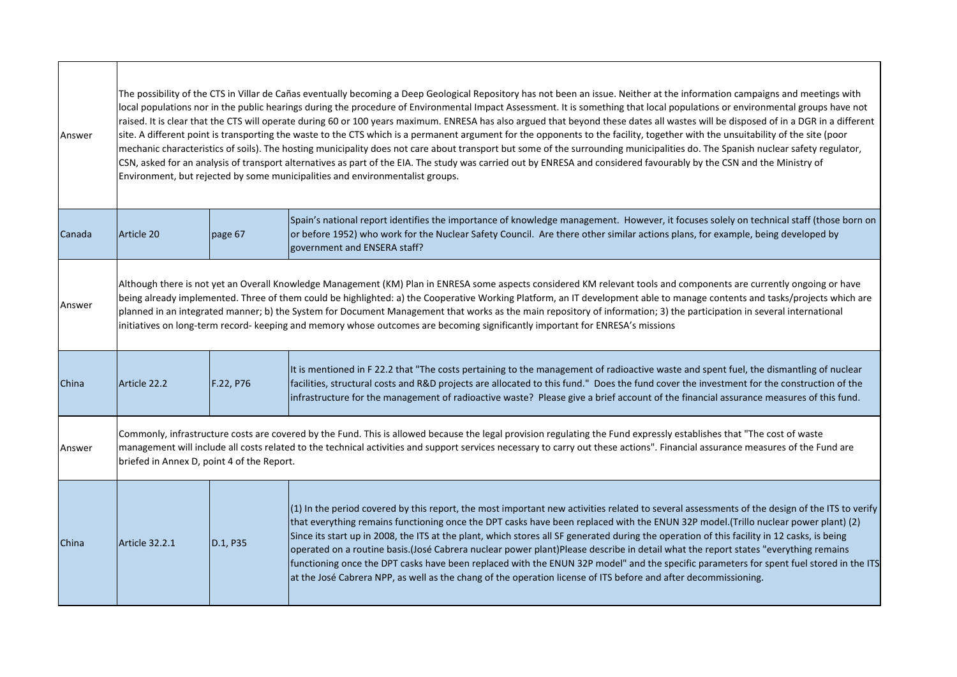| Answer |                                                                                                                                                                                                                                                                                                                                                                                                                                                                                                                                                                                                                                                               | The possibility of the CTS in Villar de Cañas eventually becoming a Deep Geological Repository has not been an issue. Neither at the information campaigns and meetings with<br>local populations nor in the public hearings during the procedure of Environmental Impact Assessment. It is something that local populations or environmental groups have not<br>raised. It is clear that the CTS will operate during 60 or 100 years maximum. ENRESA has also argued that beyond these dates all wastes will be disposed of in a DGR in a different<br>site. A different point is transporting the waste to the CTS which is a permanent argument for the opponents to the facility, together with the unsuitability of the site (poor<br>mechanic characteristics of soils). The hosting municipality does not care about transport but some of the surrounding municipalities do. The Spanish nuclear safety regulator,<br>CSN, asked for an analysis of transport alternatives as part of the EIA. The study was carried out by ENRESA and considered favourably by the CSN and the Ministry of<br>Environment, but rejected by some municipalities and environmentalist groups. |                                                                                                                                                                                                                                                                                                                                                                                                                                                                                                                                                                                                                                                                                                                                                                                                                                          |  |  |
|--------|---------------------------------------------------------------------------------------------------------------------------------------------------------------------------------------------------------------------------------------------------------------------------------------------------------------------------------------------------------------------------------------------------------------------------------------------------------------------------------------------------------------------------------------------------------------------------------------------------------------------------------------------------------------|--------------------------------------------------------------------------------------------------------------------------------------------------------------------------------------------------------------------------------------------------------------------------------------------------------------------------------------------------------------------------------------------------------------------------------------------------------------------------------------------------------------------------------------------------------------------------------------------------------------------------------------------------------------------------------------------------------------------------------------------------------------------------------------------------------------------------------------------------------------------------------------------------------------------------------------------------------------------------------------------------------------------------------------------------------------------------------------------------------------------------------------------------------------------------------------|------------------------------------------------------------------------------------------------------------------------------------------------------------------------------------------------------------------------------------------------------------------------------------------------------------------------------------------------------------------------------------------------------------------------------------------------------------------------------------------------------------------------------------------------------------------------------------------------------------------------------------------------------------------------------------------------------------------------------------------------------------------------------------------------------------------------------------------|--|--|
| Canada | Article 20                                                                                                                                                                                                                                                                                                                                                                                                                                                                                                                                                                                                                                                    | page 67                                                                                                                                                                                                                                                                                                                                                                                                                                                                                                                                                                                                                                                                                                                                                                                                                                                                                                                                                                                                                                                                                                                                                                              | Spain's national report identifies the importance of knowledge management. However, it focuses solely on technical staff (those born on<br>or before 1952) who work for the Nuclear Safety Council. Are there other similar actions plans, for example, being developed by<br>government and ENSERA staff?                                                                                                                                                                                                                                                                                                                                                                                                                                                                                                                               |  |  |
| Answer | Although there is not yet an Overall Knowledge Management (KM) Plan in ENRESA some aspects considered KM relevant tools and components are currently ongoing or have<br>being already implemented. Three of them could be highlighted: a) the Cooperative Working Platform, an IT development able to manage contents and tasks/projects which are<br>planned in an integrated manner; b) the System for Document Management that works as the main repository of information; 3) the participation in several international<br>initiatives on long-term record- keeping and memory whose outcomes are becoming significantly important for ENRESA's missions |                                                                                                                                                                                                                                                                                                                                                                                                                                                                                                                                                                                                                                                                                                                                                                                                                                                                                                                                                                                                                                                                                                                                                                                      |                                                                                                                                                                                                                                                                                                                                                                                                                                                                                                                                                                                                                                                                                                                                                                                                                                          |  |  |
| China  | Article 22.2                                                                                                                                                                                                                                                                                                                                                                                                                                                                                                                                                                                                                                                  | F.22, P76                                                                                                                                                                                                                                                                                                                                                                                                                                                                                                                                                                                                                                                                                                                                                                                                                                                                                                                                                                                                                                                                                                                                                                            | It is mentioned in F22.2 that "The costs pertaining to the management of radioactive waste and spent fuel, the dismantling of nuclear<br>facilities, structural costs and R&D projects are allocated to this fund." Does the fund cover the investment for the construction of the<br>infrastructure for the management of radioactive waste? Please give a brief account of the financial assurance measures of this fund.                                                                                                                                                                                                                                                                                                                                                                                                              |  |  |
| Answer | Commonly, infrastructure costs are covered by the Fund. This is allowed because the legal provision regulating the Fund expressly establishes that "The cost of waste<br>management will include all costs related to the technical activities and support services necessary to carry out these actions". Financial assurance measures of the Fund are<br>briefed in Annex D, point 4 of the Report.                                                                                                                                                                                                                                                         |                                                                                                                                                                                                                                                                                                                                                                                                                                                                                                                                                                                                                                                                                                                                                                                                                                                                                                                                                                                                                                                                                                                                                                                      |                                                                                                                                                                                                                                                                                                                                                                                                                                                                                                                                                                                                                                                                                                                                                                                                                                          |  |  |
| China  | <b>Article 32.2.1</b>                                                                                                                                                                                                                                                                                                                                                                                                                                                                                                                                                                                                                                         | D.1, P35                                                                                                                                                                                                                                                                                                                                                                                                                                                                                                                                                                                                                                                                                                                                                                                                                                                                                                                                                                                                                                                                                                                                                                             | $(1)$ In the period covered by this report, the most important new activities related to several assessments of the design of the ITS to verify<br>that everything remains functioning once the DPT casks have been replaced with the ENUN 32P model.(Trillo nuclear power plant) (2)<br>Since its start up in 2008, the ITS at the plant, which stores all SF generated during the operation of this facility in 12 casks, is being<br>operated on a routine basis.(José Cabrera nuclear power plant)Please describe in detail what the report states "everything remains<br>functioning once the DPT casks have been replaced with the ENUN 32P model" and the specific parameters for spent fuel stored in the ITS<br>at the José Cabrera NPP, as well as the chang of the operation license of ITS before and after decommissioning. |  |  |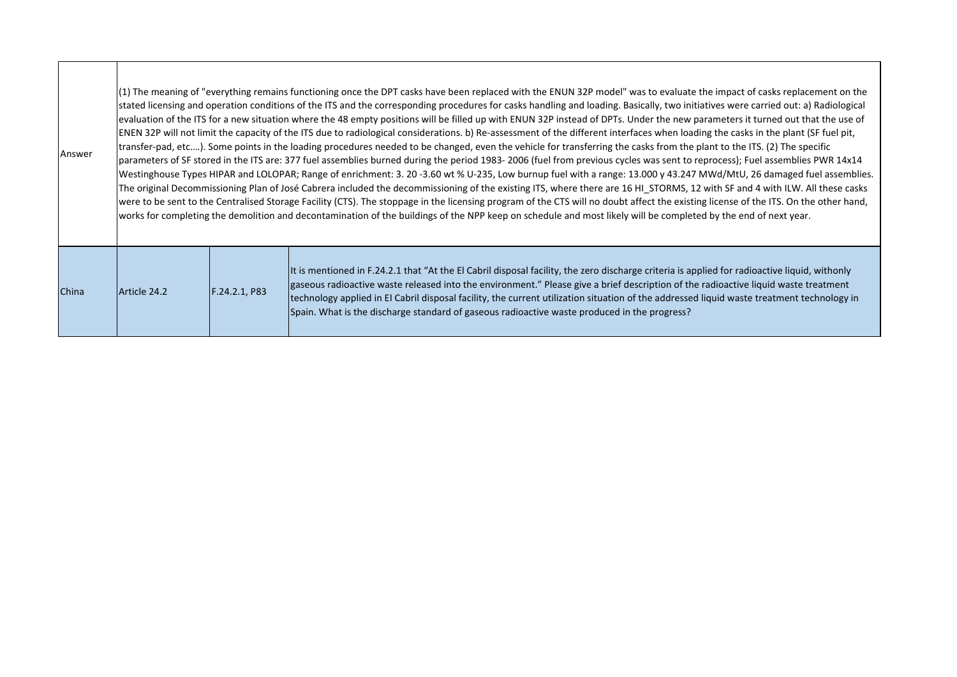| Answer       | (1) The meaning of "everything remains functioning once the DPT casks have been replaced with the ENUN 32P model" was to evaluate the impact of casks replacement on the<br>stated licensing and operation conditions of the ITS and the corresponding procedures for casks handling and loading. Basically, two initiatives were carried out: a) Radiological<br>evaluation of the ITS for a new situation where the 48 empty positions will be filled up with ENUN 32P instead of DPTs. Under the new parameters it turned out that the use of<br>[ENEN 32P will not limit the capacity of the ITS due to radiological considerations. b) Re-assessment of the different interfaces when loading the casks in the plant (SF fuel pit,<br>transfer-pad, etc). Some points in the loading procedures needed to be changed, even the vehicle for transferring the casks from the plant to the ITS. (2) The specific<br>parameters of SF stored in the ITS are: 377 fuel assemblies burned during the period 1983-2006 (fuel from previous cycles was sent to reprocess); Fuel assemblies PWR 14x14<br>Westinghouse Types HIPAR and LOLOPAR; Range of enrichment: 3. 20-3.60 wt % U-235, Low burnup fuel with a range: 13.000 y 43.247 MWd/MtU, 26 damaged fuel assemblies.<br>The original Decommissioning Plan of José Cabrera included the decommissioning of the existing ITS, where there are 16 HI_STORMS, 12 with SF and 4 with ILW. All these casks<br>were to be sent to the Centralised Storage Facility (CTS). The stoppage in the licensing program of the CTS will no doubt affect the existing license of the ITS. On the other hand,<br>works for completing the demolition and decontamination of the buildings of the NPP keep on schedule and most likely will be completed by the end of next year. |               |                                                                                                                                                                                                                                                                                                                                                                                                                                                                                                                                    |
|--------------|----------------------------------------------------------------------------------------------------------------------------------------------------------------------------------------------------------------------------------------------------------------------------------------------------------------------------------------------------------------------------------------------------------------------------------------------------------------------------------------------------------------------------------------------------------------------------------------------------------------------------------------------------------------------------------------------------------------------------------------------------------------------------------------------------------------------------------------------------------------------------------------------------------------------------------------------------------------------------------------------------------------------------------------------------------------------------------------------------------------------------------------------------------------------------------------------------------------------------------------------------------------------------------------------------------------------------------------------------------------------------------------------------------------------------------------------------------------------------------------------------------------------------------------------------------------------------------------------------------------------------------------------------------------------------------------------------------------------------------------------------------------------------------------------------------------------|---------------|------------------------------------------------------------------------------------------------------------------------------------------------------------------------------------------------------------------------------------------------------------------------------------------------------------------------------------------------------------------------------------------------------------------------------------------------------------------------------------------------------------------------------------|
| <b>China</b> | Article 24.2                                                                                                                                                                                                                                                                                                                                                                                                                                                                                                                                                                                                                                                                                                                                                                                                                                                                                                                                                                                                                                                                                                                                                                                                                                                                                                                                                                                                                                                                                                                                                                                                                                                                                                                                                                                                         | F.24.2.1, P83 | It is mentioned in F.24.2.1 that "At the El Cabril disposal facility, the zero discharge criteria is applied for radioactive liquid, withonly<br>gaseous radioactive waste released into the environment." Please give a brief description of the radioactive liquid waste treatment<br>technology applied in EI Cabril disposal facility, the current utilization situation of the addressed liquid waste treatment technology in<br>Spain. What is the discharge standard of gaseous radioactive waste produced in the progress? |

 $\Gamma$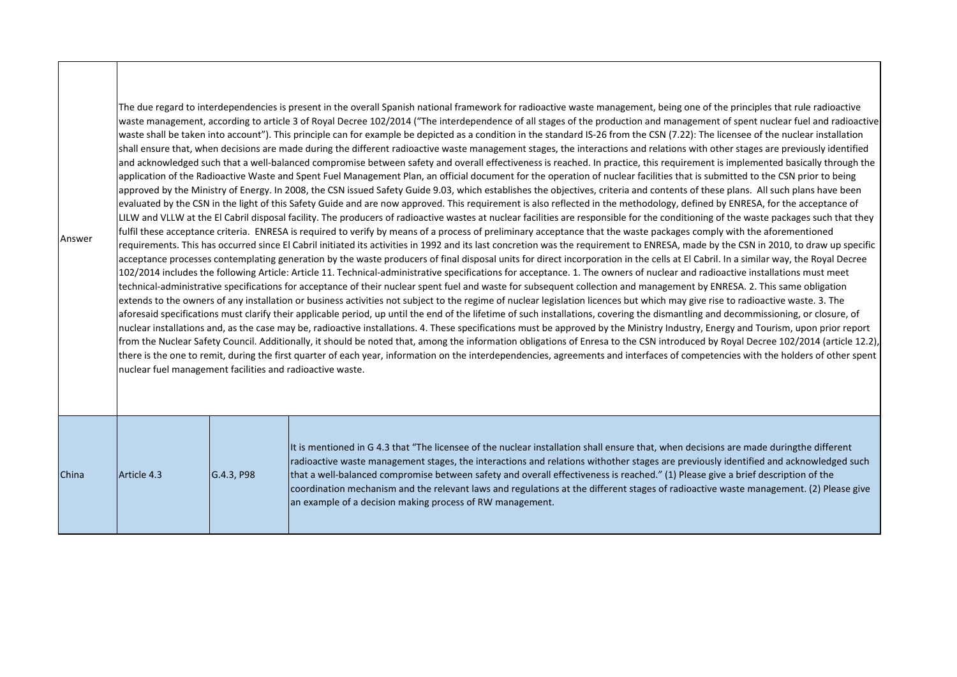| Answer | nuclear fuel management facilities and radioactive waste. |            | The due regard to interdependencies is present in the overall Spanish national framework for radioactive waste management, being one of the principles that rule radioactive<br>waste management, according to article 3 of Royal Decree 102/2014 ("The interdependence of all stages of the production and management of spent nuclear fuel and radioactive<br>waste shall be taken into account"). This principle can for example be depicted as a condition in the standard IS-26 from the CSN (7.22): The licensee of the nuclear installation<br>shall ensure that, when decisions are made during the different radioactive waste management stages, the interactions and relations with other stages are previously identified<br>and acknowledged such that a well-balanced compromise between safety and overall effectiveness is reached. In practice, this requirement is implemented basically through the<br>application of the Radioactive Waste and Spent Fuel Management Plan, an official document for the operation of nuclear facilities that is submitted to the CSN prior to being<br>approved by the Ministry of Energy. In 2008, the CSN issued Safety Guide 9.03, which establishes the objectives, criteria and contents of these plans. All such plans have been<br>evaluated by the CSN in the light of this Safety Guide and are now approved. This requirement is also reflected in the methodology, defined by ENRESA, for the acceptance of<br>LILW and VLLW at the El Cabril disposal facility. The producers of radioactive wastes at nuclear facilities are responsible for the conditioning of the waste packages such that they<br>fulfil these acceptance criteria. ENRESA is required to verify by means of a process of preliminary acceptance that the waste packages comply with the aforementioned<br>requirements. This has occurred since El Cabril initiated its activities in 1992 and its last concretion was the requirement to ENRESA, made by the CSN in 2010, to draw up specific<br>acceptance processes contemplating generation by the waste producers of final disposal units for direct incorporation in the cells at El Cabril. In a similar way, the Royal Decree<br>102/2014 includes the following Article: Article 11. Technical-administrative specifications for acceptance. 1. The owners of nuclear and radioactive installations must meet<br>technical-administrative specifications for acceptance of their nuclear spent fuel and waste for subsequent collection and management by ENRESA. 2. This same obligation<br>extends to the owners of any installation or business activities not subject to the regime of nuclear legislation licences but which may give rise to radioactive waste. 3. The<br>aforesaid specifications must clarify their applicable period, up until the end of the lifetime of such installations, covering the dismantling and decommissioning, or closure, of<br>nuclear installations and, as the case may be, radioactive installations. 4. These specifications must be approved by the Ministry Industry, Energy and Tourism, upon prior report<br>from the Nuclear Safety Council. Additionally, it should be noted that, among the information obligations of Enresa to the CSN introduced by Royal Decree 102/2014 (article 12.2),<br>there is the one to remit, during the first quarter of each year, information on the interdependencies, agreements and interfaces of competencies with the holders of other spent |
|--------|-----------------------------------------------------------|------------|-------------------------------------------------------------------------------------------------------------------------------------------------------------------------------------------------------------------------------------------------------------------------------------------------------------------------------------------------------------------------------------------------------------------------------------------------------------------------------------------------------------------------------------------------------------------------------------------------------------------------------------------------------------------------------------------------------------------------------------------------------------------------------------------------------------------------------------------------------------------------------------------------------------------------------------------------------------------------------------------------------------------------------------------------------------------------------------------------------------------------------------------------------------------------------------------------------------------------------------------------------------------------------------------------------------------------------------------------------------------------------------------------------------------------------------------------------------------------------------------------------------------------------------------------------------------------------------------------------------------------------------------------------------------------------------------------------------------------------------------------------------------------------------------------------------------------------------------------------------------------------------------------------------------------------------------------------------------------------------------------------------------------------------------------------------------------------------------------------------------------------------------------------------------------------------------------------------------------------------------------------------------------------------------------------------------------------------------------------------------------------------------------------------------------------------------------------------------------------------------------------------------------------------------------------------------------------------------------------------------------------------------------------------------------------------------------------------------------------------------------------------------------------------------------------------------------------------------------------------------------------------------------------------------------------------------------------------------------------------------------------------------------------------------------------------------------------------------------------------------------------------------------------------------------------------------------------------------------------------------------------------------------------------------------------------------------------------------------------------------------------------------------------------------------------------------------------------------------------------------------------------------------------------|
| China  | Article 4.3                                               | G.4.3, P98 | It is mentioned in G 4.3 that "The licensee of the nuclear installation shall ensure that, when decisions are made duringthe different<br>radioactive waste management stages, the interactions and relations withother stages are previously identified and acknowledged such<br>that a well-balanced compromise between safety and overall effectiveness is reached." (1) Please give a brief description of the<br>coordination mechanism and the relevant laws and regulations at the different stages of radioactive waste management. (2) Please give<br>an example of a decision making process of RW management.                                                                                                                                                                                                                                                                                                                                                                                                                                                                                                                                                                                                                                                                                                                                                                                                                                                                                                                                                                                                                                                                                                                                                                                                                                                                                                                                                                                                                                                                                                                                                                                                                                                                                                                                                                                                                                                                                                                                                                                                                                                                                                                                                                                                                                                                                                                                                                                                                                                                                                                                                                                                                                                                                                                                                                                                                                                                                                            |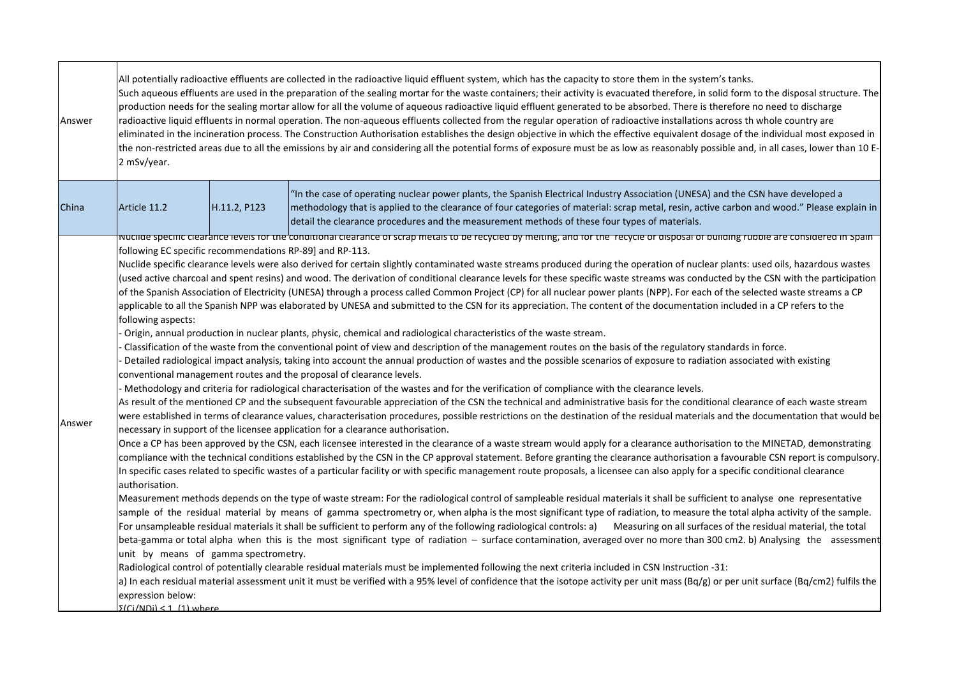| Answer | All potentially radioactive effluents are collected in the radioactive liquid effluent system, which has the capacity to store them in the system's tanks.<br>Such aqueous effluents are used in the preparation of the sealing mortar for the waste containers; their activity is evacuated therefore, in solid form to the disposal structure. The<br>production needs for the sealing mortar allow for all the volume of aqueous radioactive liquid effluent generated to be absorbed. There is therefore no need to discharge<br>radioactive liquid effluents in normal operation. The non-aqueous effluents collected from the regular operation of radioactive installations across th whole country are<br>eliminated in the incineration process. The Construction Authorisation establishes the design objective in which the effective equivalent dosage of the individual most exposed in<br>the non-restricted areas due to all the emissions by air and considering all the potential forms of exposure must be as low as reasonably possible and, in all cases, lower than 10 E-<br>2 mSv/year.                                                                                                                                                                                                                                                                                                                                                                                                                                                                                                                                                                                                                                                                                                                                                                                                                                                                                                                                                                                                                                                                                                                                                                                                                                                                                                                                                                                                                                                                                                                                                                                                                                                                                                                                                                                                                                                                                                                                                                                                                                                                                                                                                                                                                                                                                                                                                                                                                                                                                                                                                                                                                                                                                                                                                    |              |                                                                                                                                                                                                                                                                                                                                                                                  |  |
|--------|------------------------------------------------------------------------------------------------------------------------------------------------------------------------------------------------------------------------------------------------------------------------------------------------------------------------------------------------------------------------------------------------------------------------------------------------------------------------------------------------------------------------------------------------------------------------------------------------------------------------------------------------------------------------------------------------------------------------------------------------------------------------------------------------------------------------------------------------------------------------------------------------------------------------------------------------------------------------------------------------------------------------------------------------------------------------------------------------------------------------------------------------------------------------------------------------------------------------------------------------------------------------------------------------------------------------------------------------------------------------------------------------------------------------------------------------------------------------------------------------------------------------------------------------------------------------------------------------------------------------------------------------------------------------------------------------------------------------------------------------------------------------------------------------------------------------------------------------------------------------------------------------------------------------------------------------------------------------------------------------------------------------------------------------------------------------------------------------------------------------------------------------------------------------------------------------------------------------------------------------------------------------------------------------------------------------------------------------------------------------------------------------------------------------------------------------------------------------------------------------------------------------------------------------------------------------------------------------------------------------------------------------------------------------------------------------------------------------------------------------------------------------------------------------------------------------------------------------------------------------------------------------------------------------------------------------------------------------------------------------------------------------------------------------------------------------------------------------------------------------------------------------------------------------------------------------------------------------------------------------------------------------------------------------------------------------------------------------------------------------------------------------------------------------------------------------------------------------------------------------------------------------------------------------------------------------------------------------------------------------------------------------------------------------------------------------------------------------------------------------------------------------------------------------------------------------------------------------------------------|--------------|----------------------------------------------------------------------------------------------------------------------------------------------------------------------------------------------------------------------------------------------------------------------------------------------------------------------------------------------------------------------------------|--|
| China  | Article 11.2                                                                                                                                                                                                                                                                                                                                                                                                                                                                                                                                                                                                                                                                                                                                                                                                                                                                                                                                                                                                                                                                                                                                                                                                                                                                                                                                                                                                                                                                                                                                                                                                                                                                                                                                                                                                                                                                                                                                                                                                                                                                                                                                                                                                                                                                                                                                                                                                                                                                                                                                                                                                                                                                                                                                                                                                                                                                                                                                                                                                                                                                                                                                                                                                                                                                                                                                                                                                                                                                                                                                                                                                                                                                                                                                                                                                                                                     | H.11.2, P123 | "In the case of operating nuclear power plants, the Spanish Electrical Industry Association (UNESA) and the CSN have developed a<br>methodology that is applied to the clearance of four categories of material: scrap metal, resin, active carbon and wood." Please explain in<br>detail the clearance procedures and the measurement methods of these four types of materials. |  |
| Answer | ivuchae specific clearance levels for the conditional clearance of scrap metals to be recycled by melting, and for the "recycle or disposal of building rubble are considered in Spain<br>following EC specific recommendations RP-89] and RP-113.<br>Nuclide specific clearance levels were also derived for certain slightly contaminated waste streams produced during the operation of nuclear plants: used oils, hazardous wastes<br>(used active charcoal and spent resins) and wood. The derivation of conditional clearance levels for these specific waste streams was conducted by the CSN with the participation<br>of the Spanish Association of Electricity (UNESA) through a process called Common Project (CP) for all nuclear power plants (NPP). For each of the selected waste streams a CP<br>applicable to all the Spanish NPP was elaborated by UNESA and submitted to the CSN for its appreciation. The content of the documentation included in a CP refers to the<br>following aspects:<br>Origin, annual production in nuclear plants, physic, chemical and radiological characteristics of the waste stream.<br>Classification of the waste from the conventional point of view and description of the management routes on the basis of the regulatory standards in force.<br>Detailed radiological impact analysis, taking into account the annual production of wastes and the possible scenarios of exposure to radiation associated with existing<br>conventional management routes and the proposal of clearance levels.<br>Methodology and criteria for radiological characterisation of the wastes and for the verification of compliance with the clearance levels.<br>As result of the mentioned CP and the subsequent favourable appreciation of the CSN the technical and administrative basis for the conditional clearance of each waste stream<br>were established in terms of clearance values, characterisation procedures, possible restrictions on the destination of the residual materials and the documentation that would be<br>necessary in support of the licensee application for a clearance authorisation.<br>Once a CP has been approved by the CSN, each licensee interested in the clearance of a waste stream would apply for a clearance authorisation to the MINETAD, demonstrating<br>compliance with the technical conditions established by the CSN in the CP approval statement. Before granting the clearance authorisation a favourable CSN report is compulsory.<br>In specific cases related to specific wastes of a particular facility or with specific management route proposals, a licensee can also apply for a specific conditional clearance<br>authorisation.<br>Measurement methods depends on the type of waste stream: For the radiological control of sampleable residual materials it shall be sufficient to analyse one representative<br>sample of the residual material by means of gamma spectrometry or, when alpha is the most significant type of radiation, to measure the total alpha activity of the sample.<br>For unsampleable residual materials it shall be sufficient to perform any of the following radiological controls: a) Measuring on all surfaces of the residual material, the total<br>beta-gamma or total alpha when this is the most significant type of radiation - surface contamination, averaged over no more than 300 cm2. b) Analysing the assessment<br>unit by means of gamma spectrometry.<br>Radiological control of potentially clearable residual materials must be implemented following the next criteria included in CSN Instruction -31:<br>a) In each residual material assessment unit it must be verified with a 95% level of confidence that the isotope activity per unit mass (Bq/g) or per unit surface (Bq/cm2) fulfils the |              |                                                                                                                                                                                                                                                                                                                                                                                  |  |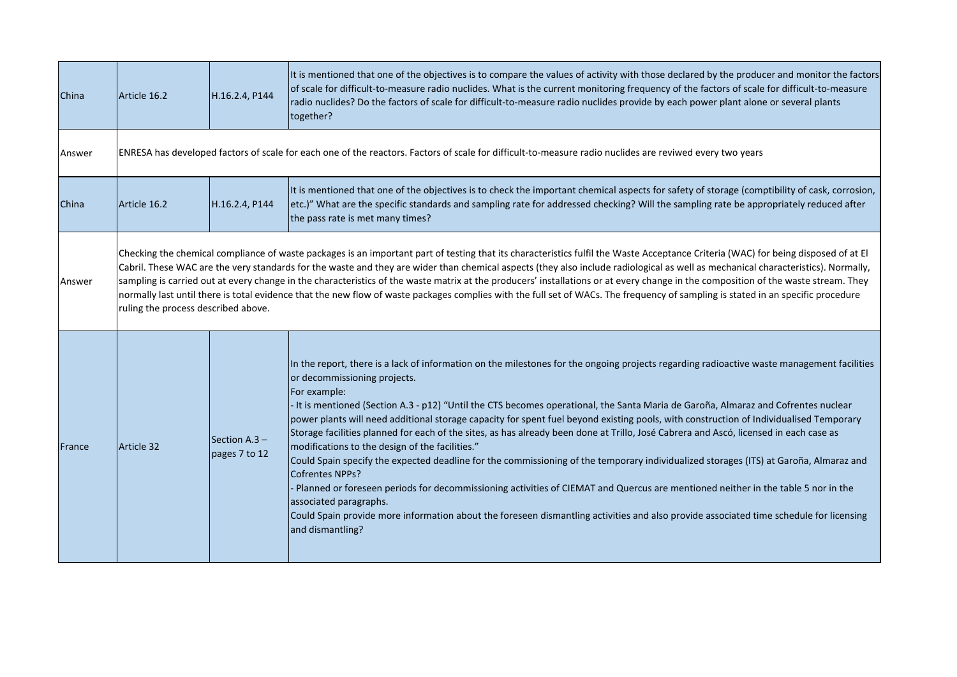| China  | Article 16.2                                                                                                                                                                                                                                                                                                                                                                                                                                                                                                                                                                                                                                                                                                                                                                             | H.16.2.4, P144                                                                                                                                           | It is mentioned that one of the objectives is to compare the values of activity with those declared by the producer and monitor the factors<br>of scale for difficult-to-measure radio nuclides. What is the current monitoring frequency of the factors of scale for difficult-to-measure<br>radio nuclides? Do the factors of scale for difficult-to-measure radio nuclides provide by each power plant alone or several plants<br>together?                                                                                                                                                                                                                                                                                                                                                                                                                                                                                                                                                                                                                                                                                                                          |  |  |
|--------|------------------------------------------------------------------------------------------------------------------------------------------------------------------------------------------------------------------------------------------------------------------------------------------------------------------------------------------------------------------------------------------------------------------------------------------------------------------------------------------------------------------------------------------------------------------------------------------------------------------------------------------------------------------------------------------------------------------------------------------------------------------------------------------|----------------------------------------------------------------------------------------------------------------------------------------------------------|-------------------------------------------------------------------------------------------------------------------------------------------------------------------------------------------------------------------------------------------------------------------------------------------------------------------------------------------------------------------------------------------------------------------------------------------------------------------------------------------------------------------------------------------------------------------------------------------------------------------------------------------------------------------------------------------------------------------------------------------------------------------------------------------------------------------------------------------------------------------------------------------------------------------------------------------------------------------------------------------------------------------------------------------------------------------------------------------------------------------------------------------------------------------------|--|--|
| Answer |                                                                                                                                                                                                                                                                                                                                                                                                                                                                                                                                                                                                                                                                                                                                                                                          | ENRESA has developed factors of scale for each one of the reactors. Factors of scale for difficult-to-measure radio nuclides are reviwed every two years |                                                                                                                                                                                                                                                                                                                                                                                                                                                                                                                                                                                                                                                                                                                                                                                                                                                                                                                                                                                                                                                                                                                                                                         |  |  |
| China  | Article 16.2                                                                                                                                                                                                                                                                                                                                                                                                                                                                                                                                                                                                                                                                                                                                                                             | H.16.2.4, P144                                                                                                                                           | It is mentioned that one of the objectives is to check the important chemical aspects for safety of storage (comptibility of cask, corrosion,<br>etc.)" What are the specific standards and sampling rate for addressed checking? Will the sampling rate be appropriately reduced after<br>the pass rate is met many times?                                                                                                                                                                                                                                                                                                                                                                                                                                                                                                                                                                                                                                                                                                                                                                                                                                             |  |  |
| Answer | Checking the chemical compliance of waste packages is an important part of testing that its characteristics fulfil the Waste Acceptance Criteria (WAC) for being disposed of at El<br>Cabril. These WAC are the very standards for the waste and they are wider than chemical aspects (they also include radiological as well as mechanical characteristics). Normally,<br>sampling is carried out at every change in the characteristics of the waste matrix at the producers' installations or at every change in the composition of the waste stream. They<br>normally last until there is total evidence that the new flow of waste packages complies with the full set of WACs. The frequency of sampling is stated in an specific procedure<br>ruling the process described above. |                                                                                                                                                          |                                                                                                                                                                                                                                                                                                                                                                                                                                                                                                                                                                                                                                                                                                                                                                                                                                                                                                                                                                                                                                                                                                                                                                         |  |  |
| France | Article 32                                                                                                                                                                                                                                                                                                                                                                                                                                                                                                                                                                                                                                                                                                                                                                               | Section A.3 -<br>pages 7 to 12                                                                                                                           | In the report, there is a lack of information on the milestones for the ongoing projects regarding radioactive waste management facilities<br>or decommissioning projects.<br>For example:<br>- It is mentioned (Section A.3 - p12) "Until the CTS becomes operational, the Santa Maria de Garoña, Almaraz and Cofrentes nuclear<br>power plants will need additional storage capacity for spent fuel beyond existing pools, with construction of Individualised Temporary<br>Storage facilities planned for each of the sites, as has already been done at Trillo, José Cabrera and Ascó, licensed in each case as<br>modifications to the design of the facilities."<br>Could Spain specify the expected deadline for the commissioning of the temporary individualized storages (ITS) at Garoña, Almaraz and<br><b>Cofrentes NPPs?</b><br>- Planned or foreseen periods for decommissioning activities of CIEMAT and Quercus are mentioned neither in the table 5 nor in the<br>associated paragraphs.<br>Could Spain provide more information about the foreseen dismantling activities and also provide associated time schedule for licensing<br>and dismantling? |  |  |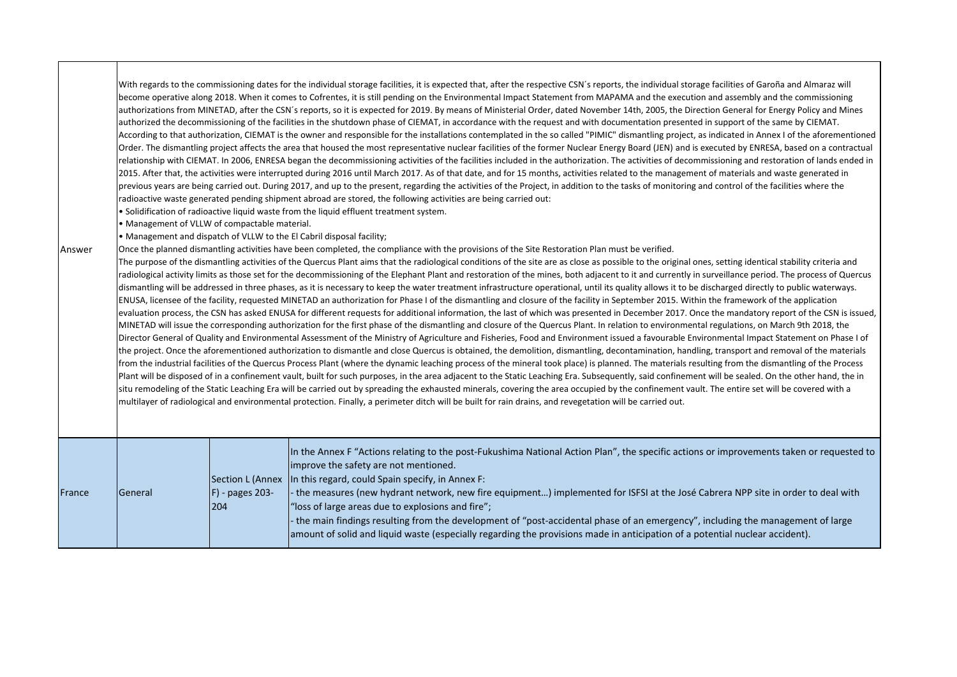| Answer | • Management of VLLW of compactable material. |                                            | With regards to the commissioning dates for the individual storage facilities, it is expected that, after the respective CSN's reports, the individual storage facilities of Garoña and Almaraz will<br>become operative along 2018. When it comes to Cofrentes, it is still pending on the Environmental Impact Statement from MAPAMA and the execution and assembly and the commissioning<br>authorizations from MINETAD, after the CSN's reports, so it is expected for 2019. By means of Ministerial Order, dated November 14th, 2005, the Direction General for Energy Policy and Mines<br>authorized the decommissioning of the facilities in the shutdown phase of CIEMAT, in accordance with the request and with documentation presented in support of the same by CIEMAT.<br>According to that authorization, CIEMAT is the owner and responsible for the installations contemplated in the so called "PIMIC" dismantling project, as indicated in Annex I of the aforementioned<br>Order. The dismantling project affects the area that housed the most representative nuclear facilities of the former Nuclear Energy Board (JEN) and is executed by ENRESA, based on a contractual<br>relationship with CIEMAT. In 2006, ENRESA began the decommissioning activities of the facilities included in the authorization. The activities of decommissioning and restoration of lands ended in<br>2015. After that, the activities were interrupted during 2016 until March 2017. As of that date, and for 15 months, activities related to the management of materials and waste generated in<br>previous years are being carried out. During 2017, and up to the present, regarding the activities of the Project, in addition to the tasks of monitoring and control of the facilities where the<br>radioactive waste generated pending shipment abroad are stored, the following activities are being carried out:<br>. Solidification of radioactive liquid waste from the liquid effluent treatment system.<br>• Management and dispatch of VLLW to the El Cabril disposal facility;<br>Once the planned dismantling activities have been completed, the compliance with the provisions of the Site Restoration Plan must be verified.<br>The purpose of the dismantling activities of the Quercus Plant aims that the radiological conditions of the site are as close as possible to the original ones, setting identical stability criteria and<br>radiological activity limits as those set for the decommissioning of the Elephant Plant and restoration of the mines, both adjacent to it and currently in surveillance period. The process of Quercus<br>dismantling will be addressed in three phases, as it is necessary to keep the water treatment infrastructure operational, until its quality allows it to be discharged directly to public waterways.<br>ENUSA, licensee of the facility, requested MINETAD an authorization for Phase I of the dismantling and closure of the facility in September 2015. Within the framework of the application<br>evaluation process, the CSN has asked ENUSA for different requests for additional information, the last of which was presented in December 2017. Once the mandatory report of the CSN is issued,<br>MINETAD will issue the corresponding authorization for the first phase of the dismantling and closure of the Quercus Plant. In relation to environmental regulations, on March 9th 2018, the<br>Director General of Quality and Environmental Assessment of the Ministry of Agriculture and Fisheries, Food and Environment issued a favourable Environmental Impact Statement on Phase I of<br>the project. Once the aforementioned authorization to dismantle and close Quercus is obtained, the demolition, dismantling, decontamination, handling, transport and removal of the materials<br>from the industrial facilities of the Quercus Process Plant (where the dynamic leaching process of the mineral took place) is planned. The materials resulting from the dismantling of the Process<br>Plant will be disposed of in a confinement vault, built for such purposes, in the area adjacent to the Static Leaching Era. Subsequently, said confinement will be sealed. On the other hand, the in<br>situ remodeling of the Static Leaching Era will be carried out by spreading the exhausted minerals, covering the area occupied by the confinement vault. The entire set will be covered with a<br>multilayer of radiological and environmental protection. Finally, a perimeter ditch will be built for rain drains, and revegetation will be carried out. |
|--------|-----------------------------------------------|--------------------------------------------|------------------------------------------------------------------------------------------------------------------------------------------------------------------------------------------------------------------------------------------------------------------------------------------------------------------------------------------------------------------------------------------------------------------------------------------------------------------------------------------------------------------------------------------------------------------------------------------------------------------------------------------------------------------------------------------------------------------------------------------------------------------------------------------------------------------------------------------------------------------------------------------------------------------------------------------------------------------------------------------------------------------------------------------------------------------------------------------------------------------------------------------------------------------------------------------------------------------------------------------------------------------------------------------------------------------------------------------------------------------------------------------------------------------------------------------------------------------------------------------------------------------------------------------------------------------------------------------------------------------------------------------------------------------------------------------------------------------------------------------------------------------------------------------------------------------------------------------------------------------------------------------------------------------------------------------------------------------------------------------------------------------------------------------------------------------------------------------------------------------------------------------------------------------------------------------------------------------------------------------------------------------------------------------------------------------------------------------------------------------------------------------------------------------------------------------------------------------------------------------------------------------------------------------------------------------------------------------------------------------------------------------------------------------------------------------------------------------------------------------------------------------------------------------------------------------------------------------------------------------------------------------------------------------------------------------------------------------------------------------------------------------------------------------------------------------------------------------------------------------------------------------------------------------------------------------------------------------------------------------------------------------------------------------------------------------------------------------------------------------------------------------------------------------------------------------------------------------------------------------------------------------------------------------------------------------------------------------------------------------------------------------------------------------------------------------------------------------------------------------------------------------------------------------------------------------------------------------------------------------------------------------------------------------------------------------------------------------------------------------------------------------------------------------------------------------------------------------------------------------------------------------------------------------------------------------------------------------------------------------------------------------------------------------------------------------------------------------------------------------------------------------------------------------------------------------------------------------------------------------------------------------------------------------------------------------------------------------------------------------------------------------------------------------|
| France | General                                       | Section L (Annex<br>F) - pages 203-<br>204 | In the Annex F "Actions relating to the post-Fukushima National Action Plan", the specific actions or improvements taken or requested to<br>improve the safety are not mentioned.<br>In this regard, could Spain specify, in Annex F:<br>- the measures (new hydrant network, new fire equipment) implemented for ISFSI at the José Cabrera NPP site in order to deal with<br>'loss of large areas due to explosions and fire";<br>the main findings resulting from the development of "post-accidental phase of an emergency", including the management of large<br>amount of solid and liquid waste (especially regarding the provisions made in anticipation of a potential nuclear accident).                                                                                                                                                                                                                                                                                                                                                                                                                                                                                                                                                                                                                                                                                                                                                                                                                                                                                                                                                                                                                                                                                                                                                                                                                                                                                                                                                                                                                                                                                                                                                                                                                                                                                                                                                                                                                                                                                                                                                                                                                                                                                                                                                                                                                                                                                                                                                                                                                                                                                                                                                                                                                                                                                                                                                                                                                                                                                                                                                                                                                                                                                                                                                                                                                                                                                                                                                                                                                                                                                                                                                                                                                                                                                                                                                                                                                                                                                                                                                                |

Τ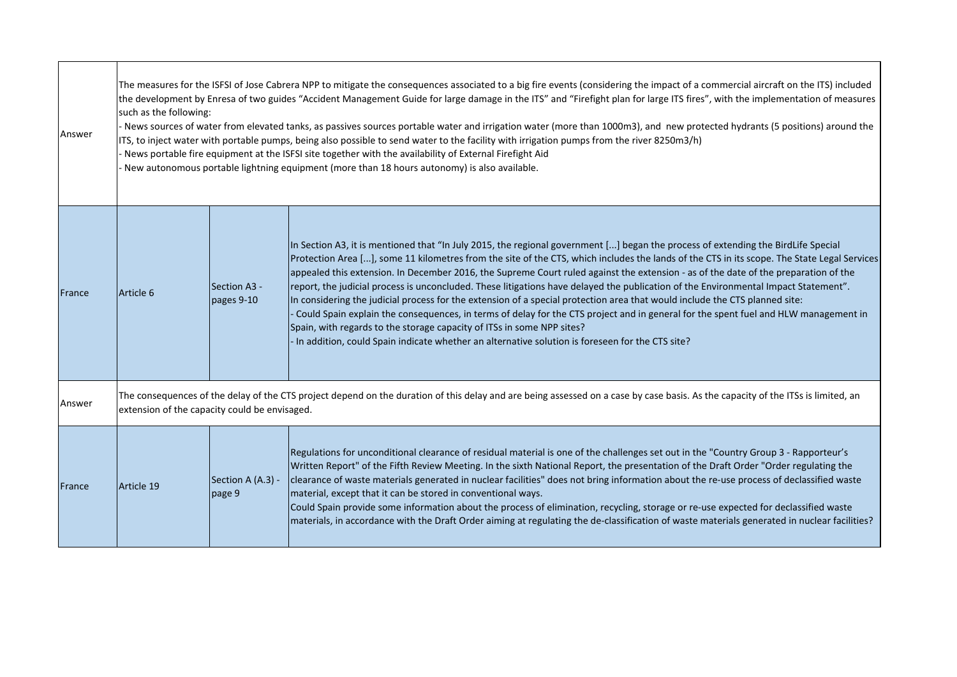| Answer | The measures for the ISFSI of Jose Cabrera NPP to mitigate the consequences associated to a big fire events (considering the impact of a commercial aircraft on the ITS) included<br>the development by Enresa of two guides "Accident Management Guide for large damage in the ITS" and "Firefight plan for large ITS fires", with the implementation of measures<br>such as the following:<br>- News sources of water from elevated tanks, as passives sources portable water and irrigation water (more than 1000m3), and new protected hydrants (5 positions) around the<br>ITS, to inject water with portable pumps, being also possible to send water to the facility with irrigation pumps from the river 8250m3/h)<br>News portable fire equipment at the ISFSI site together with the availability of External Firefight Aid<br>New autonomous portable lightning equipment (more than 18 hours autonomy) is also available. |                             |                                                                                                                                                                                                                                                                                                                                                                                                                                                                                                                                                                                                                                                                                                                                                                                                                                                                                                                                                                                                                   |  |
|--------|---------------------------------------------------------------------------------------------------------------------------------------------------------------------------------------------------------------------------------------------------------------------------------------------------------------------------------------------------------------------------------------------------------------------------------------------------------------------------------------------------------------------------------------------------------------------------------------------------------------------------------------------------------------------------------------------------------------------------------------------------------------------------------------------------------------------------------------------------------------------------------------------------------------------------------------|-----------------------------|-------------------------------------------------------------------------------------------------------------------------------------------------------------------------------------------------------------------------------------------------------------------------------------------------------------------------------------------------------------------------------------------------------------------------------------------------------------------------------------------------------------------------------------------------------------------------------------------------------------------------------------------------------------------------------------------------------------------------------------------------------------------------------------------------------------------------------------------------------------------------------------------------------------------------------------------------------------------------------------------------------------------|--|
| France | Article 6                                                                                                                                                                                                                                                                                                                                                                                                                                                                                                                                                                                                                                                                                                                                                                                                                                                                                                                             | Section A3 -<br>pages 9-10  | In Section A3, it is mentioned that "In July 2015, the regional government [] began the process of extending the BirdLife Special<br>Protection Area [], some 11 kilometres from the site of the CTS, which includes the lands of the CTS in its scope. The State Legal Services<br>appealed this extension. In December 2016, the Supreme Court ruled against the extension - as of the date of the preparation of the<br>report, the judicial process is unconcluded. These litigations have delayed the publication of the Environmental Impact Statement".<br>In considering the judicial process for the extension of a special protection area that would include the CTS planned site:<br>Could Spain explain the consequences, in terms of delay for the CTS project and in general for the spent fuel and HLW management in<br>Spain, with regards to the storage capacity of ITSs in some NPP sites?<br>In addition, could Spain indicate whether an alternative solution is foreseen for the CTS site? |  |
| Answer | The consequences of the delay of the CTS project depend on the duration of this delay and are being assessed on a case by case basis. As the capacity of the ITSs is limited, an<br>extension of the capacity could be envisaged.                                                                                                                                                                                                                                                                                                                                                                                                                                                                                                                                                                                                                                                                                                     |                             |                                                                                                                                                                                                                                                                                                                                                                                                                                                                                                                                                                                                                                                                                                                                                                                                                                                                                                                                                                                                                   |  |
| France | Article 19                                                                                                                                                                                                                                                                                                                                                                                                                                                                                                                                                                                                                                                                                                                                                                                                                                                                                                                            | Section A (A.3) -<br>page 9 | Regulations for unconditional clearance of residual material is one of the challenges set out in the "Country Group 3 - Rapporteur's<br>Written Report" of the Fifth Review Meeting. In the sixth National Report, the presentation of the Draft Order "Order regulating the<br>clearance of waste materials generated in nuclear facilities" does not bring information about the re-use process of declassified waste<br>material, except that it can be stored in conventional ways.<br>Could Spain provide some information about the process of elimination, recycling, storage or re-use expected for declassified waste<br>materials, in accordance with the Draft Order aiming at regulating the de-classification of waste materials generated in nuclear facilities?                                                                                                                                                                                                                                    |  |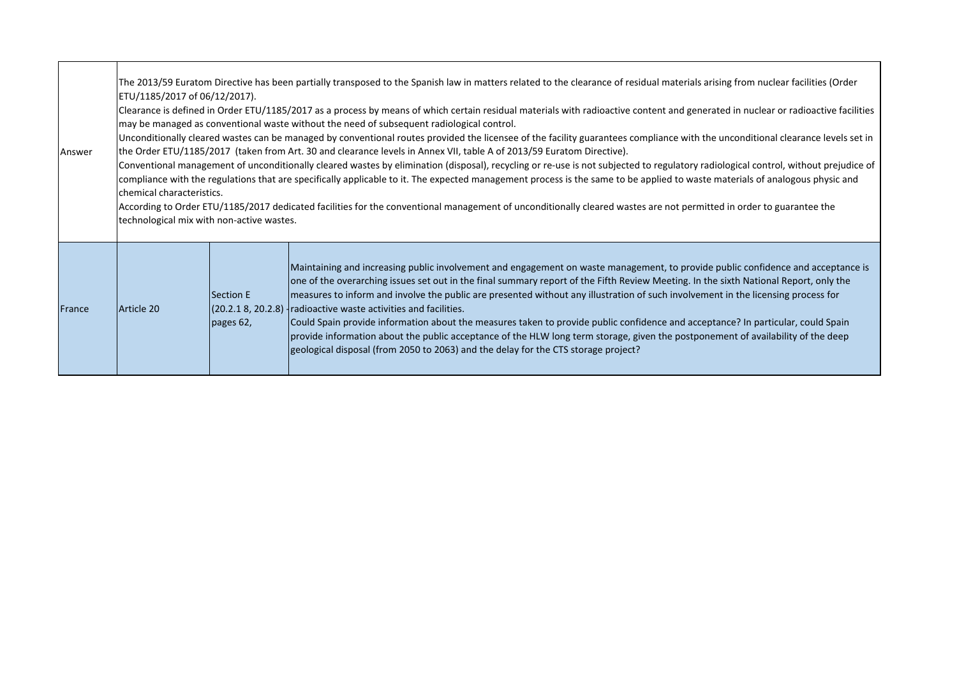| Answer        | The 2013/59 Euratom Directive has been partially transposed to the Spanish law in matters related to the clearance of residual materials arising from nuclear facilities (Order<br>ETU/1185/2017 of 06/12/2017).<br>Clearance is defined in Order ETU/1185/2017 as a process by means of which certain residual materials with radioactive content and generated in nuclear or radioactive facilities<br>may be managed as conventional waste without the need of subsequent radiological control.<br>Unconditionally cleared wastes can be managed by conventional routes provided the licensee of the facility guarantees compliance with the unconditional clearance levels set in<br>the Order ETU/1185/2017 (taken from Art. 30 and clearance levels in Annex VII, table A of 2013/59 Euratom Directive).<br>Conventional management of unconditionally cleared wastes by elimination (disposal), recycling or re-use is not subjected to regulatory radiological control, without prejudice of<br>compliance with the regulations that are specifically applicable to it. The expected management process is the same to be applied to waste materials of analogous physic and<br>chemical characteristics.<br>According to Order ETU/1185/2017 dedicated facilities for the conventional management of unconditionally cleared wastes are not permitted in order to guarantee the<br>technological mix with non-active wastes. |                           |                                                                                                                                                                                                                                                                                                                                                                                                                                                                                                                                                                                                                                                                                                                                                                                                                                                  |
|---------------|---------------------------------------------------------------------------------------------------------------------------------------------------------------------------------------------------------------------------------------------------------------------------------------------------------------------------------------------------------------------------------------------------------------------------------------------------------------------------------------------------------------------------------------------------------------------------------------------------------------------------------------------------------------------------------------------------------------------------------------------------------------------------------------------------------------------------------------------------------------------------------------------------------------------------------------------------------------------------------------------------------------------------------------------------------------------------------------------------------------------------------------------------------------------------------------------------------------------------------------------------------------------------------------------------------------------------------------------------------------------------------------------------------------------------------------|---------------------------|--------------------------------------------------------------------------------------------------------------------------------------------------------------------------------------------------------------------------------------------------------------------------------------------------------------------------------------------------------------------------------------------------------------------------------------------------------------------------------------------------------------------------------------------------------------------------------------------------------------------------------------------------------------------------------------------------------------------------------------------------------------------------------------------------------------------------------------------------|
| <b>France</b> | Article 20                                                                                                                                                                                                                                                                                                                                                                                                                                                                                                                                                                                                                                                                                                                                                                                                                                                                                                                                                                                                                                                                                                                                                                                                                                                                                                                                                                                                                            | Section E<br>pages $62$ , | Maintaining and increasing public involvement and engagement on waste management, to provide public confidence and acceptance is<br>one of the overarching issues set out in the final summary report of the Fifth Review Meeting. In the sixth National Report, only the<br>measures to inform and involve the public are presented without any illustration of such involvement in the licensing process for<br>(20.2.1 8, 20.2.8) Iradioactive waste activities and facilities.<br>Could Spain provide information about the measures taken to provide public confidence and acceptance? In particular, could Spain<br>provide information about the public acceptance of the HLW long term storage, given the postponement of availability of the deep<br>geological disposal (from 2050 to 2063) and the delay for the CTS storage project? |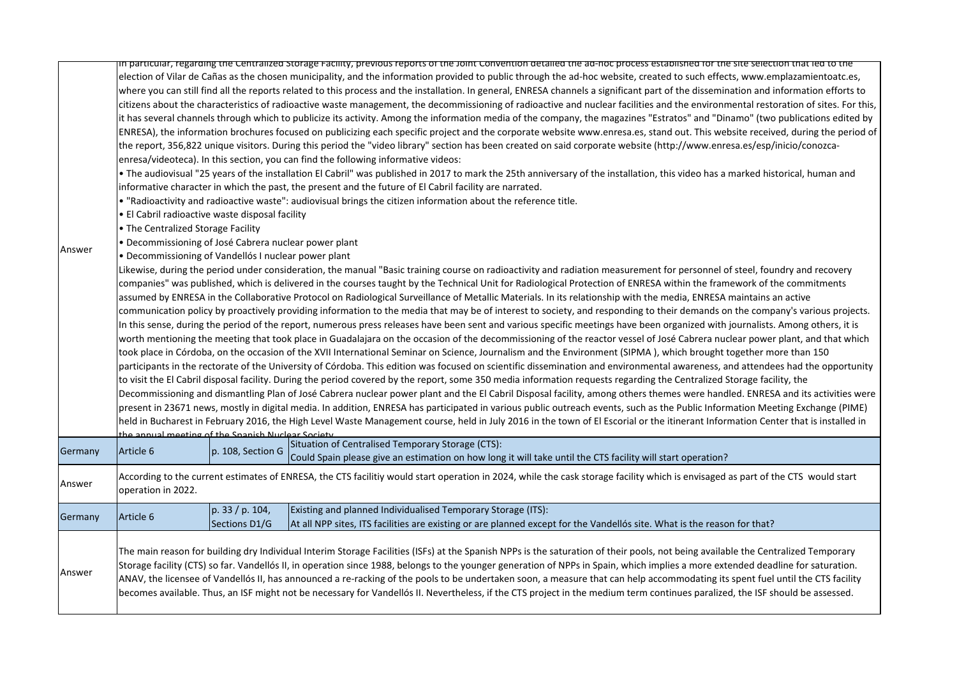|         |                                                                                                                                                                                                                                                             |                                  | in particular, regarding the Centralized Storage Facility, previous reports of the Joint Convention detailed the ad-noc process estabilished for the site selection that led to the                                                                                                                                                                                                                                                                                                                                                                                                                                                                                                                                                                                                                                                                                                                                                                                                                                                                                                                                                                                                                                                                                                                                                                                                                                                                                                                                                                                                                                                                                                                                                                                                                                                                                                                                                                                                                                                                                                                                                                                                                                                                                                                                                                                                                                                                                                                                                                                                                                                                                                                                                                                                                                                                                                                                                                                                                                                                                                                                                                                                                                                                                                                                                                                                                                                                                                                                                                                                                                                                                                                                                                                                             |  |  |
|---------|-------------------------------------------------------------------------------------------------------------------------------------------------------------------------------------------------------------------------------------------------------------|----------------------------------|-------------------------------------------------------------------------------------------------------------------------------------------------------------------------------------------------------------------------------------------------------------------------------------------------------------------------------------------------------------------------------------------------------------------------------------------------------------------------------------------------------------------------------------------------------------------------------------------------------------------------------------------------------------------------------------------------------------------------------------------------------------------------------------------------------------------------------------------------------------------------------------------------------------------------------------------------------------------------------------------------------------------------------------------------------------------------------------------------------------------------------------------------------------------------------------------------------------------------------------------------------------------------------------------------------------------------------------------------------------------------------------------------------------------------------------------------------------------------------------------------------------------------------------------------------------------------------------------------------------------------------------------------------------------------------------------------------------------------------------------------------------------------------------------------------------------------------------------------------------------------------------------------------------------------------------------------------------------------------------------------------------------------------------------------------------------------------------------------------------------------------------------------------------------------------------------------------------------------------------------------------------------------------------------------------------------------------------------------------------------------------------------------------------------------------------------------------------------------------------------------------------------------------------------------------------------------------------------------------------------------------------------------------------------------------------------------------------------------------------------------------------------------------------------------------------------------------------------------------------------------------------------------------------------------------------------------------------------------------------------------------------------------------------------------------------------------------------------------------------------------------------------------------------------------------------------------------------------------------------------------------------------------------------------------------------------------------------------------------------------------------------------------------------------------------------------------------------------------------------------------------------------------------------------------------------------------------------------------------------------------------------------------------------------------------------------------------------------------------------------------------------------------------------------------|--|--|
| Answer  | • El Cabril radioactive waste disposal facility<br>• The Centralized Storage Facility<br>· Decommissioning of José Cabrera nuclear power plant<br>• Decommissioning of Vandellós I nuclear power plant<br>the annual meeting of the Snanish Nuclear Society |                                  | election of Vilar de Cañas as the chosen municipality, and the information provided to public through the ad-hoc website, created to such effects, www.emplazamientoatc.es,<br>where you can still find all the reports related to this process and the installation. In general, ENRESA channels a significant part of the dissemination and information efforts to<br>citizens about the characteristics of radioactive waste management, the decommissioning of radioactive and nuclear facilities and the environmental restoration of sites. For this,<br>it has several channels through which to publicize its activity. Among the information media of the company, the magazines "Estratos" and "Dinamo" (two publications edited by<br>ENRESA), the information brochures focused on publicizing each specific project and the corporate website www.enresa.es, stand out. This website received, during the period of<br>the report, 356,822 unique visitors. During this period the "video library" section has been created on said corporate website (http://www.enresa.es/esp/inicio/conozca-<br>enresa/videoteca). In this section, you can find the following informative videos:<br>. The audiovisual "25 years of the installation El Cabril" was published in 2017 to mark the 25th anniversary of the installation, this video has a marked historical, human and<br>informative character in which the past, the present and the future of El Cabril facility are narrated.<br>. "Radioactivity and radioactive waste": audiovisual brings the citizen information about the reference title.<br>Likewise, during the period under consideration, the manual "Basic training course on radioactivity and radiation measurement for personnel of steel, foundry and recovery<br>companies" was published, which is delivered in the courses taught by the Technical Unit for Radiological Protection of ENRESA within the framework of the commitments<br>assumed by ENRESA in the Collaborative Protocol on Radiological Surveillance of Metallic Materials. In its relationship with the media, ENRESA maintains an active<br>communication policy by proactively providing information to the media that may be of interest to society, and responding to their demands on the company's various projects.<br>In this sense, during the period of the report, numerous press releases have been sent and various specific meetings have been organized with journalists. Among others, it is<br>worth mentioning the meeting that took place in Guadalajara on the occasion of the decommissioning of the reactor vessel of José Cabrera nuclear power plant, and that which<br>took place in Córdoba, on the occasion of the XVII International Seminar on Science, Journalism and the Environment (SIPMA), which brought together more than 150<br>participants in the rectorate of the University of Córdoba. This edition was focused on scientific dissemination and environmental awareness, and attendees had the opportunity<br>to visit the El Cabril disposal facility. During the period covered by the report, some 350 media information requests regarding the Centralized Storage facility, the<br>Decommissioning and dismantling Plan of José Cabrera nuclear power plant and the El Cabril Disposal facility, among others themes were handled. ENRESA and its activities were<br>present in 23671 news, mostly in digital media. In addition, ENRESA has participated in various public outreach events, such as the Public Information Meeting Exchange (PIME)<br>held in Bucharest in February 2016, the High Level Waste Management course, held in July 2016 in the town of El Escorial or the itinerant Information Center that is installed in |  |  |
| Germany | Article 6                                                                                                                                                                                                                                                   | p. 108, Section G                | Situation of Centralised Temporary Storage (CTS):<br>Could Spain please give an estimation on how long it will take until the CTS facility will start operation?                                                                                                                                                                                                                                                                                                                                                                                                                                                                                                                                                                                                                                                                                                                                                                                                                                                                                                                                                                                                                                                                                                                                                                                                                                                                                                                                                                                                                                                                                                                                                                                                                                                                                                                                                                                                                                                                                                                                                                                                                                                                                                                                                                                                                                                                                                                                                                                                                                                                                                                                                                                                                                                                                                                                                                                                                                                                                                                                                                                                                                                                                                                                                                                                                                                                                                                                                                                                                                                                                                                                                                                                                                |  |  |
| Answer  | According to the current estimates of ENRESA, the CTS facilitiy would start operation in 2024, while the cask storage facility which is envisaged as part of the CTS would start<br>operation in 2022.                                                      |                                  |                                                                                                                                                                                                                                                                                                                                                                                                                                                                                                                                                                                                                                                                                                                                                                                                                                                                                                                                                                                                                                                                                                                                                                                                                                                                                                                                                                                                                                                                                                                                                                                                                                                                                                                                                                                                                                                                                                                                                                                                                                                                                                                                                                                                                                                                                                                                                                                                                                                                                                                                                                                                                                                                                                                                                                                                                                                                                                                                                                                                                                                                                                                                                                                                                                                                                                                                                                                                                                                                                                                                                                                                                                                                                                                                                                                                 |  |  |
| Germany | Article 6                                                                                                                                                                                                                                                   | p. 33 / p. 104,<br>Sections D1/G | Existing and planned Individualised Temporary Storage (ITS):<br>At all NPP sites, ITS facilities are existing or are planned except for the Vandellós site. What is the reason for that?                                                                                                                                                                                                                                                                                                                                                                                                                                                                                                                                                                                                                                                                                                                                                                                                                                                                                                                                                                                                                                                                                                                                                                                                                                                                                                                                                                                                                                                                                                                                                                                                                                                                                                                                                                                                                                                                                                                                                                                                                                                                                                                                                                                                                                                                                                                                                                                                                                                                                                                                                                                                                                                                                                                                                                                                                                                                                                                                                                                                                                                                                                                                                                                                                                                                                                                                                                                                                                                                                                                                                                                                        |  |  |
| Answer  |                                                                                                                                                                                                                                                             |                                  | The main reason for building dry Individual Interim Storage Facilities (ISFs) at the Spanish NPPs is the saturation of their pools, not being available the Centralized Temporary<br>Storage facility (CTS) so far. Vandellós II, in operation since 1988, belongs to the younger generation of NPPs in Spain, which implies a more extended deadline for saturation.<br>ANAV, the licensee of Vandellós II, has announced a re-racking of the pools to be undertaken soon, a measure that can help accommodating its spent fuel until the CTS facility<br>becomes available. Thus, an ISF might not be necessary for Vandellós II. Nevertheless, if the CTS project in the medium term continues paralized, the ISF should be assessed.                                                                                                                                                                                                                                                                                                                                                                                                                                                                                                                                                                                                                                                                                                                                                                                                                                                                                                                                                                                                                                                                                                                                                                                                                                                                                                                                                                                                                                                                                                                                                                                                                                                                                                                                                                                                                                                                                                                                                                                                                                                                                                                                                                                                                                                                                                                                                                                                                                                                                                                                                                                                                                                                                                                                                                                                                                                                                                                                                                                                                                                        |  |  |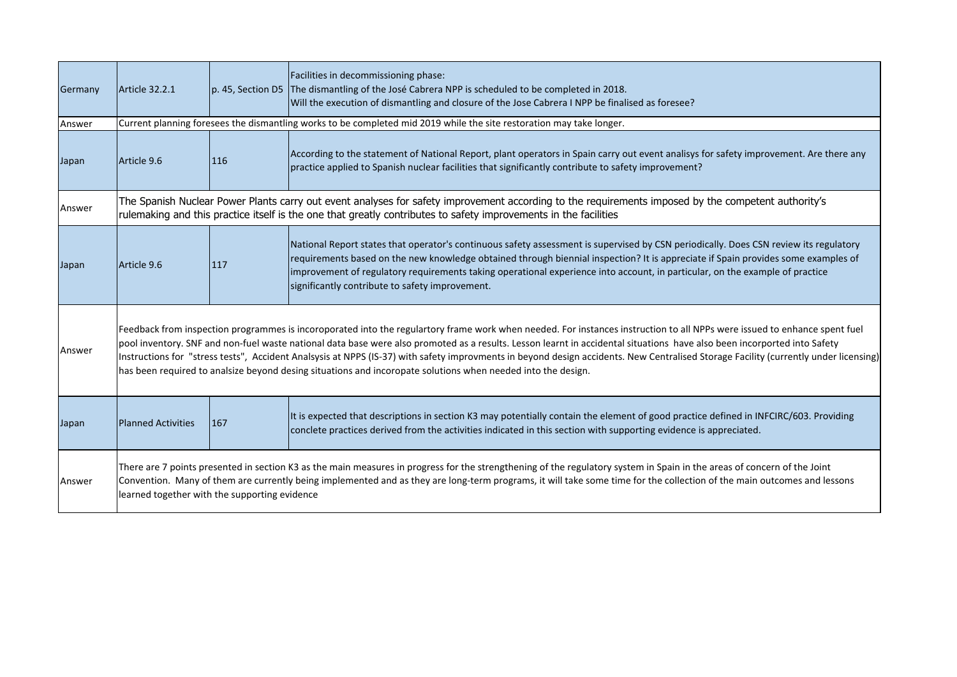| Germany | Article 32.2.1                                                                                                                                                                                                                                                                                                                                                                                                                                                                                                                                                                                                                                                |     | Facilities in decommissioning phase:<br>p. 45, Section D5 The dismantling of the José Cabrera NPP is scheduled to be completed in 2018.<br>Will the execution of dismantling and closure of the Jose Cabrera I NPP be finalised as foresee?                                                                                                                                                                                                                   |  |
|---------|---------------------------------------------------------------------------------------------------------------------------------------------------------------------------------------------------------------------------------------------------------------------------------------------------------------------------------------------------------------------------------------------------------------------------------------------------------------------------------------------------------------------------------------------------------------------------------------------------------------------------------------------------------------|-----|---------------------------------------------------------------------------------------------------------------------------------------------------------------------------------------------------------------------------------------------------------------------------------------------------------------------------------------------------------------------------------------------------------------------------------------------------------------|--|
| Answer  |                                                                                                                                                                                                                                                                                                                                                                                                                                                                                                                                                                                                                                                               |     | Current planning foresees the dismantling works to be completed mid 2019 while the site restoration may take longer.                                                                                                                                                                                                                                                                                                                                          |  |
| Japan   | Article 9.6                                                                                                                                                                                                                                                                                                                                                                                                                                                                                                                                                                                                                                                   | 116 | According to the statement of National Report, plant operators in Spain carry out event analisys for safety improvement. Are there any<br>practice applied to Spanish nuclear facilities that significantly contribute to safety improvement?                                                                                                                                                                                                                 |  |
| Answer  |                                                                                                                                                                                                                                                                                                                                                                                                                                                                                                                                                                                                                                                               |     | The Spanish Nuclear Power Plants carry out event analyses for safety improvement according to the requirements imposed by the competent authority's<br>rulemaking and this practice itself is the one that greatly contributes to safety improvements in the facilities                                                                                                                                                                                       |  |
| Japan   | Article 9.6                                                                                                                                                                                                                                                                                                                                                                                                                                                                                                                                                                                                                                                   | 117 | National Report states that operator's continuous safety assessment is supervised by CSN periodically. Does CSN review its regulatory<br>requirements based on the new knowledge obtained through biennial inspection? It is appreciate if Spain provides some examples of<br>improvement of regulatory requirements taking operational experience into account, in particular, on the example of practice<br>significantly contribute to safety improvement. |  |
| Answer  | Feedback from inspection programmes is incoroporated into the regulartory frame work when needed. For instances instruction to all NPPs were issued to enhance spent fuel<br>pool inventory. SNF and non-fuel waste national data base were also promoted as a results. Lesson learnt in accidental situations have also been incorported into Safety<br>Instructions for "stress tests", Accident Analsysis at NPPS (IS-37) with safety improvments in beyond design accidents. New Centralised Storage Facility (currently under licensing)<br>has been required to analsize beyond desing situations and incoropate solutions when needed into the design. |     |                                                                                                                                                                                                                                                                                                                                                                                                                                                               |  |
| Japan   | <b>Planned Activities</b>                                                                                                                                                                                                                                                                                                                                                                                                                                                                                                                                                                                                                                     | 167 | It is expected that descriptions in section K3 may potentially contain the element of good practice defined in INFCIRC/603. Providing<br>conclete practices derived from the activities indicated in this section with supporting evidence is appreciated.                                                                                                                                                                                                    |  |
| Answer  | There are 7 points presented in section K3 as the main measures in progress for the strengthening of the regulatory system in Spain in the areas of concern of the Joint<br>Convention. Many of them are currently being implemented and as they are long-term programs, it will take some time for the collection of the main outcomes and lessons<br>learned together with the supporting evidence                                                                                                                                                                                                                                                          |     |                                                                                                                                                                                                                                                                                                                                                                                                                                                               |  |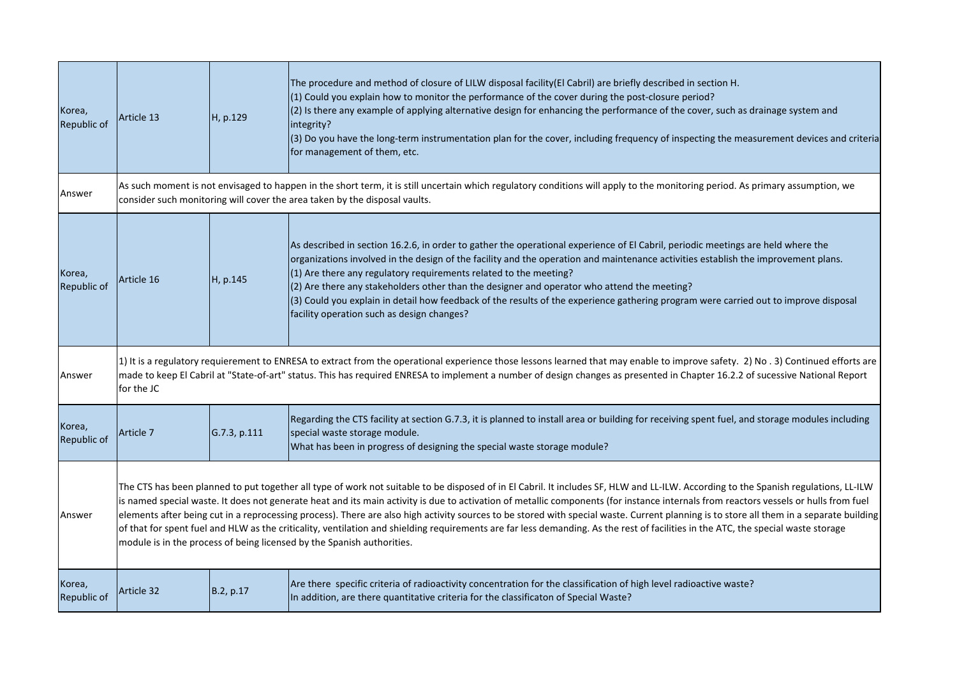| Korea,<br>Republic of | Article 13                                                                                                                                                                                                                                                                                                                                                                                                                                                                                                                                                                                                                                                                                                                                                                                                                            | H, p.129     | The procedure and method of closure of LILW disposal facility(El Cabril) are briefly described in section H.<br>(1) Could you explain how to monitor the performance of the cover during the post-closure period?<br>(2) Is there any example of applying alternative design for enhancing the performance of the cover, such as drainage system and<br>integrity?<br>(3) Do you have the long-term instrumentation plan for the cover, including frequency of inspecting the measurement devices and criteria<br>for management of them, etc.                                                                                     |
|-----------------------|---------------------------------------------------------------------------------------------------------------------------------------------------------------------------------------------------------------------------------------------------------------------------------------------------------------------------------------------------------------------------------------------------------------------------------------------------------------------------------------------------------------------------------------------------------------------------------------------------------------------------------------------------------------------------------------------------------------------------------------------------------------------------------------------------------------------------------------|--------------|------------------------------------------------------------------------------------------------------------------------------------------------------------------------------------------------------------------------------------------------------------------------------------------------------------------------------------------------------------------------------------------------------------------------------------------------------------------------------------------------------------------------------------------------------------------------------------------------------------------------------------|
| Answer                |                                                                                                                                                                                                                                                                                                                                                                                                                                                                                                                                                                                                                                                                                                                                                                                                                                       |              | As such moment is not envisaged to happen in the short term, it is still uncertain which regulatory conditions will apply to the monitoring period. As primary assumption, we<br>consider such monitoring will cover the area taken by the disposal vaults.                                                                                                                                                                                                                                                                                                                                                                        |
| Korea,<br>Republic of | Article 16                                                                                                                                                                                                                                                                                                                                                                                                                                                                                                                                                                                                                                                                                                                                                                                                                            | H, p.145     | As described in section 16.2.6, in order to gather the operational experience of El Cabril, periodic meetings are held where the<br>organizations involved in the design of the facility and the operation and maintenance activities establish the improvement plans.<br>$(1)$ Are there any regulatory requirements related to the meeting?<br>(2) Are there any stakeholders other than the designer and operator who attend the meeting?<br>(3) Could you explain in detail how feedback of the results of the experience gathering program were carried out to improve disposal<br>facility operation such as design changes? |
| Answer                | 1) It is a regulatory requierement to ENRESA to extract from the operational experience those lessons learned that may enable to improve safety. 2) No . 3) Continued efforts are<br>made to keep El Cabril at "State-of-art" status. This has required ENRESA to implement a number of design changes as presented in Chapter 16.2.2 of sucessive National Report<br>for the JC                                                                                                                                                                                                                                                                                                                                                                                                                                                      |              |                                                                                                                                                                                                                                                                                                                                                                                                                                                                                                                                                                                                                                    |
| Korea,<br>Republic of | Article 7                                                                                                                                                                                                                                                                                                                                                                                                                                                                                                                                                                                                                                                                                                                                                                                                                             | G.7.3, p.111 | Regarding the CTS facility at section G.7.3, it is planned to install area or building for receiving spent fuel, and storage modules including<br>special waste storage module.<br>What has been in progress of designing the special waste storage module?                                                                                                                                                                                                                                                                                                                                                                        |
| Answer                | The CTS has been planned to put together all type of work not suitable to be disposed of in El Cabril. It includes SF, HLW and LL-ILW. According to the Spanish regulations, LL-ILW<br>is named special waste. It does not generate heat and its main activity is due to activation of metallic components (for instance internals from reactors vessels or hulls from fuel<br>elements after being cut in a reprocessing process). There are also high activity sources to be stored with special waste. Current planning is to store all them in a separate building<br>of that for spent fuel and HLW as the criticality, ventilation and shielding requirements are far less demanding. As the rest of facilities in the ATC, the special waste storage<br>module is in the process of being licensed by the Spanish authorities. |              |                                                                                                                                                                                                                                                                                                                                                                                                                                                                                                                                                                                                                                    |
| Korea,<br>Republic of | Article 32                                                                                                                                                                                                                                                                                                                                                                                                                                                                                                                                                                                                                                                                                                                                                                                                                            | B.2, p.17    | Are there specific criteria of radioactivity concentration for the classification of high level radioactive waste?<br>In addition, are there quantitative criteria for the classificaton of Special Waste?                                                                                                                                                                                                                                                                                                                                                                                                                         |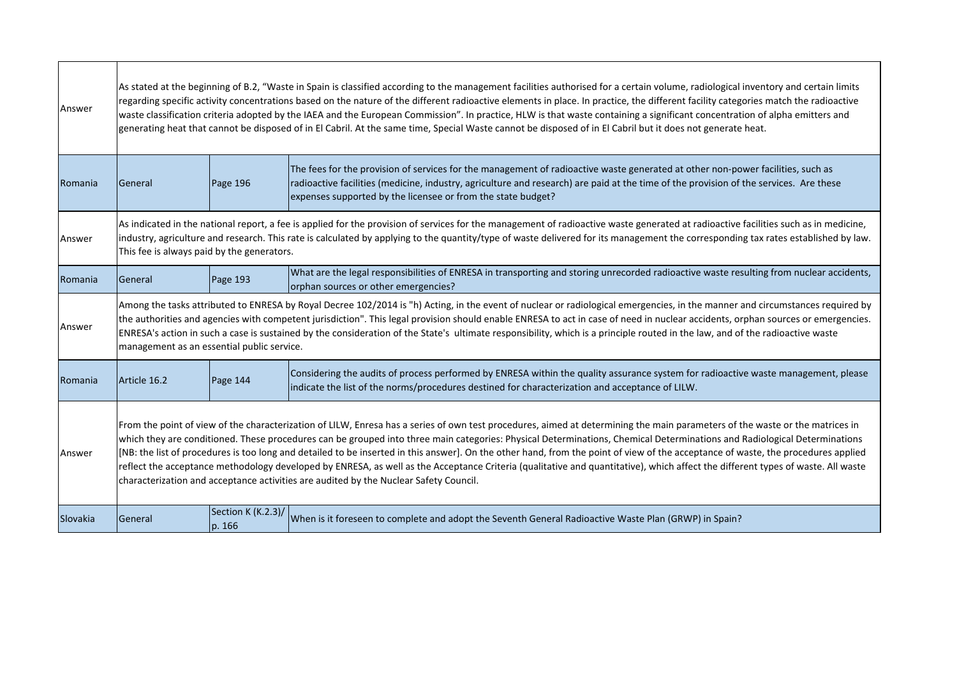| Answer   | As stated at the beginning of B.2, "Waste in Spain is classified according to the management facilities authorised for a certain volume, radiological inventory and certain limits<br>regarding specific activity concentrations based on the nature of the different radioactive elements in place. In practice, the different facility categories match the radioactive<br>waste classification criteria adopted by the IAEA and the European Commission". In practice, HLW is that waste containing a significant concentration of alpha emitters and<br>generating heat that cannot be disposed of in El Cabril. At the same time, Special Waste cannot be disposed of in El Cabril but it does not generate heat.                                                                                                    |                              |                                                                                                                                                                                                                                                                                                                                           |  |
|----------|---------------------------------------------------------------------------------------------------------------------------------------------------------------------------------------------------------------------------------------------------------------------------------------------------------------------------------------------------------------------------------------------------------------------------------------------------------------------------------------------------------------------------------------------------------------------------------------------------------------------------------------------------------------------------------------------------------------------------------------------------------------------------------------------------------------------------|------------------------------|-------------------------------------------------------------------------------------------------------------------------------------------------------------------------------------------------------------------------------------------------------------------------------------------------------------------------------------------|--|
| Romania  | <b>General</b>                                                                                                                                                                                                                                                                                                                                                                                                                                                                                                                                                                                                                                                                                                                                                                                                            | Page 196                     | The fees for the provision of services for the management of radioactive waste generated at other non-power facilities, such as<br>radioactive facilities (medicine, industry, agriculture and research) are paid at the time of the provision of the services. Are these<br>expenses supported by the licensee or from the state budget? |  |
| Answer   | As indicated in the national report, a fee is applied for the provision of services for the management of radioactive waste generated at radioactive facilities such as in medicine,<br>industry, agriculture and research. This rate is calculated by applying to the quantity/type of waste delivered for its management the corresponding tax rates established by law.<br>This fee is always paid by the generators.                                                                                                                                                                                                                                                                                                                                                                                                  |                              |                                                                                                                                                                                                                                                                                                                                           |  |
| Romania  | <b>I</b> General                                                                                                                                                                                                                                                                                                                                                                                                                                                                                                                                                                                                                                                                                                                                                                                                          | <b>Page 193</b>              | What are the legal responsibilities of ENRESA in transporting and storing unrecorded radioactive waste resulting from nuclear accidents,<br>orphan sources or other emergencies?                                                                                                                                                          |  |
| Answer   | Among the tasks attributed to ENRESA by Royal Decree 102/2014 is "h) Acting, in the event of nuclear or radiological emergencies, in the manner and circumstances required by<br>the authorities and agencies with competent jurisdiction". This legal provision should enable ENRESA to act in case of need in nuclear accidents, orphan sources or emergencies.<br>ENRESA's action in such a case is sustained by the consideration of the State's ultimate responsibility, which is a principle routed in the law, and of the radioactive waste<br>management as an essential public service.                                                                                                                                                                                                                          |                              |                                                                                                                                                                                                                                                                                                                                           |  |
| Romania  | Article 16.2                                                                                                                                                                                                                                                                                                                                                                                                                                                                                                                                                                                                                                                                                                                                                                                                              | Page 144                     | Considering the audits of process performed by ENRESA within the quality assurance system for radioactive waste management, please<br>indicate the list of the norms/procedures destined for characterization and acceptance of LILW.                                                                                                     |  |
| Answer   | From the point of view of the characterization of LILW, Enresa has a series of own test procedures, aimed at determining the main parameters of the waste or the matrices in<br>which they are conditioned. These procedures can be grouped into three main categories: Physical Determinations, Chemical Determinations and Radiological Determinations<br>[NB: the list of procedures is too long and detailed to be inserted in this answer]. On the other hand, from the point of view of the acceptance of waste, the procedures applied<br>reflect the acceptance methodology developed by ENRESA, as well as the Acceptance Criteria (qualitative and quantitative), which affect the different types of waste. All waste<br>characterization and acceptance activities are audited by the Nuclear Safety Council. |                              |                                                                                                                                                                                                                                                                                                                                           |  |
| Slovakia | <b>General</b>                                                                                                                                                                                                                                                                                                                                                                                                                                                                                                                                                                                                                                                                                                                                                                                                            | Section K (K.2.3)/<br>p. 166 | When is it foreseen to complete and adopt the Seventh General Radioactive Waste Plan (GRWP) in Spain?                                                                                                                                                                                                                                     |  |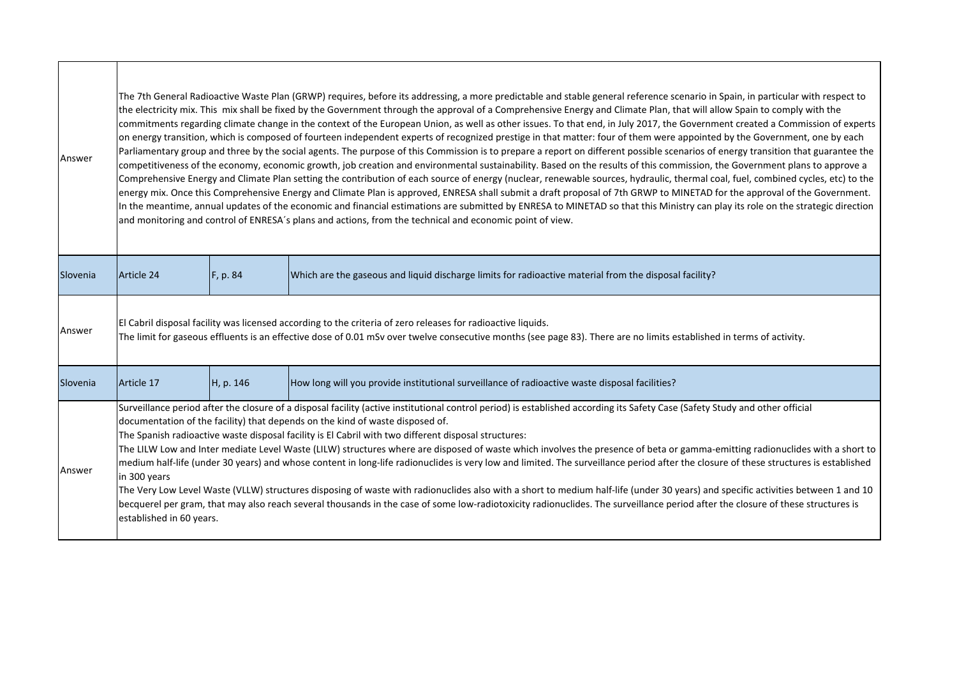| Answer   | The 7th General Radioactive Waste Plan (GRWP) requires, before its addressing, a more predictable and stable general reference scenario in Spain, in particular with respect to<br>the electricity mix. This mix shall be fixed by the Government through the approval of a Comprehensive Energy and Climate Plan, that will allow Spain to comply with the<br>commitments regarding climate change in the context of the European Union, as well as other issues. To that end, in July 2017, the Government created a Commission of experts<br>on energy transition, which is composed of fourteen independent experts of recognized prestige in that matter: four of them were appointed by the Government, one by each<br>Parliamentary group and three by the social agents. The purpose of this Commission is to prepare a report on different possible scenarios of energy transition that guarantee the<br>competitiveness of the economy, economic growth, job creation and environmental sustainability. Based on the results of this commission, the Government plans to approve a<br>Comprehensive Energy and Climate Plan setting the contribution of each source of energy (nuclear, renewable sources, hydraulic, thermal coal, fuel, combined cycles, etc) to the<br>energy mix. Once this Comprehensive Energy and Climate Plan is approved, ENRESA shall submit a draft proposal of 7th GRWP to MINETAD for the approval of the Government.<br>In the meantime, annual updates of the economic and financial estimations are submitted by ENRESA to MINETAD so that this Ministry can play its role on the strategic direction<br>and monitoring and control of ENRESA's plans and actions, from the technical and economic point of view. |           |                                                                                                        |  |
|----------|-------------------------------------------------------------------------------------------------------------------------------------------------------------------------------------------------------------------------------------------------------------------------------------------------------------------------------------------------------------------------------------------------------------------------------------------------------------------------------------------------------------------------------------------------------------------------------------------------------------------------------------------------------------------------------------------------------------------------------------------------------------------------------------------------------------------------------------------------------------------------------------------------------------------------------------------------------------------------------------------------------------------------------------------------------------------------------------------------------------------------------------------------------------------------------------------------------------------------------------------------------------------------------------------------------------------------------------------------------------------------------------------------------------------------------------------------------------------------------------------------------------------------------------------------------------------------------------------------------------------------------------------------------------------------------------------------------------------------------------------------------------|-----------|--------------------------------------------------------------------------------------------------------|--|
| Slovenia | Article 24                                                                                                                                                                                                                                                                                                                                                                                                                                                                                                                                                                                                                                                                                                                                                                                                                                                                                                                                                                                                                                                                                                                                                                                                                                                                                                                                                                                                                                                                                                                                                                                                                                                                                                                                                  | F, p. 84  | Which are the gaseous and liquid discharge limits for radioactive material from the disposal facility? |  |
| Answer   | El Cabril disposal facility was licensed according to the criteria of zero releases for radioactive liquids.<br>The limit for gaseous effluents is an effective dose of 0.01 mSv over twelve consecutive months (see page 83). There are no limits established in terms of activity.                                                                                                                                                                                                                                                                                                                                                                                                                                                                                                                                                                                                                                                                                                                                                                                                                                                                                                                                                                                                                                                                                                                                                                                                                                                                                                                                                                                                                                                                        |           |                                                                                                        |  |
| Slovenia | Article 17                                                                                                                                                                                                                                                                                                                                                                                                                                                                                                                                                                                                                                                                                                                                                                                                                                                                                                                                                                                                                                                                                                                                                                                                                                                                                                                                                                                                                                                                                                                                                                                                                                                                                                                                                  | H, p. 146 | How long will you provide institutional surveillance of radioactive waste disposal facilities?         |  |
| Answer   | Surveillance period after the closure of a disposal facility (active institutional control period) is established according its Safety Case (Safety Study and other official<br>documentation of the facility) that depends on the kind of waste disposed of.<br>The Spanish radioactive waste disposal facility is El Cabril with two different disposal structures:<br>The LILW Low and Inter mediate Level Waste (LILW) structures where are disposed of waste which involves the presence of beta or gamma-emitting radionuclides with a short to<br>medium half-life (under 30 years) and whose content in long-life radionuclides is very low and limited. The surveillance period after the closure of these structures is established<br>in 300 years<br>The Very Low Level Waste (VLLW) structures disposing of waste with radionuclides also with a short to medium half-life (under 30 years) and specific activities between 1 and 10<br>becquerel per gram, that may also reach several thousands in the case of some low-radiotoxicity radionuclides. The surveillance period after the closure of these structures is<br>established in 60 years.                                                                                                                                                                                                                                                                                                                                                                                                                                                                                                                                                                                            |           |                                                                                                        |  |

 $\blacksquare$ 

┬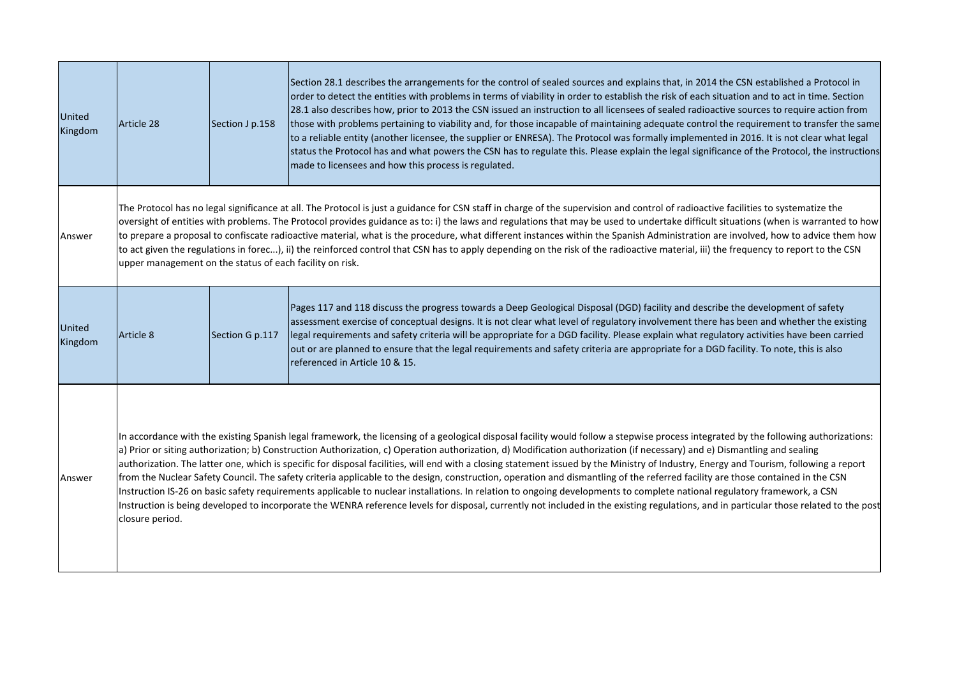| <b>United</b><br>Kingdom | Article 28                                                                                                                                                                                                                                                                                                                                                                                                                                                                                                                                                                                                                                                                                                                                                                                                                                                                                                                                                                                                                                                                                                                            | Section J p.158 | Section 28.1 describes the arrangements for the control of sealed sources and explains that, in 2014 the CSN established a Protocol in<br>order to detect the entities with problems in terms of viability in order to establish the risk of each situation and to act in time. Section<br>28.1 also describes how, prior to 2013 the CSN issued an instruction to all licensees of sealed radioactive sources to require action from<br>those with problems pertaining to viability and, for those incapable of maintaining adequate control the requirement to transfer the same<br>to a reliable entity (another licensee, the supplier or ENRESA). The Protocol was formally implemented in 2016. It is not clear what legal<br>status the Protocol has and what powers the CSN has to regulate this. Please explain the legal significance of the Protocol, the instructions<br>made to licensees and how this process is regulated. |
|--------------------------|---------------------------------------------------------------------------------------------------------------------------------------------------------------------------------------------------------------------------------------------------------------------------------------------------------------------------------------------------------------------------------------------------------------------------------------------------------------------------------------------------------------------------------------------------------------------------------------------------------------------------------------------------------------------------------------------------------------------------------------------------------------------------------------------------------------------------------------------------------------------------------------------------------------------------------------------------------------------------------------------------------------------------------------------------------------------------------------------------------------------------------------|-----------------|-------------------------------------------------------------------------------------------------------------------------------------------------------------------------------------------------------------------------------------------------------------------------------------------------------------------------------------------------------------------------------------------------------------------------------------------------------------------------------------------------------------------------------------------------------------------------------------------------------------------------------------------------------------------------------------------------------------------------------------------------------------------------------------------------------------------------------------------------------------------------------------------------------------------------------------------|
| Answer                   | The Protocol has no legal significance at all. The Protocol is just a guidance for CSN staff in charge of the supervision and control of radioactive facilities to systematize the<br>oversight of entities with problems. The Protocol provides guidance as to: i) the laws and regulations that may be used to undertake difficult situations (when is warranted to how<br>to prepare a proposal to confiscate radioactive material, what is the procedure, what different instances within the Spanish Administration are involved, how to advice them how<br>to act given the regulations in forec), ii) the reinforced control that CSN has to apply depending on the risk of the radioactive material, iii) the frequency to report to the CSN<br>upper management on the status of each facility on risk.                                                                                                                                                                                                                                                                                                                      |                 |                                                                                                                                                                                                                                                                                                                                                                                                                                                                                                                                                                                                                                                                                                                                                                                                                                                                                                                                           |
| United<br>Kingdom        | Article 8                                                                                                                                                                                                                                                                                                                                                                                                                                                                                                                                                                                                                                                                                                                                                                                                                                                                                                                                                                                                                                                                                                                             | Section G p.117 | Pages 117 and 118 discuss the progress towards a Deep Geological Disposal (DGD) facility and describe the development of safety<br>assessment exercise of conceptual designs. It is not clear what level of regulatory involvement there has been and whether the existing<br>legal requirements and safety criteria will be appropriate for a DGD facility. Please explain what regulatory activities have been carried<br>out or are planned to ensure that the legal requirements and safety criteria are appropriate for a DGD facility. To note, this is also<br>referenced in Article 10 & 15.                                                                                                                                                                                                                                                                                                                                      |
| Answer                   | In accordance with the existing Spanish legal framework, the licensing of a geological disposal facility would follow a stepwise process integrated by the following authorizations:<br>a) Prior or siting authorization; b) Construction Authorization, c) Operation authorization, d) Modification authorization (if necessary) and e) Dismantling and sealing<br>authorization. The latter one, which is specific for disposal facilities, will end with a closing statement issued by the Ministry of Industry, Energy and Tourism, following a report<br>from the Nuclear Safety Council. The safety criteria applicable to the design, construction, operation and dismantling of the referred facility are those contained in the CSN<br>Instruction IS-26 on basic safety requirements applicable to nuclear installations. In relation to ongoing developments to complete national regulatory framework, a CSN<br>Instruction is being developed to incorporate the WENRA reference levels for disposal, currently not included in the existing regulations, and in particular those related to the post<br>closure period. |                 |                                                                                                                                                                                                                                                                                                                                                                                                                                                                                                                                                                                                                                                                                                                                                                                                                                                                                                                                           |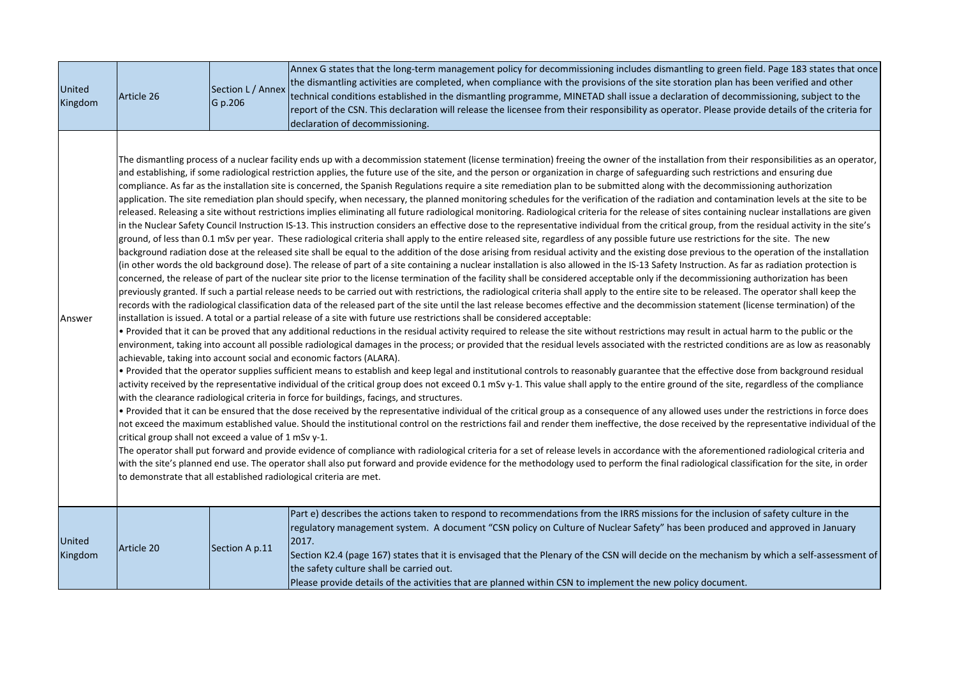| United<br>Kingdom | Article 26                                            | Section L / Annex<br>G p.206 | Annex G states that the long-term management policy for decommissioning includes dismantling to green field. Page 183 states that once<br>the dismantling activities are completed, when compliance with the provisions of the site storation plan has been verified and other<br>technical conditions established in the dismantling programme, MINETAD shall issue a declaration of decommissioning, subject to the<br>report of the CSN. This declaration will release the licensee from their responsibility as operator. Please provide details of the criteria for<br>declaration of decommissioning.                                                                                                                                                                                                                                                                                                                                                                                                                                                                                                                                                                                                                                                                                                                                                                                                                                                                                                                                                                                                                                                                                                                                                                                                                                                                                                                                                                                                                                                                                                                                                                                                                                                                                                                                                                                                                                                                                                                                                                                                                                                                                                                                                                                                                                                                                                                                                                                                                                                                                                                                                                                                                                                                                                                                                                                                                                                                                                                                                                                                                                                                                                                                                                                                                                                                                                                                                                                                                                                                                                                                                                                                                                                                                               |
|-------------------|-------------------------------------------------------|------------------------------|-----------------------------------------------------------------------------------------------------------------------------------------------------------------------------------------------------------------------------------------------------------------------------------------------------------------------------------------------------------------------------------------------------------------------------------------------------------------------------------------------------------------------------------------------------------------------------------------------------------------------------------------------------------------------------------------------------------------------------------------------------------------------------------------------------------------------------------------------------------------------------------------------------------------------------------------------------------------------------------------------------------------------------------------------------------------------------------------------------------------------------------------------------------------------------------------------------------------------------------------------------------------------------------------------------------------------------------------------------------------------------------------------------------------------------------------------------------------------------------------------------------------------------------------------------------------------------------------------------------------------------------------------------------------------------------------------------------------------------------------------------------------------------------------------------------------------------------------------------------------------------------------------------------------------------------------------------------------------------------------------------------------------------------------------------------------------------------------------------------------------------------------------------------------------------------------------------------------------------------------------------------------------------------------------------------------------------------------------------------------------------------------------------------------------------------------------------------------------------------------------------------------------------------------------------------------------------------------------------------------------------------------------------------------------------------------------------------------------------------------------------------------------------------------------------------------------------------------------------------------------------------------------------------------------------------------------------------------------------------------------------------------------------------------------------------------------------------------------------------------------------------------------------------------------------------------------------------------------------------------------------------------------------------------------------------------------------------------------------------------------------------------------------------------------------------------------------------------------------------------------------------------------------------------------------------------------------------------------------------------------------------------------------------------------------------------------------------------------------------------------------------------------------------------------------------------------------------------------------------------------------------------------------------------------------------------------------------------------------------------------------------------------------------------------------------------------------------------------------------------------------------------------------------------------------------------------------------------------------------------------------------------------------------------------------------|
| Answer            | critical group shall not exceed a value of 1 mSv y-1. |                              | The dismantling process of a nuclear facility ends up with a decommission statement (license termination) freeing the owner of the installation from their responsibilities as an operator,<br>and establishing, if some radiological restriction applies, the future use of the site, and the person or organization in charge of safeguarding such restrictions and ensuring due<br>compliance. As far as the installation site is concerned, the Spanish Regulations require a site remediation plan to be submitted along with the decommissioning authorization<br>application. The site remediation plan should specify, when necessary, the planned monitoring schedules for the verification of the radiation and contamination levels at the site to be<br>released. Releasing a site without restrictions implies eliminating all future radiological monitoring. Radiological criteria for the release of sites containing nuclear installations are given<br>in the Nuclear Safety Council Instruction IS-13. This instruction considers an effective dose to the representative individual from the critical group, from the residual activity in the site's<br>ground, of less than 0.1 mSv per year. These radiological criteria shall apply to the entire released site, regardless of any possible future use restrictions for the site. The new<br>background radiation dose at the released site shall be equal to the addition of the dose arising from residual activity and the existing dose previous to the operation of the installation<br>(in other words the old background dose). The release of part of a site containing a nuclear installation is also allowed in the IS-13 Safety Instruction. As far as radiation protection is<br>concerned, the release of part of the nuclear site prior to the license termination of the facility shall be considered acceptable only if the decommissioning authorization has been<br>previously granted. If such a partial release needs to be carried out with restrictions, the radiological criteria shall apply to the entire site to be released. The operator shall keep the<br>records with the radiological classification data of the released part of the site until the last release becomes effective and the decommission statement (license termination) of the<br>installation is issued. A total or a partial release of a site with future use restrictions shall be considered acceptable:<br>. Provided that it can be proved that any additional reductions in the residual activity required to release the site without restrictions may result in actual harm to the public or the<br>environment, taking into account all possible radiological damages in the process; or provided that the residual levels associated with the restricted conditions are as low as reasonably<br>achievable, taking into account social and economic factors (ALARA).<br>. Provided that the operator supplies sufficient means to establish and keep legal and institutional controls to reasonably guarantee that the effective dose from background residual<br>activity received by the representative individual of the critical group does not exceed 0.1 mSv y-1. This value shall apply to the entire ground of the site, regardless of the compliance<br>with the clearance radiological criteria in force for buildings, facings, and structures.<br>. Provided that it can be ensured that the dose received by the representative individual of the critical group as a consequence of any allowed uses under the restrictions in force does<br>not exceed the maximum established value. Should the institutional control on the restrictions fail and render them ineffective, the dose received by the representative individual of the<br>The operator shall put forward and provide evidence of compliance with radiological criteria for a set of release levels in accordance with the aforementioned radiological criteria and<br>with the site's planned end use. The operator shall also put forward and provide evidence for the methodology used to perform the final radiological classification for the site, in order<br>to demonstrate that all established radiological criteria are met. |
| United<br>Kingdom | Article 20                                            | Section A p.11               | Part e) describes the actions taken to respond to recommendations from the IRRS missions for the inclusion of safety culture in the<br>regulatory management system. A document "CSN policy on Culture of Nuclear Safety" has been produced and approved in January<br>2017.<br>Section K2.4 (page 167) states that it is envisaged that the Plenary of the CSN will decide on the mechanism by which a self-assessment of<br>the safety culture shall be carried out.<br>Please provide details of the activities that are planned within CSN to implement the new policy document.                                                                                                                                                                                                                                                                                                                                                                                                                                                                                                                                                                                                                                                                                                                                                                                                                                                                                                                                                                                                                                                                                                                                                                                                                                                                                                                                                                                                                                                                                                                                                                                                                                                                                                                                                                                                                                                                                                                                                                                                                                                                                                                                                                                                                                                                                                                                                                                                                                                                                                                                                                                                                                                                                                                                                                                                                                                                                                                                                                                                                                                                                                                                                                                                                                                                                                                                                                                                                                                                                                                                                                                                                                                                                                                      |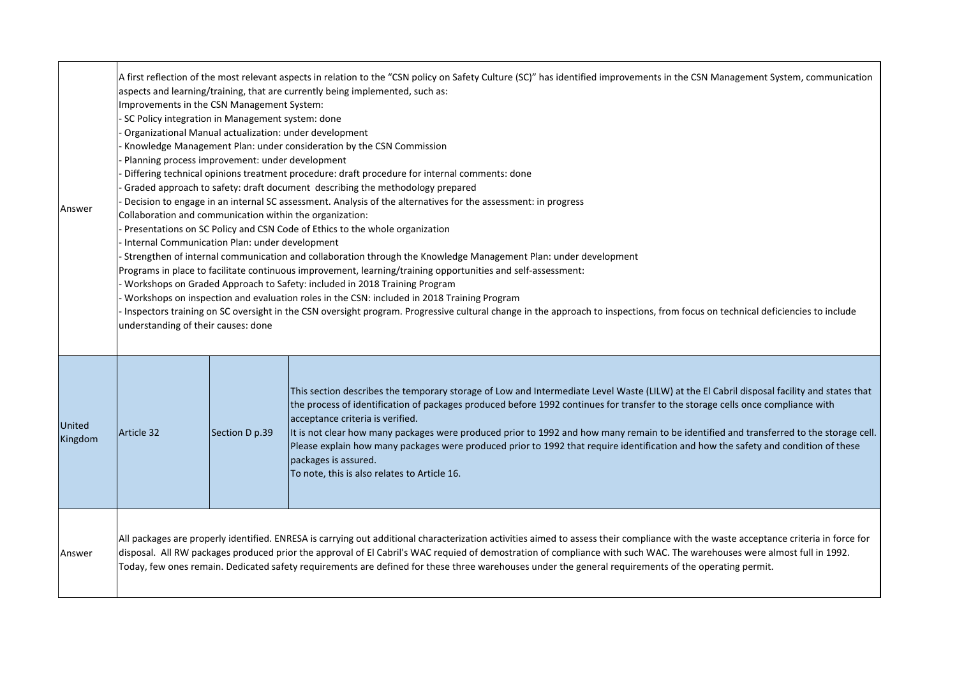| Answer            | A first reflection of the most relevant aspects in relation to the "CSN policy on Safety Culture (SC)" has identified improvements in the CSN Management System, communication<br>aspects and learning/training, that are currently being implemented, such as:<br>Improvements in the CSN Management System:<br>- SC Policy integration in Management system: done<br>Organizational Manual actualization: under development<br>Knowledge Management Plan: under consideration by the CSN Commission<br>Planning process improvement: under development<br>Differing technical opinions treatment procedure: draft procedure for internal comments: done<br>Graded approach to safety: draft document describing the methodology prepared<br>Decision to engage in an internal SC assessment. Analysis of the alternatives for the assessment: in progress<br>Collaboration and communication within the organization:<br>Presentations on SC Policy and CSN Code of Ethics to the whole organization<br>Internal Communication Plan: under development<br>Strengthen of internal communication and collaboration through the Knowledge Management Plan: under development<br>Programs in place to facilitate continuous improvement, learning/training opportunities and self-assessment:<br>Workshops on Graded Approach to Safety: included in 2018 Training Program<br>Workshops on inspection and evaluation roles in the CSN: included in 2018 Training Program<br>Inspectors training on SC oversight in the CSN oversight program. Progressive cultural change in the approach to inspections, from focus on technical deficiencies to include<br>understanding of their causes: done |                |                                                                                                                                                                                                                                                                                                                                                                                                                                                                                                                                                                                                                                                                            |
|-------------------|------------------------------------------------------------------------------------------------------------------------------------------------------------------------------------------------------------------------------------------------------------------------------------------------------------------------------------------------------------------------------------------------------------------------------------------------------------------------------------------------------------------------------------------------------------------------------------------------------------------------------------------------------------------------------------------------------------------------------------------------------------------------------------------------------------------------------------------------------------------------------------------------------------------------------------------------------------------------------------------------------------------------------------------------------------------------------------------------------------------------------------------------------------------------------------------------------------------------------------------------------------------------------------------------------------------------------------------------------------------------------------------------------------------------------------------------------------------------------------------------------------------------------------------------------------------------------------------------------------------------------------------------------------------------------------------------|----------------|----------------------------------------------------------------------------------------------------------------------------------------------------------------------------------------------------------------------------------------------------------------------------------------------------------------------------------------------------------------------------------------------------------------------------------------------------------------------------------------------------------------------------------------------------------------------------------------------------------------------------------------------------------------------------|
| United<br>Kingdom | Article 32                                                                                                                                                                                                                                                                                                                                                                                                                                                                                                                                                                                                                                                                                                                                                                                                                                                                                                                                                                                                                                                                                                                                                                                                                                                                                                                                                                                                                                                                                                                                                                                                                                                                                     | Section D p.39 | This section describes the temporary storage of Low and Intermediate Level Waste (LILW) at the El Cabril disposal facility and states that<br>the process of identification of packages produced before 1992 continues for transfer to the storage cells once compliance with<br>acceptance criteria is verified.<br>It is not clear how many packages were produced prior to 1992 and how many remain to be identified and transferred to the storage cell.<br>Please explain how many packages were produced prior to 1992 that require identification and how the safety and condition of these<br>packages is assured.<br>To note, this is also relates to Article 16. |
| Answer            |                                                                                                                                                                                                                                                                                                                                                                                                                                                                                                                                                                                                                                                                                                                                                                                                                                                                                                                                                                                                                                                                                                                                                                                                                                                                                                                                                                                                                                                                                                                                                                                                                                                                                                |                | All packages are properly identified. ENRESA is carrying out additional characterization activities aimed to assess their compliance with the waste acceptance criteria in force for<br>disposal. All RW packages produced prior the approval of El Cabril's WAC requied of demostration of compliance with such WAC. The warehouses were almost full in 1992.<br>Today, few ones remain. Dedicated safety requirements are defined for these three warehouses under the general requirements of the operating permit.                                                                                                                                                     |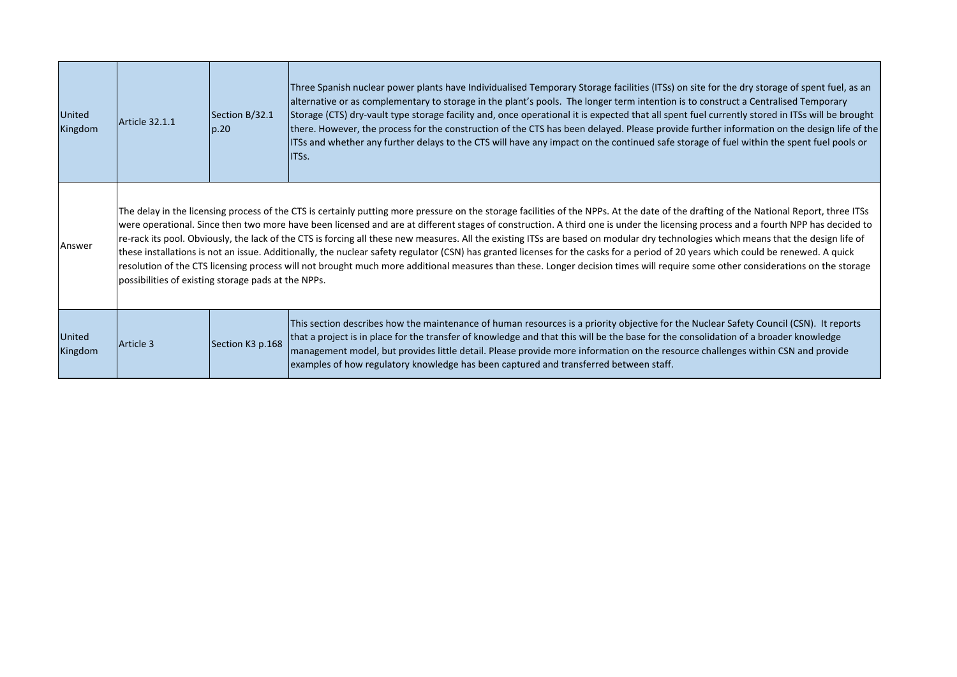| United<br>Kingdom | Article 32.1.1                                                                                                                                                                                                                                                                                                                                                                                                                                                                                                                                                                                                                                                                                                                                                                                                                                                                                                                                                                                  | Section B/32.1<br>p.20 | Three Spanish nuclear power plants have Individualised Temporary Storage facilities (ITSs) on site for the dry storage of spent fuel, as an<br>alternative or as complementary to storage in the plant's pools. The longer term intention is to construct a Centralised Temporary<br>Storage (CTS) dry-vault type storage facility and, once operational it is expected that all spent fuel currently stored in ITSs will be brought<br>there. However, the process for the construction of the CTS has been delayed. Please provide further information on the design life of the<br>ITSs and whether any further delays to the CTS will have any impact on the continued safe storage of fuel within the spent fuel pools or<br>IITSs. |
|-------------------|-------------------------------------------------------------------------------------------------------------------------------------------------------------------------------------------------------------------------------------------------------------------------------------------------------------------------------------------------------------------------------------------------------------------------------------------------------------------------------------------------------------------------------------------------------------------------------------------------------------------------------------------------------------------------------------------------------------------------------------------------------------------------------------------------------------------------------------------------------------------------------------------------------------------------------------------------------------------------------------------------|------------------------|------------------------------------------------------------------------------------------------------------------------------------------------------------------------------------------------------------------------------------------------------------------------------------------------------------------------------------------------------------------------------------------------------------------------------------------------------------------------------------------------------------------------------------------------------------------------------------------------------------------------------------------------------------------------------------------------------------------------------------------|
| Answer            | The delay in the licensing process of the CTS is certainly putting more pressure on the storage facilities of the NPPs. At the date of the drafting of the National Report, three ITSs<br>were operational. Since then two more have been licensed and are at different stages of construction. A third one is under the licensing process and a fourth NPP has decided to<br>re-rack its pool. Obviously, the lack of the CTS is forcing all these new measures. All the existing ITSs are based on modular dry technologies which means that the design life of<br>these installations is not an issue. Additionally, the nuclear safety regulator (CSN) has granted licenses for the casks for a period of 20 years which could be renewed. A quick<br>resolution of the CTS licensing process will not brought much more additional measures than these. Longer decision times will require some other considerations on the storage<br>possibilities of existing storage pads at the NPPs. |                        |                                                                                                                                                                                                                                                                                                                                                                                                                                                                                                                                                                                                                                                                                                                                          |
| United<br>Kingdom | Article 3                                                                                                                                                                                                                                                                                                                                                                                                                                                                                                                                                                                                                                                                                                                                                                                                                                                                                                                                                                                       | Section K3 p.168       | This section describes how the maintenance of human resources is a priority objective for the Nuclear Safety Council (CSN). It reports<br>that a project is in place for the transfer of knowledge and that this will be the base for the consolidation of a broader knowledge<br>management model, but provides little detail. Please provide more information on the resource challenges within CSN and provide<br>examples of how regulatory knowledge has been captured and transferred between staff.                                                                                                                                                                                                                               |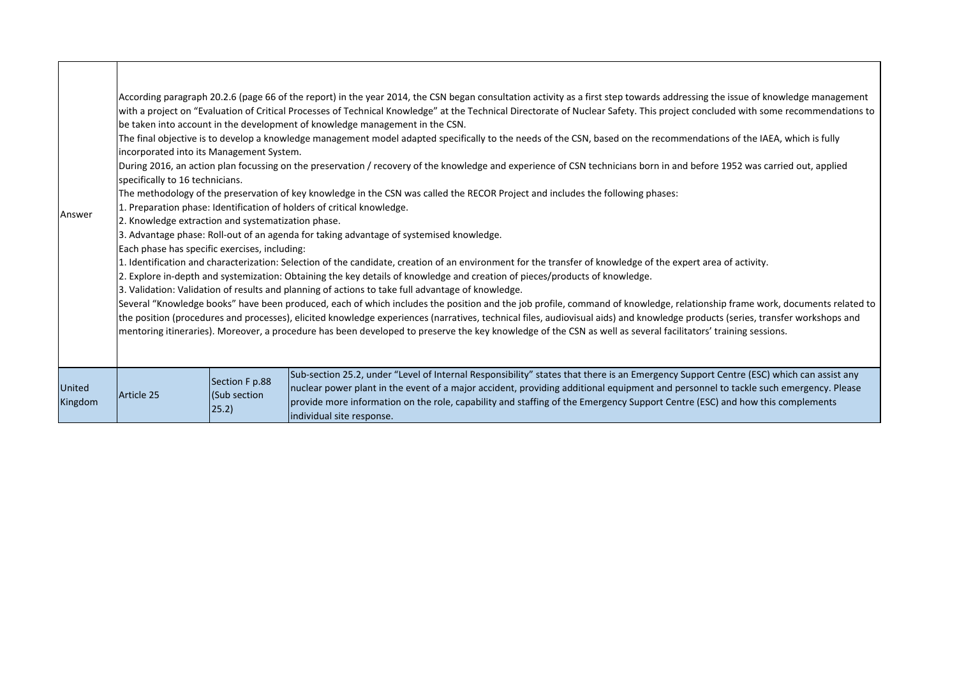| Answer                   | incorporated into its Management System.<br>specifically to 16 technicians.<br>2. Knowledge extraction and systematization phase.<br>Each phase has specific exercises, including: |                                          | According paragraph 20.2.6 (page 66 of the report) in the year 2014, the CSN began consultation activity as a first step towards addressing the issue of knowledge management<br>with a project on "Evaluation of Critical Processes of Technical Knowledge" at the Technical Directorate of Nuclear Safety. This project concluded with some recommendations to<br>be taken into account in the development of knowledge management in the CSN.<br>The final objective is to develop a knowledge management model adapted specifically to the needs of the CSN, based on the recommendations of the IAEA, which is fully<br>During 2016, an action plan focussing on the preservation / recovery of the knowledge and experience of CSN technicians born in and before 1952 was carried out, applied<br>The methodology of the preservation of key knowledge in the CSN was called the RECOR Project and includes the following phases:<br>1. Preparation phase: Identification of holders of critical knowledge.<br>3. Advantage phase: Roll-out of an agenda for taking advantage of systemised knowledge.<br>1. Identification and characterization: Selection of the candidate, creation of an environment for the transfer of knowledge of the expert area of activity.<br>2. Explore in-depth and systemization: Obtaining the key details of knowledge and creation of pieces/products of knowledge.<br>3. Validation: Validation of results and planning of actions to take full advantage of knowledge.<br>Several "Knowledge books" have been produced, each of which includes the position and the job profile, command of knowledge, relationship frame work, documents related to<br>the position (procedures and processes), elicited knowledge experiences (narratives, technical files, audiovisual aids) and knowledge products (series, transfer workshops and<br>mentoring itineraries). Moreover, a procedure has been developed to preserve the key knowledge of the CSN as well as several facilitators' training sessions. |
|--------------------------|------------------------------------------------------------------------------------------------------------------------------------------------------------------------------------|------------------------------------------|----------------------------------------------------------------------------------------------------------------------------------------------------------------------------------------------------------------------------------------------------------------------------------------------------------------------------------------------------------------------------------------------------------------------------------------------------------------------------------------------------------------------------------------------------------------------------------------------------------------------------------------------------------------------------------------------------------------------------------------------------------------------------------------------------------------------------------------------------------------------------------------------------------------------------------------------------------------------------------------------------------------------------------------------------------------------------------------------------------------------------------------------------------------------------------------------------------------------------------------------------------------------------------------------------------------------------------------------------------------------------------------------------------------------------------------------------------------------------------------------------------------------------------------------------------------------------------------------------------------------------------------------------------------------------------------------------------------------------------------------------------------------------------------------------------------------------------------------------------------------------------------------------------------------------------------------------------------------------------------------------------------------------------------------------|
| <b>United</b><br>Kingdom | Article 25                                                                                                                                                                         | Section F p.88<br>(Sub section)<br>25.2) | Sub-section 25.2, under "Level of Internal Responsibility" states that there is an Emergency Support Centre (ESC) which can assist any<br>nuclear power plant in the event of a major accident, providing additional equipment and personnel to tackle such emergency. Please<br>provide more information on the role, capability and staffing of the Emergency Support Centre (ESC) and how this complements<br>individual site response.                                                                                                                                                                                                                                                                                                                                                                                                                                                                                                                                                                                                                                                                                                                                                                                                                                                                                                                                                                                                                                                                                                                                                                                                                                                                                                                                                                                                                                                                                                                                                                                                         |

Г

┱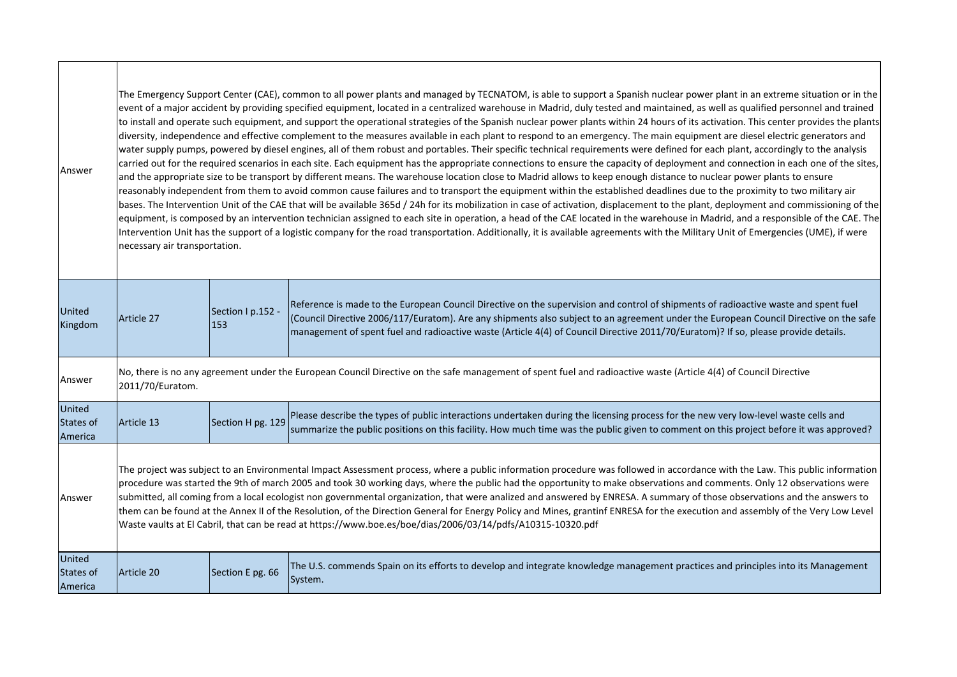| Answer                                | The Emergency Support Center (CAE), common to all power plants and managed by TECNATOM, is able to support a Spanish nuclear power plant in an extreme situation or in the<br>event of a major accident by providing specified equipment, located in a centralized warehouse in Madrid, duly tested and maintained, as well as qualified personnel and trained<br>to install and operate such equipment, and support the operational strategies of the Spanish nuclear power plants within 24 hours of its activation. This center provides the plants<br>diversity, independence and effective complement to the measures available in each plant to respond to an emergency. The main equipment are diesel electric generators and<br>water supply pumps, powered by diesel engines, all of them robust and portables. Their specific technical requirements were defined for each plant, accordingly to the analysis<br>carried out for the required scenarios in each site. Each equipment has the appropriate connections to ensure the capacity of deployment and connection in each one of the sites,<br>and the appropriate size to be transport by different means. The warehouse location close to Madrid allows to keep enough distance to nuclear power plants to ensure<br>reasonably independent from them to avoid common cause failures and to transport the equipment within the established deadlines due to the proximity to two military air<br>bases. The Intervention Unit of the CAE that will be available 365d / 24h for its mobilization in case of activation, displacement to the plant, deployment and commissioning of the<br>equipment, is composed by an intervention technician assigned to each site in operation, a head of the CAE located in the warehouse in Madrid, and a responsible of the CAE. The<br>Intervention Unit has the support of a logistic company for the road transportation. Additionally, it is available agreements with the Military Unit of Emergencies (UME), if were<br>necessary air transportation. |                          |                                                                                                                                                                                                                                                                                                                                                                                                                    |  |
|---------------------------------------|---------------------------------------------------------------------------------------------------------------------------------------------------------------------------------------------------------------------------------------------------------------------------------------------------------------------------------------------------------------------------------------------------------------------------------------------------------------------------------------------------------------------------------------------------------------------------------------------------------------------------------------------------------------------------------------------------------------------------------------------------------------------------------------------------------------------------------------------------------------------------------------------------------------------------------------------------------------------------------------------------------------------------------------------------------------------------------------------------------------------------------------------------------------------------------------------------------------------------------------------------------------------------------------------------------------------------------------------------------------------------------------------------------------------------------------------------------------------------------------------------------------------------------------------------------------------------------------------------------------------------------------------------------------------------------------------------------------------------------------------------------------------------------------------------------------------------------------------------------------------------------------------------------------------------------------------------------------------------------------------------------------------------------------------------------------------|--------------------------|--------------------------------------------------------------------------------------------------------------------------------------------------------------------------------------------------------------------------------------------------------------------------------------------------------------------------------------------------------------------------------------------------------------------|--|
| United<br>Kingdom                     | Article 27                                                                                                                                                                                                                                                                                                                                                                                                                                                                                                                                                                                                                                                                                                                                                                                                                                                                                                                                                                                                                                                                                                                                                                                                                                                                                                                                                                                                                                                                                                                                                                                                                                                                                                                                                                                                                                                                                                                                                                                                                                                          | Section I p.152 -<br>153 | Reference is made to the European Council Directive on the supervision and control of shipments of radioactive waste and spent fuel<br>(Council Directive 2006/117/Euratom). Are any shipments also subject to an agreement under the European Council Directive on the safe<br>management of spent fuel and radioactive waste (Article 4(4) of Council Directive 2011/70/Euratom)? If so, please provide details. |  |
| Answer                                | No, there is no any agreement under the European Council Directive on the safe management of spent fuel and radioactive waste (Article 4(4) of Council Directive<br>2011/70/Euratom.                                                                                                                                                                                                                                                                                                                                                                                                                                                                                                                                                                                                                                                                                                                                                                                                                                                                                                                                                                                                                                                                                                                                                                                                                                                                                                                                                                                                                                                                                                                                                                                                                                                                                                                                                                                                                                                                                |                          |                                                                                                                                                                                                                                                                                                                                                                                                                    |  |
| <b>United</b><br>States of<br>America | Article 13                                                                                                                                                                                                                                                                                                                                                                                                                                                                                                                                                                                                                                                                                                                                                                                                                                                                                                                                                                                                                                                                                                                                                                                                                                                                                                                                                                                                                                                                                                                                                                                                                                                                                                                                                                                                                                                                                                                                                                                                                                                          | Section H pg. 129        | Please describe the types of public interactions undertaken during the licensing process for the new very low-level waste cells and<br>summarize the public positions on this facility. How much time was the public given to comment on this project before it was approved?                                                                                                                                      |  |
| Answer                                | The project was subject to an Environmental Impact Assessment process, where a public information procedure was followed in accordance with the Law. This public information<br>procedure was started the 9th of march 2005 and took 30 working days, where the public had the opportunity to make observations and comments. Only 12 observations were<br>submitted, all coming from a local ecologist non governmental organization, that were analized and answered by ENRESA. A summary of those observations and the answers to<br>them can be found at the Annex II of the Resolution, of the Direction General for Energy Policy and Mines, grantinf ENRESA for the execution and assembly of the Very Low Level<br>Waste vaults at El Cabril, that can be read at https://www.boe.es/boe/dias/2006/03/14/pdfs/A10315-10320.pdf                                                                                                                                                                                                                                                                                                                                                                                                                                                                                                                                                                                                                                                                                                                                                                                                                                                                                                                                                                                                                                                                                                                                                                                                                              |                          |                                                                                                                                                                                                                                                                                                                                                                                                                    |  |
| United<br><b>States of</b><br>America | Article 20                                                                                                                                                                                                                                                                                                                                                                                                                                                                                                                                                                                                                                                                                                                                                                                                                                                                                                                                                                                                                                                                                                                                                                                                                                                                                                                                                                                                                                                                                                                                                                                                                                                                                                                                                                                                                                                                                                                                                                                                                                                          | Section E pg. 66         | The U.S. commends Spain on its efforts to develop and integrate knowledge management practices and principles into its Management<br>System.                                                                                                                                                                                                                                                                       |  |